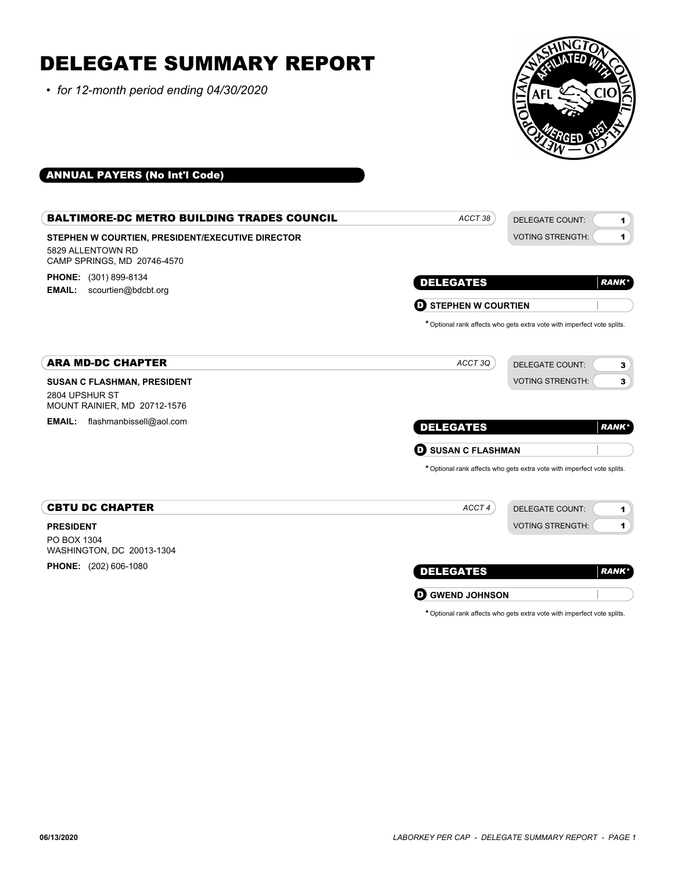# DELEGATE SUMMARY REPORT

*• for 12-month period ending 04/30/2020*



# ANNUAL PAYERS (No Int'l Code)

| <b>BALTIMORE-DC METRO BUILDING TRADES COUNCIL</b>                                                    | ACCT <sub>38</sub>                                 | <b>DELEGATE COUNT:</b><br>$\mathbf{1}$                                  |
|------------------------------------------------------------------------------------------------------|----------------------------------------------------|-------------------------------------------------------------------------|
| STEPHEN W COURTIEN, PRESIDENT/EXECUTIVE DIRECTOR<br>5829 ALLENTOWN RD<br>CAMP SPRINGS, MD 20746-4570 |                                                    | <b>VOTING STRENGTH:</b><br>1                                            |
| <b>PHONE:</b> (301) 899-8134<br><b>EMAIL:</b><br>scourtien@bdcbt.org                                 | <b>DELEGATES</b><br><b>STEPHEN W COURTIEN</b><br>D | <b>RANK*</b>                                                            |
|                                                                                                      |                                                    | * Optional rank affects who gets extra vote with imperfect vote splits. |
| <b>ARA MD-DC CHAPTER</b>                                                                             | ACCT3Q                                             | <b>DELEGATE COUNT:</b><br>3                                             |
| <b>SUSAN C FLASHMAN, PRESIDENT</b><br>2804 UPSHUR ST<br>MOUNT RAINIER, MD 20712-1576                 |                                                    | <b>VOTING STRENGTH:</b><br>3                                            |
| <b>EMAIL:</b><br>flashmanbissell@aol.com                                                             | <b>DELEGATES</b>                                   | <b>RANK*</b>                                                            |
|                                                                                                      | <b>SUSAN C FLASHMAN</b><br>O                       |                                                                         |
|                                                                                                      |                                                    | * Optional rank affects who gets extra vote with imperfect vote splits. |
| <b>CBTU DC CHAPTER</b>                                                                               | ACCT4                                              | <b>DELEGATE COUNT:</b><br>$\mathbf{1}$                                  |
| <b>PRESIDENT</b><br>PO BOX 1304<br>WASHINGTON, DC 20013-1304                                         |                                                    | <b>VOTING STRENGTH:</b><br>1                                            |
| <b>PHONE:</b> (202) 606-1080                                                                         | <b>DELEGATES</b>                                   | <b>RANK*</b>                                                            |
|                                                                                                      | <b>GWEND JOHNSON</b><br>D                          |                                                                         |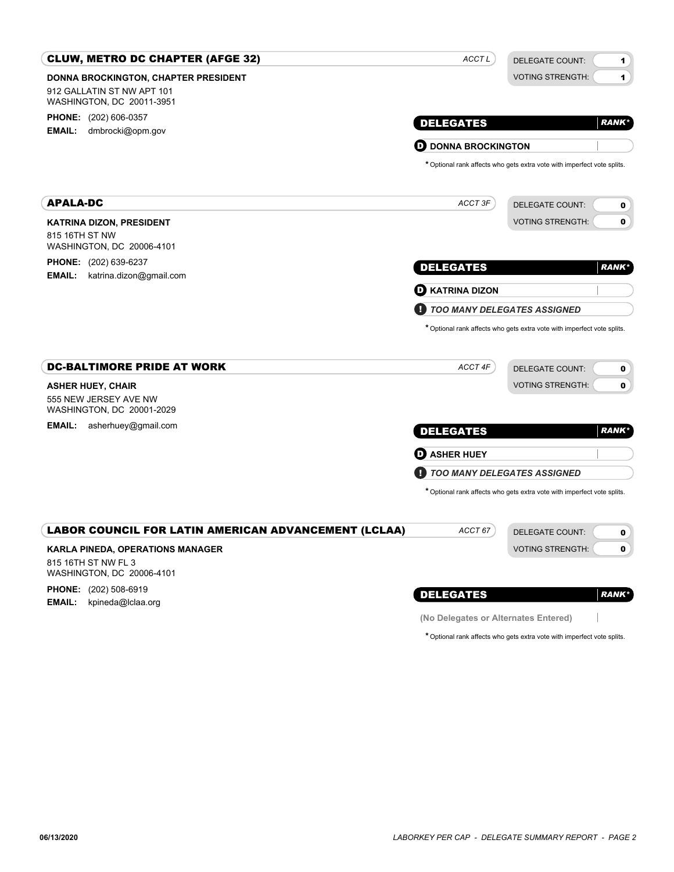| <b>CLUW, METRO DC CHAPTER (AFGE 32)</b>                     | ACCT L                     | DELEGATE COUNT:<br>1                                                    |
|-------------------------------------------------------------|----------------------------|-------------------------------------------------------------------------|
| <b>DONNA BROCKINGTON, CHAPTER PRESIDENT</b>                 |                            | <b>VOTING STRENGTH:</b><br>$\blacksquare$                               |
| 912 GALLATIN ST NW APT 101<br>WASHINGTON, DC 20011-3951     |                            |                                                                         |
| <b>PHONE:</b> (202) 606-0357                                | <b>DELEGATES</b>           | <b>RANK*</b>                                                            |
| <b>EMAIL:</b><br>dmbrocki@opm.gov                           |                            |                                                                         |
|                                                             | <b>D</b> DONNA BROCKINGTON | * Optional rank affects who gets extra vote with imperfect vote splits. |
|                                                             |                            |                                                                         |
| <b>APALA-DC</b>                                             | ACCT 3F                    | <b>DELEGATE COUNT:</b><br>0                                             |
| <b>KATRINA DIZON, PRESIDENT</b>                             |                            | <b>VOTING STRENGTH:</b><br>$\mathbf 0$                                  |
| 815 16TH ST NW<br>WASHINGTON, DC 20006-4101                 |                            |                                                                         |
| <b>PHONE:</b> (202) 639-6237                                | <b>DELEGATES</b>           | <b>RANK*</b>                                                            |
| <b>EMAIL:</b><br>katrina.dizon@gmail.com                    | <b>D</b> KATRINA DIZON     |                                                                         |
|                                                             |                            | <b>TOO MANY DELEGATES ASSIGNED</b>                                      |
| <b>DC-BALTIMORE PRIDE AT WORK</b>                           | ACCT 4F                    | <b>DELEGATE COUNT:</b><br>0                                             |
| <b>ASHER HUEY, CHAIR</b>                                    |                            | $\mathbf 0$<br><b>VOTING STRENGTH:</b>                                  |
| 555 NEW JERSEY AVE NW<br>WASHINGTON, DC 20001-2029          |                            |                                                                         |
| <b>EMAIL:</b><br>asherhuey@gmail.com                        | <b>DELEGATES</b>           | <b>RANK*</b>                                                            |
|                                                             | <b>O</b> ASHER HUEY        |                                                                         |
|                                                             |                            | TOO MANY DELEGATES ASSIGNED                                             |
|                                                             |                            | * Optional rank affects who gets extra vote with imperfect vote splits. |
| <b>LABOR COUNCIL FOR LATIN AMERICAN ADVANCEMENT (LCLAA)</b> | ACCT 67                    | <b>DELEGATE COUNT:</b>                                                  |
| <b>KARLA PINEDA, OPERATIONS MANAGER</b>                     |                            | 0<br>$\mathbf{0}$<br><b>VOTING STRENGTH:</b>                            |
| 815 16TH ST NW FL 3<br>WASHINGTON, DC 20006-4101            |                            |                                                                         |
| <b>PHONE:</b> (202) 508-6919                                | <b>DELEGATES</b>           | <b>RANK*</b>                                                            |
| <b>EMAIL:</b><br>kpineda@lclaa.org                          |                            |                                                                         |

**(No Delegates or Alternates Entered)**

\*Optional rank affects who gets extra vote with imperfect vote splits.

 $\mathcal{A}$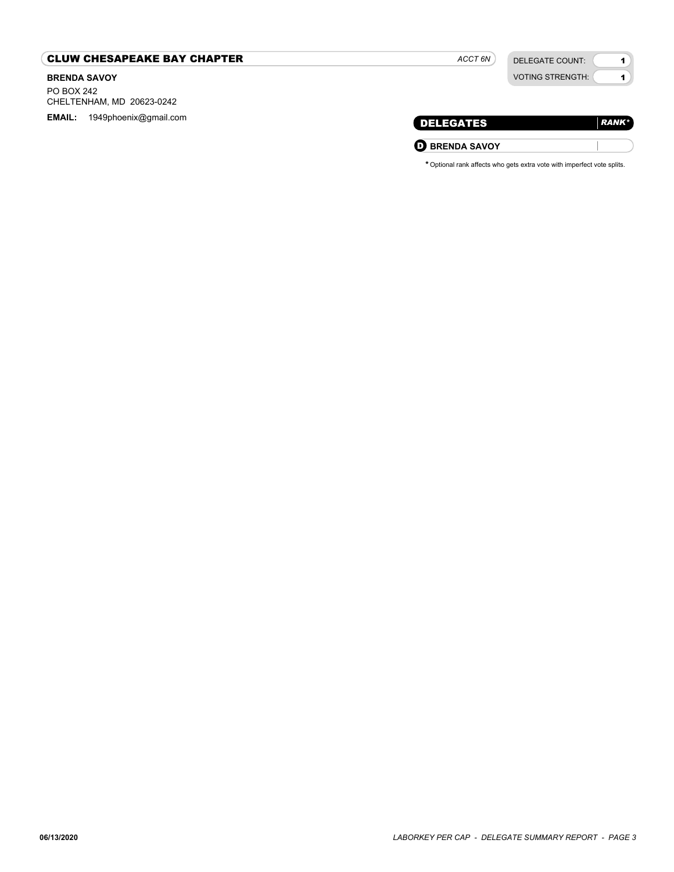## CLUW CHESAPEAKE BAY CHAPTER

## **BRENDA SAVOY** PO BOX 242 CHELTENHAM, MD 20623-0242 **EMAIL:** 1949phoenix@gmail.com

| <b>VOTING STRENGTH:</b> |  |
|-------------------------|--|
|                         |  |

*ACCT 6N*

DELEGATE COUNT:

1

| [ DELEGATES           | $RANK^*$ |
|-----------------------|----------|
| <b>D</b> BRENDA SAVOY |          |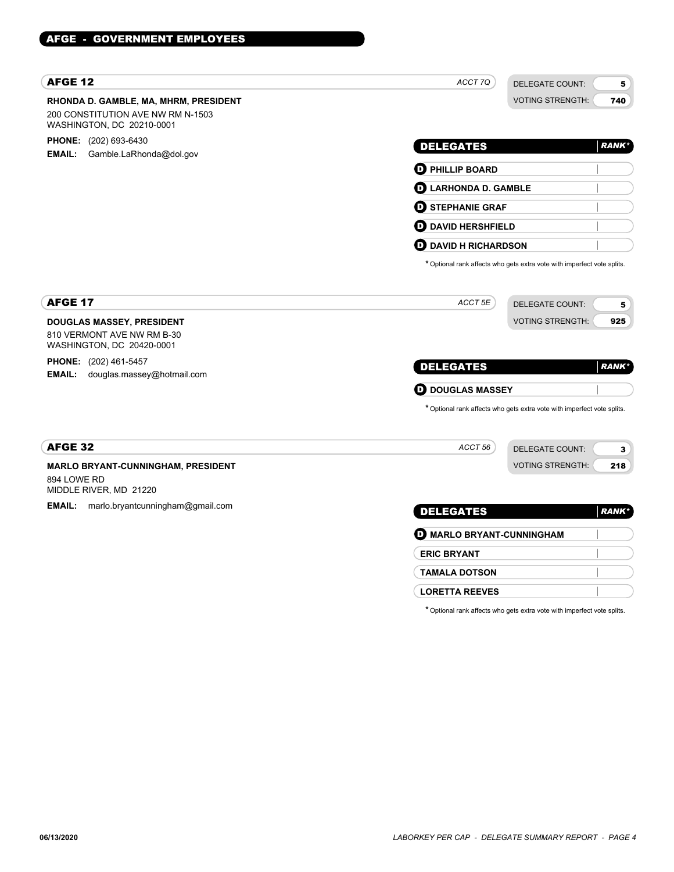| <b>AFGE 12</b>                                                                                          | ACCT 7Q<br><b>DELEGATE COUNT:</b>                                       | 5             |
|---------------------------------------------------------------------------------------------------------|-------------------------------------------------------------------------|---------------|
| RHONDA D. GAMBLE, MA, MHRM, PRESIDENT<br>200 CONSTITUTION AVE NW RM N-1503<br>WASHINGTON, DC 20210-0001 | <b>VOTING STRENGTH:</b>                                                 | 740           |
| <b>PHONE:</b> (202) 693-6430                                                                            | <b>DELEGATES</b>                                                        | <b>RANK*</b>  |
| <b>EMAIL:</b><br>Gamble.LaRhonda@dol.gov                                                                | <b>D</b> PHILLIP BOARD                                                  |               |
|                                                                                                         | <b>D</b> LARHONDA D. GAMBLE                                             |               |
|                                                                                                         | <b>O</b> STEPHANIE GRAF                                                 |               |
|                                                                                                         | <b>OD</b> DAVID HERSHFIELD                                              |               |
|                                                                                                         | <b>D</b> DAVID H RICHARDSON                                             |               |
|                                                                                                         | * Optional rank affects who gets extra vote with imperfect vote splits. |               |
| <b>AFGE 17</b>                                                                                          | ACCT 5E<br><b>DELEGATE COUNT:</b>                                       | 5             |
| <b>DOUGLAS MASSEY, PRESIDENT</b>                                                                        | <b>VOTING STRENGTH:</b>                                                 | 925           |
| 810 VERMONT AVE NW RM B-30<br>WASHINGTON, DC 20420-0001                                                 |                                                                         |               |
| <b>PHONE:</b> (202) 461-5457                                                                            | <b>DELEGATES</b>                                                        | <b>RANK</b> * |
| <b>EMAIL:</b><br>douglas.massey@hotmail.com                                                             |                                                                         |               |
|                                                                                                         | <b>D</b> DOUGLAS MASSEY                                                 |               |
|                                                                                                         | * Optional rank affects who gets extra vote with imperfect vote splits. |               |
| <b>AFGE 32</b>                                                                                          | ACCT 56<br><b>DELEGATE COUNT:</b>                                       | 3             |
| <b>MARLO BRYANT-CUNNINGHAM, PRESIDENT</b>                                                               | <b>VOTING STRENGTH:</b>                                                 | 218           |
| 894 LOWE RD<br>MIDDLE RIVER, MD 21220                                                                   |                                                                         |               |
| <b>EMAIL:</b><br>marlo.bryantcunningham@gmail.com                                                       | <b>DELEGATES</b>                                                        | <b>RANK*</b>  |
|                                                                                                         | <b>O MARLO BRYANT-CUNNINGHAM</b>                                        |               |
|                                                                                                         | <b>ERIC BRYANT</b>                                                      |               |
|                                                                                                         | <b>TAMALA DOTSON</b>                                                    |               |

**LORETTA REEVES**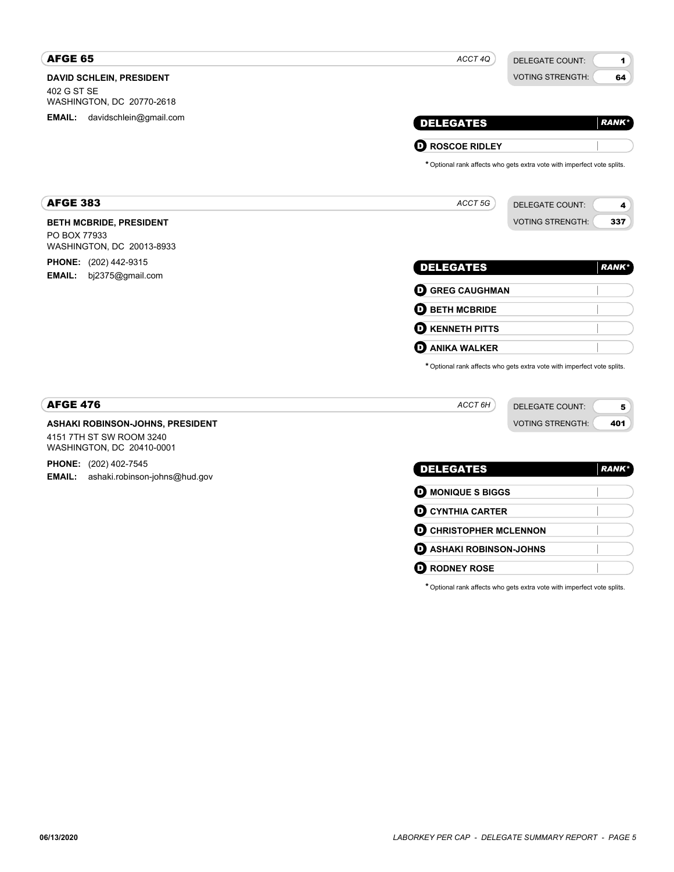| <b>AFGE 65</b>                                                                            | ACCT 4Q<br><b>DELEGATE COUNT:</b>                                       | $\mathbf{1}$ |
|-------------------------------------------------------------------------------------------|-------------------------------------------------------------------------|--------------|
| DAVID SCHLEIN, PRESIDENT<br>402 G ST SE<br>WASHINGTON, DC 20770-2618                      | <b>VOTING STRENGTH:</b>                                                 | 64           |
| <b>EMAIL:</b><br>davidschlein@gmail.com                                                   | <b>DELEGATES</b>                                                        | <b>RANK*</b> |
|                                                                                           | <b>O ROSCOE RIDLEY</b>                                                  |              |
|                                                                                           | * Optional rank affects who gets extra vote with imperfect vote splits. |              |
| <b>AFGE 383</b>                                                                           | ACCT 5G<br><b>DELEGATE COUNT:</b>                                       | 4            |
| <b>BETH MCBRIDE, PRESIDENT</b><br>PO BOX 77933<br>WASHINGTON, DC 20013-8933               | <b>VOTING STRENGTH:</b>                                                 | 337          |
| <b>PHONE:</b> (202) 442-9315<br><b>EMAIL:</b><br>bj2375@gmail.com                         | <b>DELEGATES</b>                                                        | <b>RANK*</b> |
|                                                                                           | <b>O GREG CAUGHMAN</b>                                                  |              |
|                                                                                           | <b>O BETH MCBRIDE</b>                                                   |              |
|                                                                                           | <b>O KENNETH PITTS</b>                                                  |              |
|                                                                                           | <b>D</b> ANIKA WALKER                                                   |              |
|                                                                                           | * Optional rank affects who gets extra vote with imperfect vote splits. |              |
| <b>AFGE 476</b>                                                                           | ACCT 6H<br>DELEGATE COUNT:                                              | 5            |
| ASHAKI ROBINSON-JOHNS, PRESIDENT<br>4151 7TH ST SW ROOM 3240<br>WASHINGTON, DC 20410-0001 | <b>VOTING STRENGTH:</b>                                                 | 401          |
| PHONE: (202) 402-7545<br><b>EMAIL:</b><br>ashaki.robinson-johns@hud.gov                   | <b>DELEGATES</b>                                                        | <b>RANK*</b> |
|                                                                                           | <b>D</b> MONIQUE S BIGGS                                                |              |
|                                                                                           | <b>O CYNTHIA CARTER</b>                                                 |              |
|                                                                                           | <b>O CHRISTOPHER MCLENNON</b>                                           |              |
|                                                                                           | <b>D</b> ASHAKI ROBINSON-JOHNS                                          |              |
|                                                                                           | <b>D</b> RODNEY ROSE                                                    |              |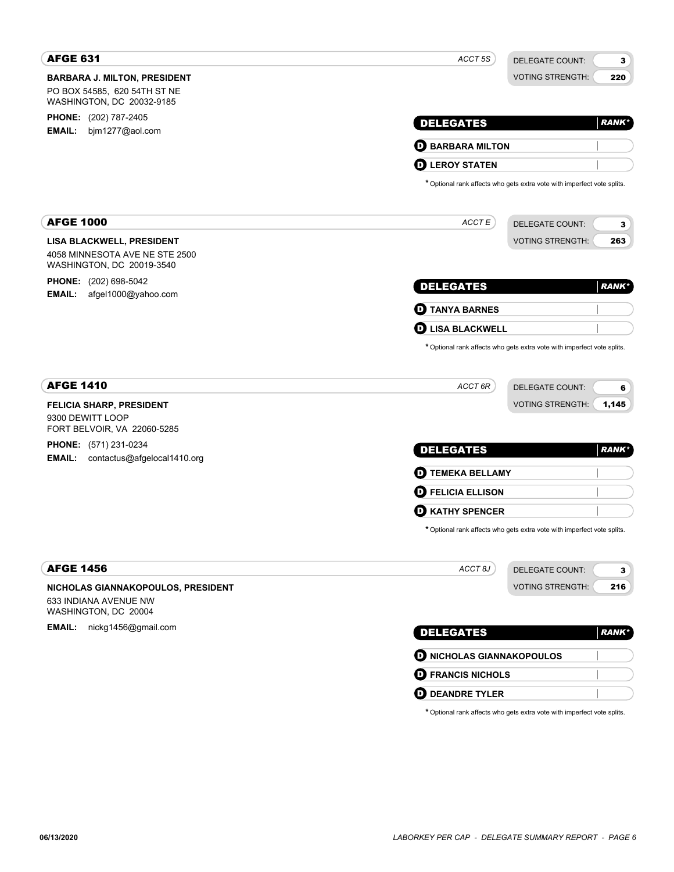| <b>AFGE 631</b>                                             | ACCT 5S<br><b>DELEGATE COUNT:</b><br>3                                  |
|-------------------------------------------------------------|-------------------------------------------------------------------------|
| <b>BARBARA J. MILTON, PRESIDENT</b>                         | <b>VOTING STRENGTH:</b><br>220                                          |
| PO BOX 54585, 620 54TH ST NE<br>WASHINGTON, DC 20032-9185   |                                                                         |
| PHONE: (202) 787-2405                                       |                                                                         |
| <b>EMAIL:</b><br>bjm1277@aol.com                            | <b>DELEGATES</b><br><b>RANK*</b>                                        |
|                                                             | <b>D</b> BARBARA MILTON                                                 |
|                                                             | <b>LEROY STATEN</b><br>D                                                |
|                                                             | * Optional rank affects who gets extra vote with imperfect vote splits. |
| <b>AFGE 1000</b>                                            | ACCTE<br><b>DELEGATE COUNT:</b><br>3                                    |
| <b>LISA BLACKWELL, PRESIDENT</b>                            | <b>VOTING STRENGTH:</b><br>263                                          |
| 4058 MINNESOTA AVE NE STE 2500<br>WASHINGTON, DC 20019-3540 |                                                                         |
| <b>PHONE:</b> (202) 698-5042                                | <b>DELEGATES</b><br><b>RANK*</b>                                        |
| <b>EMAIL:</b><br>afgel1000@yahoo.com                        |                                                                         |
|                                                             | <b>D</b> TANYA BARNES                                                   |
|                                                             | <b>LISA BLACKWELL</b><br>O                                              |
|                                                             | * Optional rank affects who gets extra vote with imperfect vote splits. |
| <b>AFGE 1410</b>                                            | ACCT 6R<br><b>DELEGATE COUNT:</b><br>6                                  |
| <b>FELICIA SHARP, PRESIDENT</b>                             | <b>VOTING STRENGTH:</b><br>1,145                                        |
| 9300 DEWITT LOOP<br>FORT BELVOIR, VA 22060-5285             |                                                                         |
| <b>PHONE:</b> (571) 231-0234                                | <b>DELEGATES</b><br><b>RANK*</b>                                        |
| <b>EMAIL:</b><br>contactus@afgelocal1410.org                |                                                                         |
|                                                             | <b>D</b> TEMEKA BELLAMY                                                 |
|                                                             | <b>FELICIA ELLISON</b><br>D.                                            |
|                                                             | <b>KATHY SPENCER</b><br>D                                               |
|                                                             | * Optional rank affects who gets extra vote with imperfect vote splits. |
| <b>AFGE 1456</b>                                            | ACCT <sub>8J</sub><br>DELEGATE COUNT:<br>3                              |
| NICHOLAS GIANNAKOPOULOS, PRESIDENT                          | <b>VOTING STRENGTH:</b><br>216                                          |
| 633 INDIANA AVENUE NW<br>WASHINGTON, DC 20004               |                                                                         |
| EMAIL: nickg1456@gmail.com                                  | <b>DELEGATES</b><br><b>RANK*</b>                                        |
|                                                             |                                                                         |
|                                                             | <b>O NICHOLAS GIANNAKOPOULOS</b>                                        |
|                                                             | <b>D</b> FRANCIS NICHOLS                                                |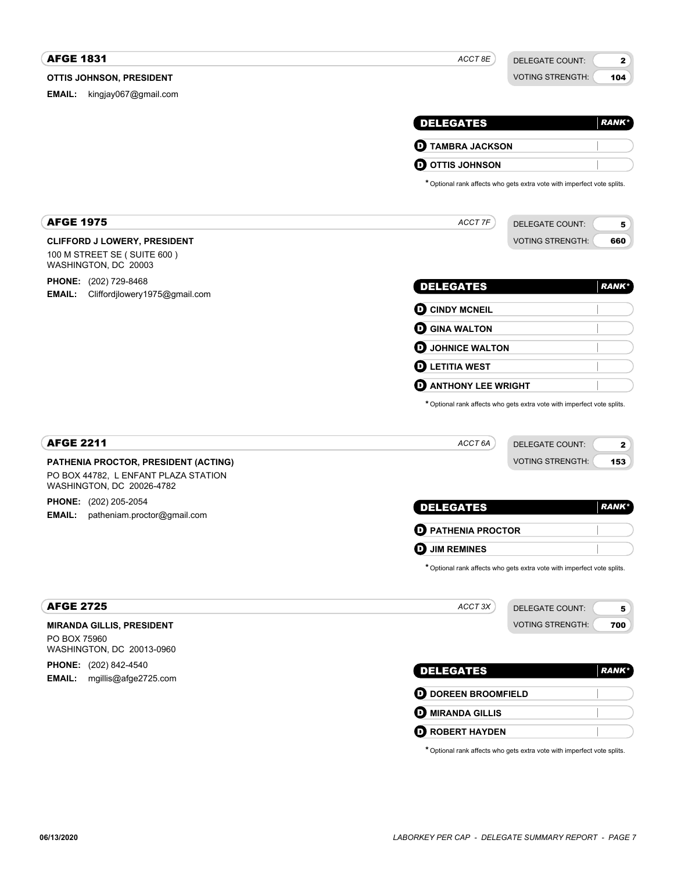#### **OTTIS JOHNSON, PRESIDENT AFGE 1831** DELEGATE COUNT: VOTING STRENGTH: 2 104 DELEGATES **EMAIL:** kingjay067@gmail.com *ACCT 8E RANK\** D **TAMBRA JACKSON D** OTTIS JOHNSON \*Optional rank affects who gets extra vote with imperfect vote splits. **CLIFFORD J LOWERY, PRESIDENT** AFGE 1975 100 M STREET SE ( SUITE 600 ) WASHINGTON, DC 20003 **PHONE:** (202) 729-8468 **EMAIL:** Cliffordjlowery1975@gmail.com DELEGATE COUNT: VOTING STRENGTH: 5 660 DELEGATES *ACCT 7F RANK\** **O CINDY MCNEIL O** GINA WALTON **D** JOHNICE WALTON **D** LETITIA WEST **O** ANTHONY LEE WRIGHT \*Optional rank affects who gets extra vote with imperfect vote splits. **PATHENIA PROCTOR, PRESIDENT (ACTING)** AFGE 2211 PO BOX 44782, L ENFANT PLAZA STATION WASHINGTON, DC 20026-4782 **PHONE:** (202) 205-2054 **EMAIL:** patheniam.proctor@gmail.com DELEGATE COUNT: VOTING STRENGTH: 2 153 DELEGATES *ACCT 6A RANK\** D **PATHENIA PROCTOR** D **JIM REMINES** \*Optional rank affects who gets extra vote with imperfect vote splits. **MIRANDA GILLIS, PRESIDENT** AFGE 2725 PO BOX 75960 WASHINGTON, DC 20013-0960 **PHONE:** (202) 842-4540 **EMAIL:** mgillis@afge2725.com DELEGATE COUNT: VOTING STRENGTH: 5 700 DELEGATES *ACCT 3X RANK\** **D** DOREEN BROOMFIELD **D** MIRANDA GILLIS **D** ROBERT HAYDEN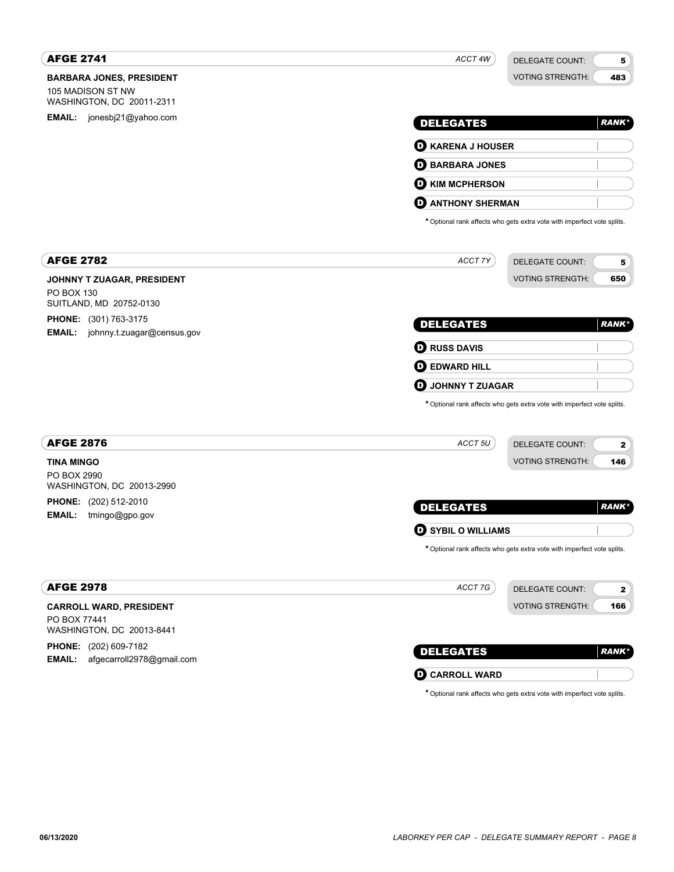| <b>AFGE 2741</b>                               | ACCT 4W                                | <b>DELEGATE COUNT:</b>                                                  | 5             |
|------------------------------------------------|----------------------------------------|-------------------------------------------------------------------------|---------------|
| <b>BARBARA JONES, PRESIDENT</b>                |                                        | <b>VOTING STRENGTH:</b>                                                 | 483           |
| 105 MADISON ST NW<br>WASHINGTON, DC 20011-2311 |                                        |                                                                         |               |
| <b>EMAIL:</b> jonesbj21@yahoo.com              | <b>DELEGATES</b>                       |                                                                         | <b>RANK*</b>  |
|                                                |                                        |                                                                         |               |
|                                                | <b>D</b> KARENA J HOUSER               |                                                                         |               |
|                                                | <b>BARBARA JONES</b><br>o              |                                                                         |               |
|                                                | O<br><b>KIM MCPHERSON</b>              |                                                                         |               |
|                                                | <b>ANTHONY SHERMAN</b><br>o            |                                                                         |               |
|                                                |                                        | * Optional rank affects who gets extra vote with imperfect vote splits. |               |
| <b>AFGE 2782</b>                               | ACCT 7Y                                | <b>DELEGATE COUNT:</b>                                                  | 5             |
| JOHNNY T ZUAGAR, PRESIDENT                     |                                        | <b>VOTING STRENGTH:</b>                                                 | 650           |
| PO BOX 130<br>SUITLAND, MD 20752-0130          |                                        |                                                                         |               |
| PHONE: (301) 763-3175                          | <b>DELEGATES</b>                       |                                                                         | <b>RANK*</b>  |
| <b>EMAIL:</b><br>johnny.t.zuagar@census.gov    |                                        |                                                                         |               |
|                                                | <b>D</b> RUSS DAVIS                    |                                                                         |               |
|                                                | 0<br><b>EDWARD HILL</b>                |                                                                         |               |
|                                                | D<br>JOHNNY T ZUAGAR                   |                                                                         |               |
|                                                |                                        | * Optional rank affects who gets extra vote with imperfect vote splits. |               |
| <b>AFGE 2876</b>                               | ACCT <sub>5U</sub>                     | <b>DELEGATE COUNT:</b>                                                  | 2             |
| <b>TINA MINGO</b>                              |                                        | <b>VOTING STRENGTH:</b>                                                 | 146           |
| PO BOX 2990<br>WASHINGTON, DC 20013-2990       |                                        |                                                                         |               |
| PHONE: (202) 512-2010                          |                                        |                                                                         | <b>RANK*</b>  |
| <b>EMAIL:</b><br>tmingo@gpo.gov                | <b>DELEGATES</b>                       |                                                                         |               |
|                                                | $\boldsymbol{\Theta}$ SYBIL O WILLIAMS |                                                                         |               |
|                                                |                                        | * Optional rank affects who gets extra vote with imperfect vote splits. |               |
| <b>AFGE 2978</b>                               | ACCT 7G                                | <b>DELEGATE COUNT:</b>                                                  | $\mathbf{2}$  |
| <b>CARROLL WARD, PRESIDENT</b>                 |                                        | <b>VOTING STRENGTH:</b>                                                 | 166           |
| PO BOX 77441<br>WASHINGTON, DC 20013-8441      |                                        |                                                                         |               |
| PHONE: (202) 609-7182                          |                                        |                                                                         |               |
| afgecarroll2978@gmail.com<br><b>EMAIL:</b>     | <b>DELEGATES</b>                       |                                                                         | <b>RANK</b> * |
|                                                | <b>O CARROLL WARD</b>                  |                                                                         |               |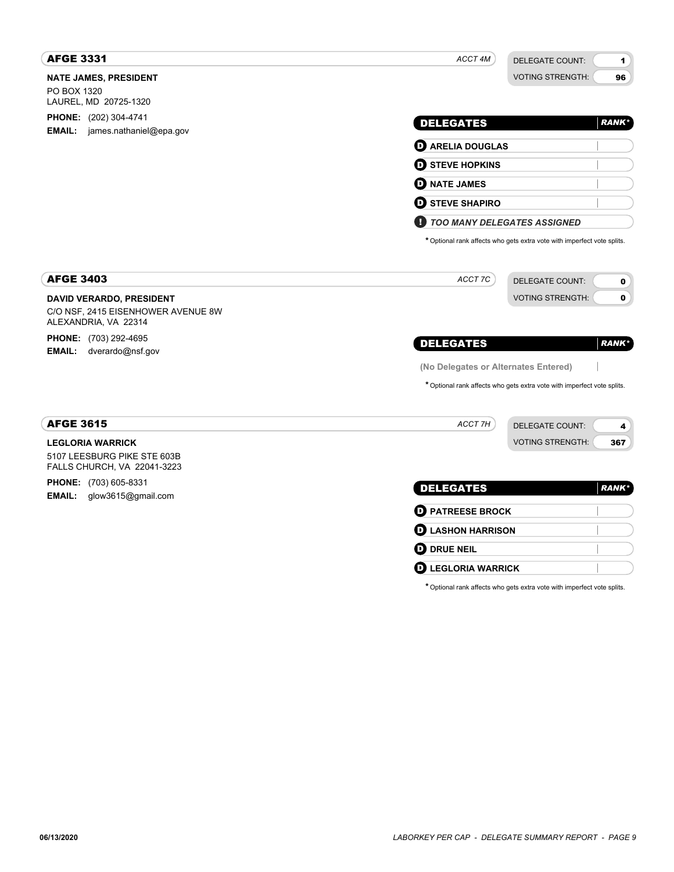| <b>AFGE 3331</b>                                                                              | ACCT 4M<br><b>DELEGATE COUNT:</b>                                       | 1            |
|-----------------------------------------------------------------------------------------------|-------------------------------------------------------------------------|--------------|
| <b>NATE JAMES, PRESIDENT</b><br>PO BOX 1320<br>LAUREL, MD 20725-1320                          | <b>VOTING STRENGTH:</b>                                                 | 96           |
| <b>PHONE:</b> (202) 304-4741<br>james.nathaniel@epa.gov<br><b>EMAIL:</b>                      | <b>DELEGATES</b>                                                        | <b>RANK*</b> |
|                                                                                               | <b>D</b> ARELIA DOUGLAS                                                 |              |
|                                                                                               | <b>D</b> STEVE HOPKINS                                                  |              |
|                                                                                               | <b>D</b> NATE JAMES                                                     |              |
|                                                                                               | <b>D</b> STEVE SHAPIRO                                                  |              |
|                                                                                               | П<br><b>TOO MANY DELEGATES ASSIGNED</b>                                 |              |
|                                                                                               | * Optional rank affects who gets extra vote with imperfect vote splits. |              |
| <b>AFGE 3403</b>                                                                              | ACCT 7C<br><b>DELEGATE COUNT:</b>                                       | 0            |
| <b>DAVID VERARDO, PRESIDENT</b><br>C/O NSF, 2415 EISENHOWER AVENUE 8W<br>ALEXANDRIA, VA 22314 | <b>VOTING STRENGTH:</b>                                                 | 0            |
| PHONE: (703) 292-4695<br>EMAIL:<br>dverardo@nsf.gov                                           | <b>DELEGATES</b>                                                        | <b>RANK*</b> |
|                                                                                               | (No Delegates or Alternates Entered)                                    |              |
|                                                                                               | * Optional rank affects who gets extra vote with imperfect vote splits. |              |
| <b>AFGE 3615</b>                                                                              | ACCT <sub>7H</sub><br><b>DELEGATE COUNT:</b>                            | 4            |
| <b>LEGLORIA WARRICK</b><br>5107 LEESBURG PIKE STE 603B<br>FALLS CHURCH, VA 22041-3223         | <b>VOTING STRENGTH:</b>                                                 | 367          |
| <b>PHONE:</b> (703) 605-8331<br><b>EMAIL:</b><br>glow3615@gmail.com                           | <b>DELEGATES</b>                                                        | <b>RANK*</b> |
|                                                                                               | <b>D</b> PATREESE BROCK                                                 |              |
|                                                                                               | <b>D</b> LASHON HARRISON                                                |              |
|                                                                                               | $\boldsymbol{\Theta}$ drue neil                                         |              |
|                                                                                               | <b>D</b> LEGLORIA WARRICK                                               |              |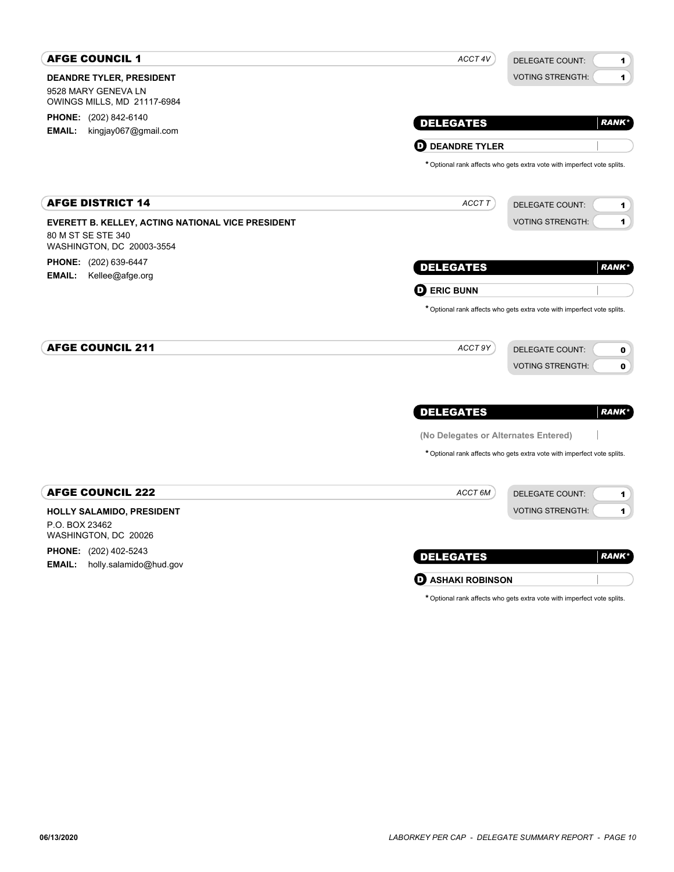| <b>AFGE COUNCIL 1</b>                                                                                | ACCT 4V                              | DELEGATE COUNT:<br>1                                                            |
|------------------------------------------------------------------------------------------------------|--------------------------------------|---------------------------------------------------------------------------------|
| <b>DEANDRE TYLER, PRESIDENT</b><br>9528 MARY GENEVA LN<br>OWINGS MILLS, MD 21117-6984                |                                      | <b>VOTING STRENGTH:</b><br>1                                                    |
| <b>PHONE:</b> (202) 842-6140                                                                         | <b>DELEGATES</b>                     | <b>RANK*</b>                                                                    |
| <b>EMAIL:</b><br>kingjay067@gmail.com                                                                | <b>D</b> DEANDRE TYLER               |                                                                                 |
|                                                                                                      |                                      | * Optional rank affects who gets extra vote with imperfect vote splits.         |
| <b>AFGE DISTRICT 14</b>                                                                              | ACCT T                               | <b>DELEGATE COUNT:</b><br>1                                                     |
| EVERETT B. KELLEY, ACTING NATIONAL VICE PRESIDENT<br>80 M ST SE STE 340<br>WASHINGTON, DC 20003-3554 |                                      | <b>VOTING STRENGTH:</b><br>1                                                    |
| <b>PHONE:</b> (202) 639-6447<br>EMAIL:<br>Kellee@afge.org                                            | <b>DELEGATES</b>                     | <b>RANK*</b>                                                                    |
|                                                                                                      | <b>D</b> ERIC BUNN                   |                                                                                 |
| <b>AFGE COUNCIL 211</b>                                                                              | ACCT 9Y                              | <b>DELEGATE COUNT:</b><br>$\mathbf 0$<br><b>VOTING STRENGTH:</b><br>$\mathbf 0$ |
|                                                                                                      | <b>DELEGATES</b>                     | <b>RANK*</b>                                                                    |
|                                                                                                      | (No Delegates or Alternates Entered) |                                                                                 |
|                                                                                                      |                                      | * Optional rank affects who gets extra vote with imperfect vote splits.         |
| <b>AFGE COUNCIL 222</b>                                                                              | ACCT 6M                              | <b>DELEGATE COUNT:</b><br>1                                                     |
| HOLLY SALAMIDO, PRESIDENT<br>P.O. BOX 23462<br>WASHINGTON, DC 20026                                  |                                      | <b>VOTING STRENGTH:</b><br>1                                                    |
| <b>PHONE:</b> (202) 402-5243<br><b>EMAIL:</b><br>holly.salamido@hud.gov                              | <b>DELEGATES</b>                     | <b>RANK</b> *                                                                   |
|                                                                                                      | <b>D</b> ASHAKI ROBINSON             |                                                                                 |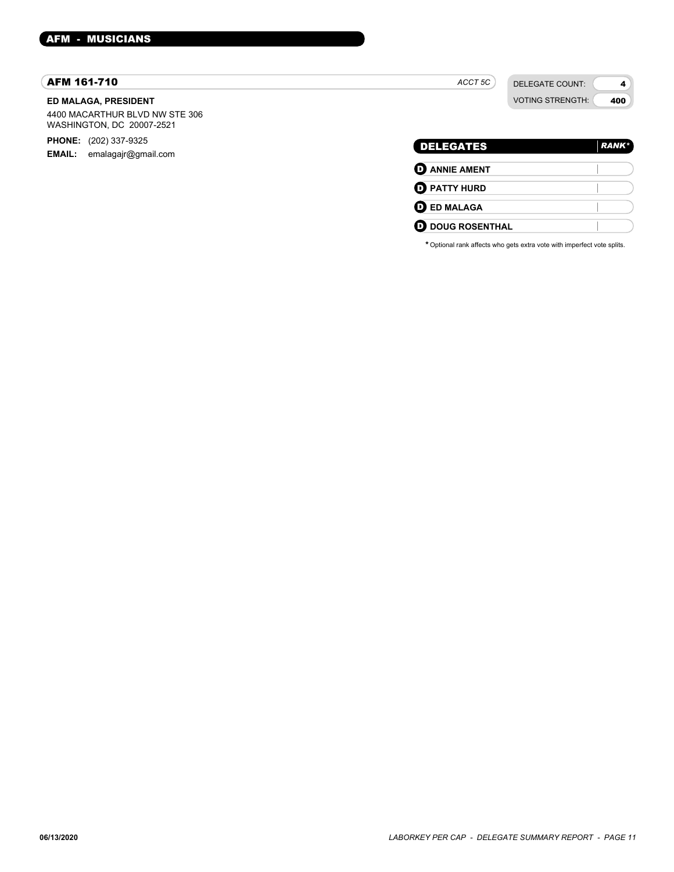#### AFM 161-710

#### **ED MALAGA, PRESIDENT**

4400 MACARTHUR BLVD NW STE 306 WASHINGTON, DC 20007-2521

**PHONE:** (202) 337-9325

**EMAIL:** emalagajr@gmail.com

# VOTING STRENGTH: 400 DELEGATES *RANK\** D **ANNIE AMENT**

*ACCT 5C*

DELEGATE COUNT:

4

| <b>U</b> ANNIE AMENT     |  |
|--------------------------|--|
| <b>O PATTY HURD</b>      |  |
| <b>O</b> ED MALAGA       |  |
| <b>OD</b> DOUG ROSENTHAL |  |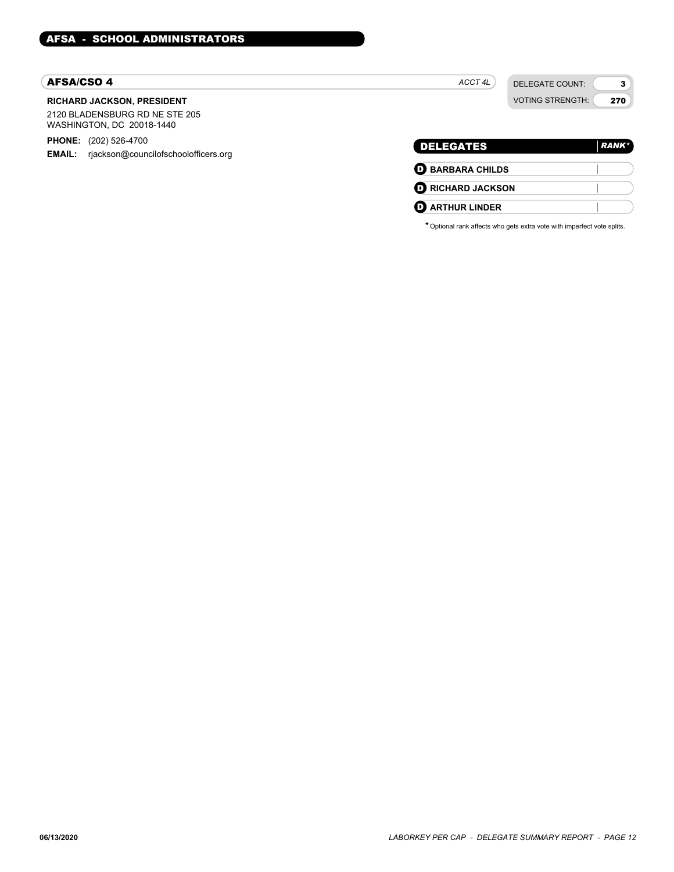#### AFSA/CSO 4

#### **RICHARD JACKSON, PRESIDENT**

2120 BLADENSBURG RD NE STE 205 WASHINGTON, DC 20018-1440

**PHONE:** (202) 526-4700

**EMAIL:** rjackson@councilofschoolofficers.org

|                            | <b>VOTING STRENGTH:</b> | 270           |
|----------------------------|-------------------------|---------------|
| <b>DELEGATES</b>           |                         | <b>RANK</b> * |
| $\mathbf 0$ BARBARA CHILDS |                         |               |
| <b>D</b> RICHARD JACKSON   |                         |               |
| <b>ARTHUR LINDER</b>       |                         |               |

*ACCT 4L*

DELEGATE COUNT:

3  $\overline{a}$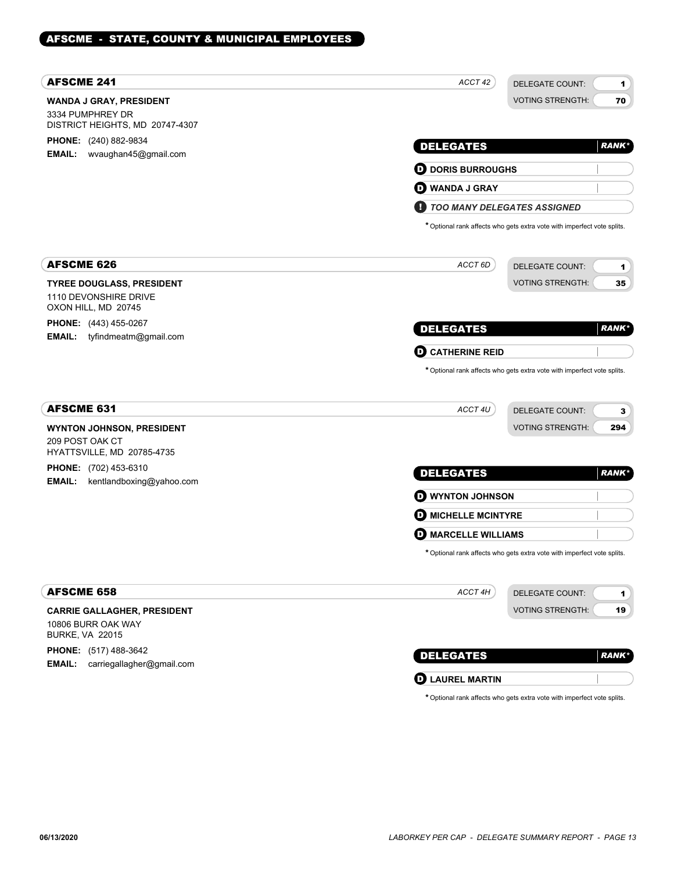# AFSCME - STATE, COUNTY & MUNICIPAL EMPLOYEES

| <b>VOTING STRENGTH:</b><br>70<br>WANDA J GRAY, PRESIDENT<br>3334 PUMPHREY DR<br>DISTRICT HEIGHTS, MD 20747-4307<br><b>PHONE:</b> (240) 882-9834<br><b>DELEGATES</b><br><b>RANK</b> *<br><b>EMAIL:</b><br>wvaughan45@gmail.com<br><b>D</b> DORIS BURROUGHS<br><b>D</b> WANDA J GRAY<br><b>TOO MANY DELEGATES ASSIGNED</b><br>* Optional rank affects who gets extra vote with imperfect vote splits.<br><b>AFSCME 626</b><br>ACCT 6D<br><b>DELEGATE COUNT:</b><br>1<br><b>VOTING STRENGTH:</b><br>35<br><b>TYREE DOUGLASS, PRESIDENT</b><br>1110 DEVONSHIRE DRIVE<br>OXON HILL, MD 20745<br><b>PHONE:</b> (443) 455-0267<br><b>DELEGATES</b><br><i><b>RANK*</b></i><br><b>EMAIL:</b><br>tyfindmeatm@gmail.com<br><b>CATHERINE REID</b><br>D<br>* Optional rank affects who gets extra vote with imperfect vote splits.<br><b>AFSCME 631</b><br>ACCT 4U<br>DELEGATE COUNT:<br>3<br><b>VOTING STRENGTH:</b><br>294<br><b>WYNTON JOHNSON, PRESIDENT</b><br>209 POST OAK CT<br>HYATTSVILLE, MD 20785-4735<br>PHONE: (702) 453-6310<br><b>DELEGATES</b><br><b>RANK</b> *<br><b>EMAIL:</b><br>kentlandboxing@yahoo.com<br><b>O WYNTON JOHNSON</b><br><b>O MICHELLE MCINTYRE</b><br>D.<br><b>MARCELLE WILLIAMS</b><br>* Optional rank affects who gets extra vote with imperfect vote splits. | <b>AFSCME 241</b> | ACCT 42<br>DELEGATE COUNT: | 1 |
|---------------------------------------------------------------------------------------------------------------------------------------------------------------------------------------------------------------------------------------------------------------------------------------------------------------------------------------------------------------------------------------------------------------------------------------------------------------------------------------------------------------------------------------------------------------------------------------------------------------------------------------------------------------------------------------------------------------------------------------------------------------------------------------------------------------------------------------------------------------------------------------------------------------------------------------------------------------------------------------------------------------------------------------------------------------------------------------------------------------------------------------------------------------------------------------------------------------------------------------------------------------------------------------|-------------------|----------------------------|---|
|                                                                                                                                                                                                                                                                                                                                                                                                                                                                                                                                                                                                                                                                                                                                                                                                                                                                                                                                                                                                                                                                                                                                                                                                                                                                                       |                   |                            |   |
|                                                                                                                                                                                                                                                                                                                                                                                                                                                                                                                                                                                                                                                                                                                                                                                                                                                                                                                                                                                                                                                                                                                                                                                                                                                                                       |                   |                            |   |
|                                                                                                                                                                                                                                                                                                                                                                                                                                                                                                                                                                                                                                                                                                                                                                                                                                                                                                                                                                                                                                                                                                                                                                                                                                                                                       |                   |                            |   |
|                                                                                                                                                                                                                                                                                                                                                                                                                                                                                                                                                                                                                                                                                                                                                                                                                                                                                                                                                                                                                                                                                                                                                                                                                                                                                       |                   |                            |   |
|                                                                                                                                                                                                                                                                                                                                                                                                                                                                                                                                                                                                                                                                                                                                                                                                                                                                                                                                                                                                                                                                                                                                                                                                                                                                                       |                   |                            |   |
|                                                                                                                                                                                                                                                                                                                                                                                                                                                                                                                                                                                                                                                                                                                                                                                                                                                                                                                                                                                                                                                                                                                                                                                                                                                                                       |                   |                            |   |
|                                                                                                                                                                                                                                                                                                                                                                                                                                                                                                                                                                                                                                                                                                                                                                                                                                                                                                                                                                                                                                                                                                                                                                                                                                                                                       |                   |                            |   |
|                                                                                                                                                                                                                                                                                                                                                                                                                                                                                                                                                                                                                                                                                                                                                                                                                                                                                                                                                                                                                                                                                                                                                                                                                                                                                       |                   |                            |   |
|                                                                                                                                                                                                                                                                                                                                                                                                                                                                                                                                                                                                                                                                                                                                                                                                                                                                                                                                                                                                                                                                                                                                                                                                                                                                                       |                   |                            |   |
|                                                                                                                                                                                                                                                                                                                                                                                                                                                                                                                                                                                                                                                                                                                                                                                                                                                                                                                                                                                                                                                                                                                                                                                                                                                                                       |                   |                            |   |
|                                                                                                                                                                                                                                                                                                                                                                                                                                                                                                                                                                                                                                                                                                                                                                                                                                                                                                                                                                                                                                                                                                                                                                                                                                                                                       |                   |                            |   |
|                                                                                                                                                                                                                                                                                                                                                                                                                                                                                                                                                                                                                                                                                                                                                                                                                                                                                                                                                                                                                                                                                                                                                                                                                                                                                       |                   |                            |   |
|                                                                                                                                                                                                                                                                                                                                                                                                                                                                                                                                                                                                                                                                                                                                                                                                                                                                                                                                                                                                                                                                                                                                                                                                                                                                                       |                   |                            |   |
|                                                                                                                                                                                                                                                                                                                                                                                                                                                                                                                                                                                                                                                                                                                                                                                                                                                                                                                                                                                                                                                                                                                                                                                                                                                                                       |                   |                            |   |
|                                                                                                                                                                                                                                                                                                                                                                                                                                                                                                                                                                                                                                                                                                                                                                                                                                                                                                                                                                                                                                                                                                                                                                                                                                                                                       |                   |                            |   |
|                                                                                                                                                                                                                                                                                                                                                                                                                                                                                                                                                                                                                                                                                                                                                                                                                                                                                                                                                                                                                                                                                                                                                                                                                                                                                       |                   |                            |   |
|                                                                                                                                                                                                                                                                                                                                                                                                                                                                                                                                                                                                                                                                                                                                                                                                                                                                                                                                                                                                                                                                                                                                                                                                                                                                                       |                   |                            |   |
|                                                                                                                                                                                                                                                                                                                                                                                                                                                                                                                                                                                                                                                                                                                                                                                                                                                                                                                                                                                                                                                                                                                                                                                                                                                                                       |                   |                            |   |
|                                                                                                                                                                                                                                                                                                                                                                                                                                                                                                                                                                                                                                                                                                                                                                                                                                                                                                                                                                                                                                                                                                                                                                                                                                                                                       |                   |                            |   |
|                                                                                                                                                                                                                                                                                                                                                                                                                                                                                                                                                                                                                                                                                                                                                                                                                                                                                                                                                                                                                                                                                                                                                                                                                                                                                       |                   |                            |   |
|                                                                                                                                                                                                                                                                                                                                                                                                                                                                                                                                                                                                                                                                                                                                                                                                                                                                                                                                                                                                                                                                                                                                                                                                                                                                                       |                   |                            |   |
|                                                                                                                                                                                                                                                                                                                                                                                                                                                                                                                                                                                                                                                                                                                                                                                                                                                                                                                                                                                                                                                                                                                                                                                                                                                                                       |                   |                            |   |
| <b>AFSCME 658</b><br>ACCT 4H<br><b>DELEGATE COUNT:</b><br>1                                                                                                                                                                                                                                                                                                                                                                                                                                                                                                                                                                                                                                                                                                                                                                                                                                                                                                                                                                                                                                                                                                                                                                                                                           |                   |                            |   |
| <b>VOTING STRENGTH:</b><br>19<br><b>CARRIE GALLAGHER, PRESIDENT</b>                                                                                                                                                                                                                                                                                                                                                                                                                                                                                                                                                                                                                                                                                                                                                                                                                                                                                                                                                                                                                                                                                                                                                                                                                   |                   |                            |   |
| 10806 BURR OAK WAY<br><b>BURKE, VA 22015</b>                                                                                                                                                                                                                                                                                                                                                                                                                                                                                                                                                                                                                                                                                                                                                                                                                                                                                                                                                                                                                                                                                                                                                                                                                                          |                   |                            |   |
| <b>PHONE:</b> (517) 488-3642<br><b>RANK</b> *                                                                                                                                                                                                                                                                                                                                                                                                                                                                                                                                                                                                                                                                                                                                                                                                                                                                                                                                                                                                                                                                                                                                                                                                                                         |                   | <b>DELEGATES</b>           |   |
|                                                                                                                                                                                                                                                                                                                                                                                                                                                                                                                                                                                                                                                                                                                                                                                                                                                                                                                                                                                                                                                                                                                                                                                                                                                                                       |                   | <b>O LAUREL MARTIN</b>     |   |
| <b>EMAIL:</b> carriegallagher@gmail.com                                                                                                                                                                                                                                                                                                                                                                                                                                                                                                                                                                                                                                                                                                                                                                                                                                                                                                                                                                                                                                                                                                                                                                                                                                               |                   |                            |   |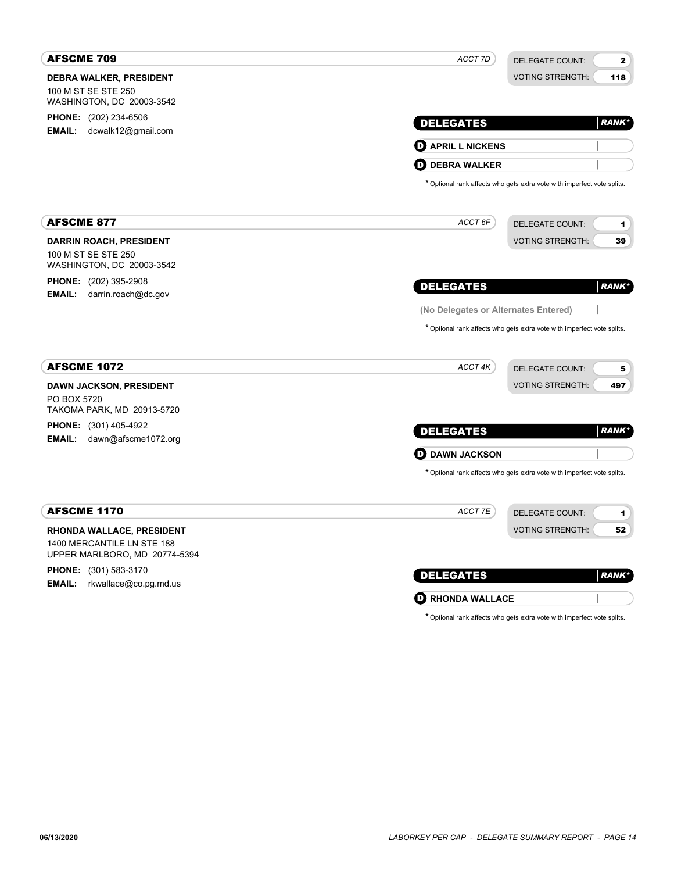| <b>AFSCME 709</b>                                                                  | ACCT 7D<br>DELEGATE COUNT:<br>$\mathbf{2}$                              |
|------------------------------------------------------------------------------------|-------------------------------------------------------------------------|
| <b>DEBRA WALKER, PRESIDENT</b>                                                     | <b>VOTING STRENGTH:</b><br>118                                          |
| 100 M ST SE STE 250<br>WASHINGTON, DC 20003-3542                                   |                                                                         |
| PHONE: (202) 234-6506                                                              |                                                                         |
| EMAIL: dcwalk12@gmail.com                                                          | <b>DELEGATES</b><br><b>RANK</b> *                                       |
|                                                                                    | <b>O</b> APRIL L NICKENS                                                |
|                                                                                    | <b>D</b> DEBRA WALKER                                                   |
|                                                                                    | * Optional rank affects who gets extra vote with imperfect vote splits. |
| <b>AFSCME 877</b>                                                                  | ACCT 6F<br><b>DELEGATE COUNT:</b><br>1                                  |
| <b>DARRIN ROACH, PRESIDENT</b><br>100 M ST SE STE 250<br>WASHINGTON, DC 20003-3542 | <b>VOTING STRENGTH:</b><br>39                                           |
| <b>PHONE:</b> (202) 395-2908                                                       | <b>DELEGATES</b><br><b>RANK*</b>                                        |
| <b>EMAIL:</b><br>darrin.roach@dc.gov                                               |                                                                         |
|                                                                                    | (No Delegates or Alternates Entered)                                    |
|                                                                                    | * Optional rank affects who gets extra vote with imperfect vote splits. |
|                                                                                    |                                                                         |
| <b>AFSCME 1072</b>                                                                 | ACCT 4K<br><b>DELEGATE COUNT:</b><br>5                                  |
| <b>DAWN JACKSON, PRESIDENT</b>                                                     | <b>VOTING STRENGTH:</b><br>497                                          |
| PO BOX 5720<br>TAKOMA PARK, MD 20913-5720                                          |                                                                         |
| <b>PHONE:</b> (301) 405-4922                                                       |                                                                         |
| <b>EMAIL:</b><br>dawn@afscme1072.org                                               | <b>DELEGATES</b><br><b>RANK*</b>                                        |
|                                                                                    | <b>D</b> DAWN JACKSON                                                   |
|                                                                                    | * Optional rank affects who gets extra vote with imperfect vote splits. |
| <b>AFSCME 1170</b>                                                                 | ACCT 7E<br><b>DELEGATE COUNT:</b><br>1                                  |
| <b>RHONDA WALLACE, PRESIDENT</b>                                                   | <b>VOTING STRENGTH:</b><br>52                                           |
| 1400 MERCANTILE LN STE 188<br>UPPER MARLBORO, MD 20774-5394                        |                                                                         |
|                                                                                    |                                                                         |
|                                                                                    |                                                                         |
| <b>PHONE:</b> (301) 583-3170<br><b>EMAIL:</b><br>rkwallace@co.pg.md.us             | <b>RANK*</b><br><b>DELEGATES</b>                                        |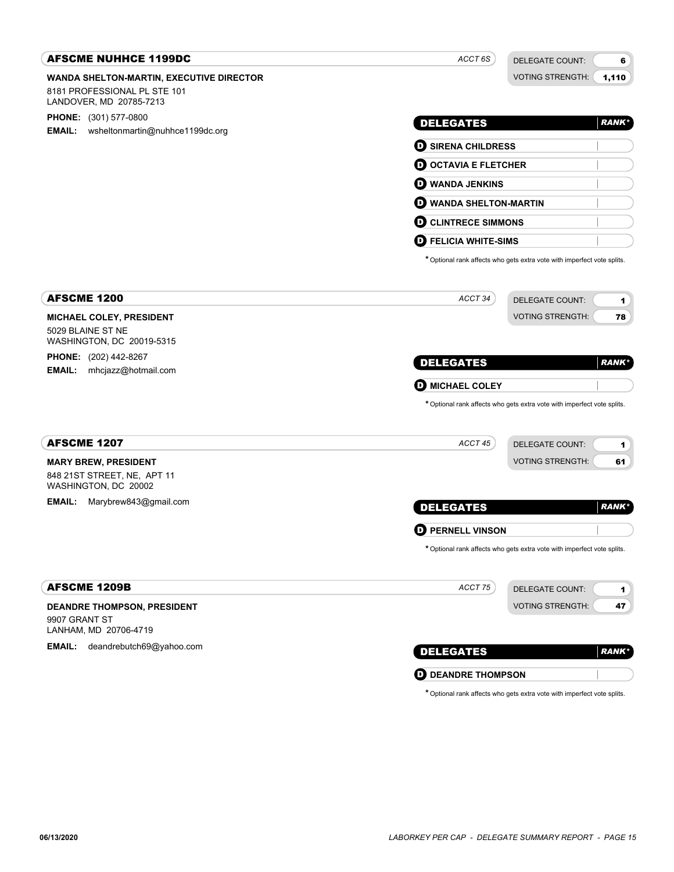| <b>AFSCME NUHHCE 1199DC</b>                               | ACCT 6S                       | <b>DELEGATE COUNT:</b>                                                  | 6            |
|-----------------------------------------------------------|-------------------------------|-------------------------------------------------------------------------|--------------|
| WANDA SHELTON-MARTIN, EXECUTIVE DIRECTOR                  |                               | <b>VOTING STRENGTH:</b>                                                 | 1,110        |
| 8181 PROFESSIONAL PL STE 101<br>LANDOVER, MD 20785-7213   |                               |                                                                         |              |
| <b>PHONE:</b> (301) 577-0800                              |                               |                                                                         | <b>RANK*</b> |
| <b>EMAIL:</b><br>wsheltonmartin@nuhhce1199dc.org          | <b>DELEGATES</b>              |                                                                         |              |
|                                                           | <b>D</b> SIRENA CHILDRESS     |                                                                         |              |
|                                                           | <b>O OCTAVIA E FLETCHER</b>   |                                                                         |              |
|                                                           | <b>O WANDA JENKINS</b>        |                                                                         |              |
|                                                           | <b>D</b> WANDA SHELTON-MARTIN |                                                                         |              |
|                                                           | <b>O CLINTRECE SIMMONS</b>    |                                                                         |              |
|                                                           | <b>D</b> FELICIA WHITE-SIMS   |                                                                         |              |
|                                                           |                               | * Optional rank affects who gets extra vote with imperfect vote splits. |              |
|                                                           |                               |                                                                         |              |
| <b>AFSCME 1200</b>                                        | ACCT 34                       | <b>DELEGATE COUNT:</b>                                                  | 1            |
| <b>MICHAEL COLEY, PRESIDENT</b>                           |                               | <b>VOTING STRENGTH:</b>                                                 | 78           |
| 5029 BLAINE ST NE                                         |                               |                                                                         |              |
| WASHINGTON, DC 20019-5315<br><b>PHONE:</b> (202) 442-8267 |                               |                                                                         |              |
| <b>EMAIL:</b><br>mhcjazz@hotmail.com                      | <b>DELEGATES</b>              |                                                                         | <b>RANK*</b> |
|                                                           | <b>O MICHAEL COLEY</b>        |                                                                         |              |
|                                                           |                               | * Optional rank affects who gets extra vote with imperfect vote splits. |              |
|                                                           |                               |                                                                         |              |
| <b>AFSCME 1207</b>                                        | ACCT 45                       | <b>DELEGATE COUNT:</b>                                                  | 1            |
| <b>MARY BREW, PRESIDENT</b>                               |                               | <b>VOTING STRENGTH:</b>                                                 | 61           |
| 848 21ST STREET, NE, APT 11                               |                               |                                                                         |              |
| WASHINGTON, DC 20002<br>Marybrew843@gmail.com<br>EMAIL:   |                               |                                                                         |              |
|                                                           | <b>DELEGATES</b>              |                                                                         | <b>RANK*</b> |
|                                                           | <b>D</b> PERNELL VINSON       |                                                                         |              |
|                                                           |                               | * Optional rank affects who gets extra vote with imperfect vote splits. |              |
|                                                           |                               |                                                                         |              |
| <b>AFSCME 1209B</b>                                       | ACCT 75                       | <b>DELEGATE COUNT:</b>                                                  | 1            |
| <b>DEANDRE THOMPSON, PRESIDENT</b>                        |                               | <b>VOTING STRENGTH:</b>                                                 | 47           |
| 9907 GRANT ST                                             |                               |                                                                         |              |
| LANHAM, MD 20706-4719                                     |                               |                                                                         |              |
| <b>EMAIL:</b><br>deandrebutch69@yahoo.com                 | <b>DELEGATES</b>              |                                                                         | <b>RANK*</b> |
|                                                           | <b>O DEANDRE THOMPSON</b>     |                                                                         |              |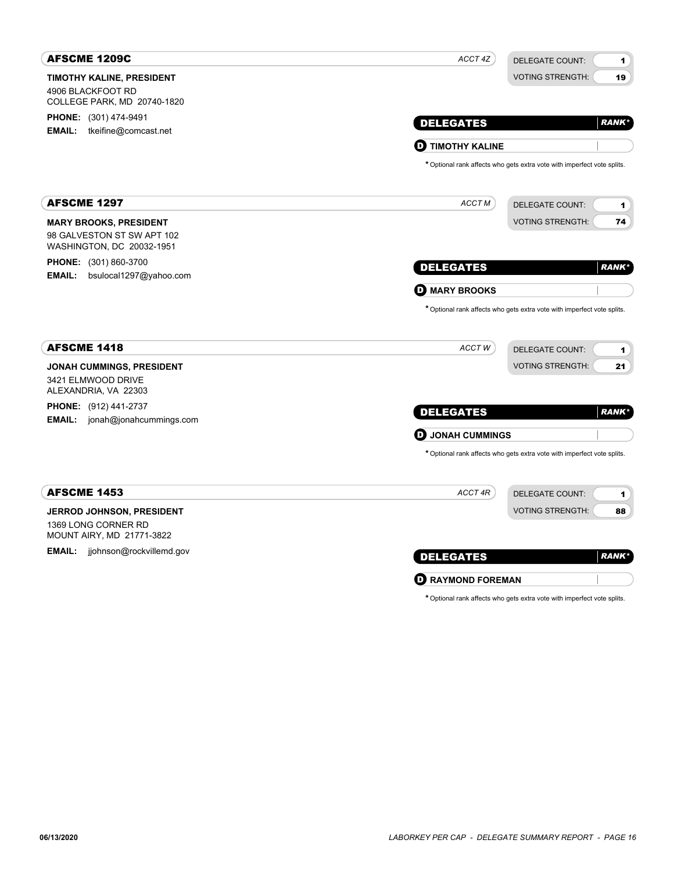| <b>AFSCME 1209C</b>                                                                      | ACCT 4Z                    | DELEGATE COUNT:<br>$\mathbf 1$                                                                         |
|------------------------------------------------------------------------------------------|----------------------------|--------------------------------------------------------------------------------------------------------|
| <b>TIMOTHY KALINE, PRESIDENT</b><br>4906 BLACKFOOT RD<br>COLLEGE PARK, MD 20740-1820     |                            | 19<br><b>VOTING STRENGTH:</b>                                                                          |
| <b>PHONE:</b> (301) 474-9491<br><b>EMAIL:</b><br>tkeifine@comcast.net                    | <b>DELEGATES</b>           | <b>RANK*</b>                                                                                           |
|                                                                                          | <b>TIMOTHY KALINE</b><br>o |                                                                                                        |
|                                                                                          |                            | * Optional rank affects who gets extra vote with imperfect vote splits.                                |
| <b>AFSCME 1297</b>                                                                       | ACCT M                     | <b>DELEGATE COUNT:</b><br>1                                                                            |
| <b>MARY BROOKS, PRESIDENT</b><br>98 GALVESTON ST SW APT 102<br>WASHINGTON, DC 20032-1951 |                            | <b>VOTING STRENGTH:</b><br>74                                                                          |
| <b>PHONE:</b> (301) 860-3700<br>bsulocal1297@yahoo.com<br><b>EMAIL:</b>                  | <b>DELEGATES</b>           | <b>RANK</b> *                                                                                          |
|                                                                                          | <b>D</b> MARY BROOKS       |                                                                                                        |
| <b>AFSCME 1418</b>                                                                       | ACCTW                      | * Optional rank affects who gets extra vote with imperfect vote splits.<br><b>DELEGATE COUNT:</b><br>1 |
| <b>JONAH CUMMINGS, PRESIDENT</b><br>3421 ELMWOOD DRIVE<br>ALEXANDRIA, VA 22303           |                            | <b>VOTING STRENGTH:</b><br>21                                                                          |
| <b>PHONE:</b> (912) 441-2737<br><b>EMAIL:</b> jonah@jonahcummings.com                    | <b>DELEGATES</b>           | <b>RANK</b> *                                                                                          |
|                                                                                          | <b>D</b> JONAH CUMMINGS    |                                                                                                        |
|                                                                                          |                            | * Optional rank affects who gets extra vote with imperfect vote splits.                                |
| <b>AFSCME 1453</b>                                                                       | ACCT 4R                    | <b>DELEGATE COUNT:</b><br>1                                                                            |
| <b>JERROD JOHNSON, PRESIDENT</b><br>1369 LONG CORNER RD<br>MOUNT AIRY, MD 21771-3822     |                            | <b>VOTING STRENGTH:</b><br>88                                                                          |
| <b>EMAIL:</b><br>jjohnson@rockvillemd.gov                                                | <b>DELEGATES</b>           | <b>RANK</b> *                                                                                          |
|                                                                                          | <b>D</b> RAYMOND FOREMAN   |                                                                                                        |

| * Optional rank affects who gets extra vote with imperfect vote splits. |  |  |  |
|-------------------------------------------------------------------------|--|--|--|
|-------------------------------------------------------------------------|--|--|--|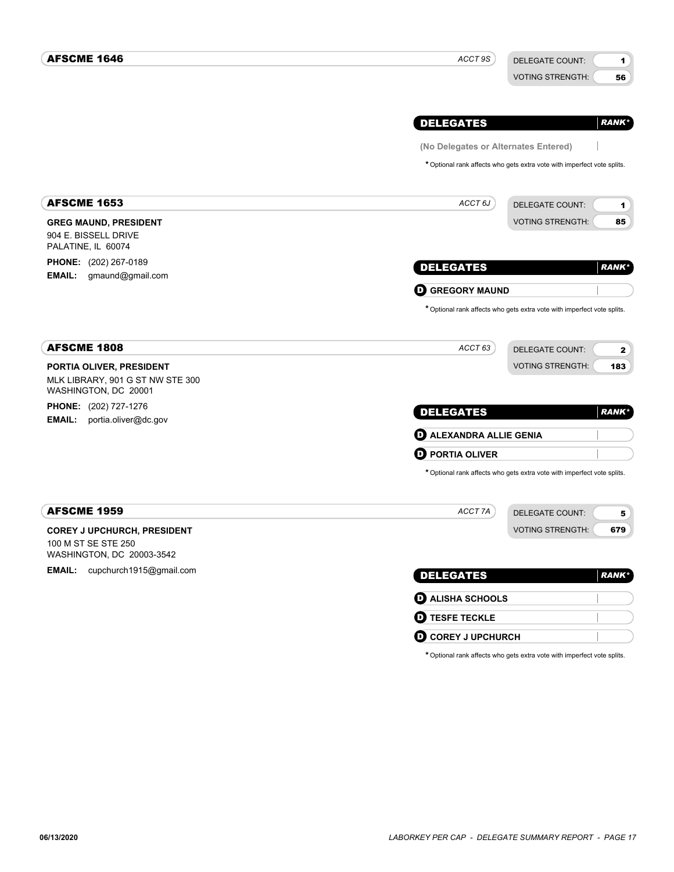| <b>AFSCME 1646</b>                                                                     | ACCT 9S                                                                 | <b>DELEGATE COUNT:</b>  | 1             |
|----------------------------------------------------------------------------------------|-------------------------------------------------------------------------|-------------------------|---------------|
|                                                                                        |                                                                         | <b>VOTING STRENGTH:</b> | 56            |
|                                                                                        |                                                                         |                         |               |
|                                                                                        | <b>DELEGATES</b>                                                        |                         | <b>RANK*</b>  |
|                                                                                        | (No Delegates or Alternates Entered)                                    |                         |               |
|                                                                                        | * Optional rank affects who gets extra vote with imperfect vote splits. |                         |               |
| <b>AFSCME 1653</b>                                                                     | ACCT 6J                                                                 | <b>DELEGATE COUNT:</b>  | 1             |
| <b>GREG MAUND, PRESIDENT</b>                                                           |                                                                         | <b>VOTING STRENGTH:</b> | 85            |
| 904 E. BISSELL DRIVE<br>PALATINE, IL 60074                                             |                                                                         |                         |               |
| <b>PHONE:</b> (202) 267-0189                                                           | <b>DELEGATES</b>                                                        |                         | <b>RANK</b> * |
| <b>EMAIL:</b><br>gmaund@gmail.com                                                      | <b>O GREGORY MAUND</b>                                                  |                         |               |
|                                                                                        | * Optional rank affects who gets extra vote with imperfect vote splits. |                         |               |
| <b>AFSCME 1808</b>                                                                     | ACCT 63                                                                 | DELEGATE COUNT:         | $\mathbf{2}$  |
| PORTIA OLIVER, PRESIDENT<br>MLK LIBRARY, 901 G ST NW STE 300<br>WASHINGTON, DC 20001   |                                                                         | <b>VOTING STRENGTH:</b> | 183           |
| <b>PHONE:</b> (202) 727-1276<br><b>EMAIL:</b><br>portia.oliver@dc.gov                  | <b>DELEGATES</b>                                                        |                         | <b>RANK*</b>  |
|                                                                                        | <b>D</b> ALEXANDRA ALLIE GENIA                                          |                         |               |
|                                                                                        | <b>D</b> PORTIA OLIVER                                                  |                         |               |
|                                                                                        | * Optional rank affects who gets extra vote with imperfect vote splits. |                         |               |
| <b>AFSCME 1959</b>                                                                     | ACCT 7A                                                                 | <b>DELEGATE COUNT:</b>  | 5             |
| <b>COREY J UPCHURCH, PRESIDENT</b><br>100 M ST SE STE 250<br>WASHINGTON, DC 20003-3542 |                                                                         | <b>VOTING STRENGTH:</b> | 679           |
| EMAIL: cupchurch1915@gmail.com                                                         | <b>DELEGATES</b>                                                        |                         | <b>RANK</b> * |
|                                                                                        | <b>D</b> ALISHA SCHOOLS                                                 |                         |               |
|                                                                                        | <b>O TESFE TECKLE</b>                                                   |                         |               |
|                                                                                        | <b>O COREY J UPCHURCH</b>                                               |                         |               |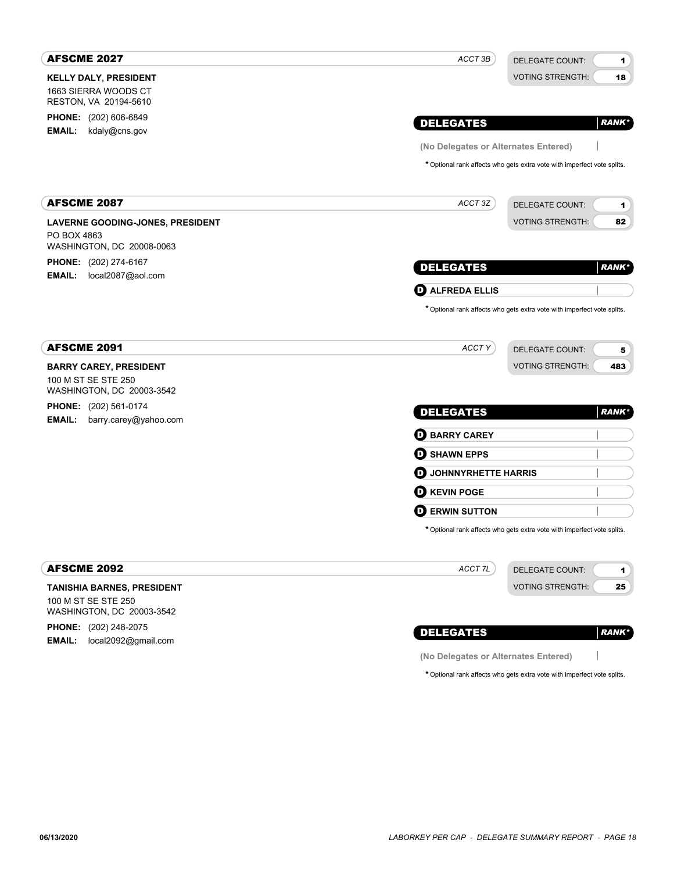| <b>AFSCME 2027</b>                                                 | ACCT 3B                              | <b>DELEGATE COUNT:</b><br>1                                             |
|--------------------------------------------------------------------|--------------------------------------|-------------------------------------------------------------------------|
| <b>KELLY DALY, PRESIDENT</b>                                       |                                      | <b>VOTING STRENGTH:</b><br>18                                           |
| 1663 SIERRA WOODS CT<br>RESTON, VA 20194-5610                      |                                      |                                                                         |
| <b>PHONE:</b> (202) 606-6849                                       |                                      |                                                                         |
| EMAIL:<br>kdaly@cns.gov                                            | <b>DELEGATES</b>                     | <b>RANK*</b>                                                            |
|                                                                    | (No Delegates or Alternates Entered) |                                                                         |
|                                                                    |                                      | * Optional rank affects who gets extra vote with imperfect vote splits. |
| <b>AFSCME 2087</b>                                                 | ACCT 3Z                              | <b>DELEGATE COUNT:</b><br>1                                             |
| <b>LAVERNE GOODING-JONES, PRESIDENT</b>                            |                                      | <b>VOTING STRENGTH:</b><br>82                                           |
| PO BOX 4863<br>WASHINGTON, DC 20008-0063                           |                                      |                                                                         |
| <b>PHONE:</b> (202) 274-6167<br><b>EMAIL:</b><br>local2087@aol.com | <b>DELEGATES</b>                     | <b>RANK*</b>                                                            |
|                                                                    | <b>O</b> ALFREDA ELLIS               |                                                                         |
|                                                                    |                                      | * Optional rank affects who gets extra vote with imperfect vote splits. |
| <b>AFSCME 2091</b>                                                 | ACCT Y                               | <b>DELEGATE COUNT:</b><br>5                                             |
| <b>BARRY CAREY, PRESIDENT</b>                                      |                                      | <b>VOTING STRENGTH:</b><br>483                                          |
| 100 M ST SE STE 250<br>WASHINGTON, DC 20003-3542                   |                                      |                                                                         |
| <b>PHONE:</b> (202) 561-0174<br>EMAIL:<br>barry.carey@yahoo.com    | <b>DELEGATES</b>                     | <b>RANK*</b>                                                            |
|                                                                    | <b>O BARRY CAREY</b>                 |                                                                         |
|                                                                    | <b>O</b> SHAWN EPPS                  |                                                                         |
|                                                                    | <b>O</b> JOHNNYRHETTE HARRIS         |                                                                         |
|                                                                    | <b>D</b> KEVIN POGE                  |                                                                         |
|                                                                    | <b>D</b> ERWIN SUTTON                |                                                                         |
|                                                                    |                                      | * Optional rank affects who gets extra vote with imperfect vote splits. |
| <b>AFSCME 2092</b>                                                 | ACCT 7L                              | <b>DELEGATE COUNT:</b><br>1                                             |
| <b>TANISHIA BARNES, PRESIDENT</b>                                  |                                      | <b>VOTING STRENGTH:</b><br>25                                           |
| 100 M ST SE STE 250<br>WASHINGTON, DC 20003-3542                   |                                      |                                                                         |
| PHONE: (202) 248-2075                                              | <b>DELEGATES</b>                     | <b>RANK*</b>                                                            |
| local2092@gmail.com<br><b>EMAIL:</b>                               | (No Delegates or Alternates Entered) |                                                                         |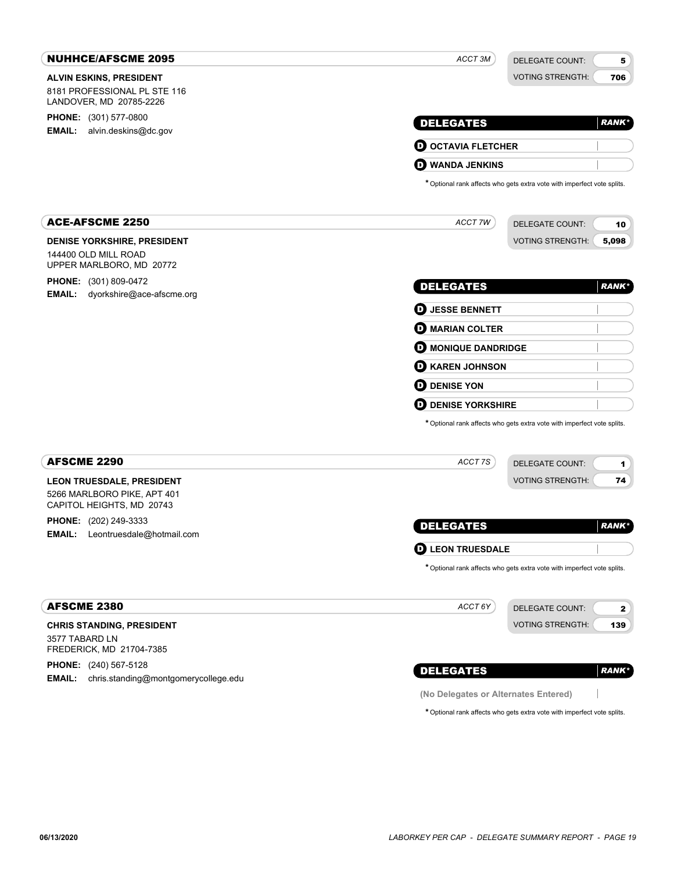| <b>NUHHCE/AFSCME 2095</b>                                                             | ACCT <sub>3M</sub>                   | <b>DELEGATE COUNT:</b>                                                  | 5             |
|---------------------------------------------------------------------------------------|--------------------------------------|-------------------------------------------------------------------------|---------------|
| <b>ALVIN ESKINS, PRESIDENT</b>                                                        |                                      | <b>VOTING STRENGTH:</b>                                                 | 706           |
| 8181 PROFESSIONAL PL STE 116<br>LANDOVER, MD 20785-2226                               |                                      |                                                                         |               |
| <b>PHONE:</b> (301) 577-0800                                                          | <b>DELEGATES</b>                     |                                                                         | <b>RANK*</b>  |
| <b>EMAIL:</b><br>alvin.deskins@dc.gov                                                 |                                      |                                                                         |               |
|                                                                                       | <b>O OCTAVIA FLETCHER</b>            |                                                                         |               |
|                                                                                       | <b>WANDA JENKINS</b><br>D.           |                                                                         |               |
|                                                                                       |                                      | * Optional rank affects who gets extra vote with imperfect vote splits. |               |
| <b>ACE-AFSCME 2250</b>                                                                | ACCT 7W                              | <b>DELEGATE COUNT:</b>                                                  | 10            |
| DENISE YORKSHIRE, PRESIDENT                                                           |                                      | <b>VOTING STRENGTH:</b>                                                 | 5,098         |
| 144400 OLD MILL ROAD<br>UPPER MARLBORO, MD 20772                                      |                                      |                                                                         |               |
| <b>PHONE:</b> (301) 809-0472                                                          |                                      |                                                                         |               |
| <b>EMAIL:</b><br>dyorkshire@ace-afscme.org                                            | <b>DELEGATES</b>                     |                                                                         | <b>RANK*</b>  |
|                                                                                       | <b>D</b> JESSE BENNETT               |                                                                         |               |
|                                                                                       | <b>D</b> MARIAN COLTER               |                                                                         |               |
|                                                                                       | <b>O</b> MONIQUE DANDRIDGE           |                                                                         |               |
|                                                                                       | <b>O KAREN JOHNSON</b>               |                                                                         |               |
|                                                                                       | <b>D</b> DENISE YON                  |                                                                         |               |
|                                                                                       | <b>D</b> DENISE YORKSHIRE            |                                                                         |               |
|                                                                                       |                                      | * Optional rank affects who gets extra vote with imperfect vote splits. |               |
| <b>AFSCME 2290</b>                                                                    | ACCT 7S                              | DELEGATE COUNT:                                                         | 1             |
| <b>LEON TRUESDALE, PRESIDENT</b>                                                      |                                      | <b>VOTING STRENGTH:</b>                                                 | 74            |
| 5266 MARLBORO PIKE, APT 401<br>CAPITOL HEIGHTS, MD 20743                              |                                      |                                                                         |               |
| PHONE: (202) 249-3333                                                                 |                                      |                                                                         |               |
| EMAIL:<br>Leontruesdale@hotmail.com                                                   | <b>DELEGATES</b>                     |                                                                         | <b>RANK</b> * |
|                                                                                       | <b>LEON TRUESDALE</b><br>D           |                                                                         |               |
|                                                                                       |                                      | * Optional rank affects who gets extra vote with imperfect vote splits. |               |
| <b>AFSCME 2380</b>                                                                    | ACCT 6Y                              | DELEGATE COUNT:                                                         | $\mathbf{2}$  |
| <b>CHRIS STANDING, PRESIDENT</b>                                                      |                                      | <b>VOTING STRENGTH:</b>                                                 | 139           |
| 3577 TABARD LN<br>FREDERICK, MD 21704-7385                                            |                                      |                                                                         |               |
| <b>PHONE:</b> (240) 567-5128<br><b>EMAIL:</b><br>chris.standing@montgomerycollege.edu | <b>DELEGATES</b>                     |                                                                         | <b>RANK*</b>  |
|                                                                                       | (No Delegates or Alternates Entered) |                                                                         |               |
|                                                                                       |                                      | * Optional rank affects who gets extra vote with imperfect vote splits. |               |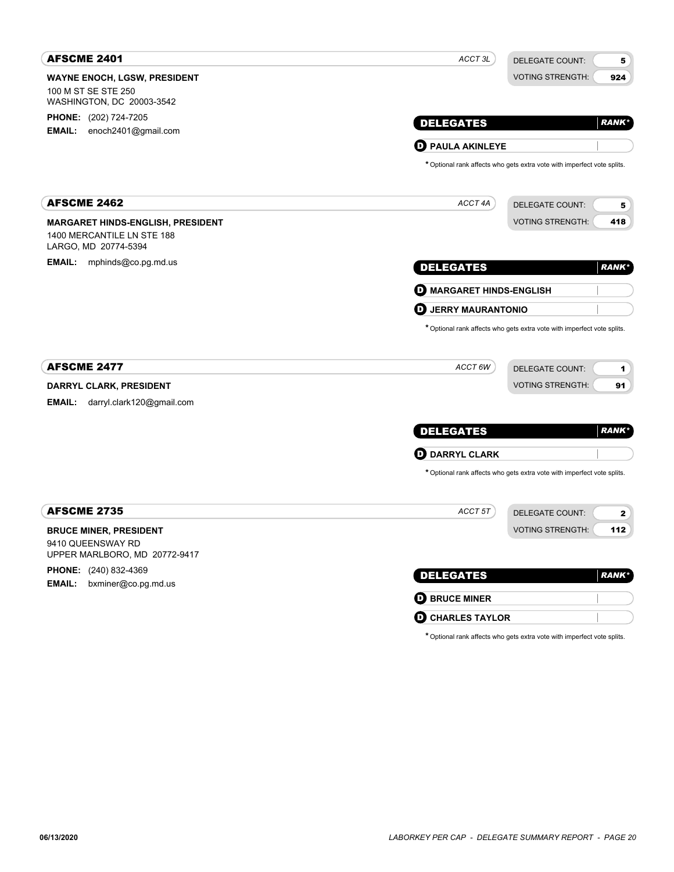| <b>AFSCME 2401</b>                                 | ACCT <sub>3L</sub>              | <b>DELEGATE COUNT:</b><br>5                                             |
|----------------------------------------------------|---------------------------------|-------------------------------------------------------------------------|
| <b>WAYNE ENOCH, LGSW, PRESIDENT</b>                |                                 | <b>VOTING STRENGTH:</b><br>924                                          |
| 100 M ST SE STE 250<br>WASHINGTON, DC 20003-3542   |                                 |                                                                         |
| <b>PHONE:</b> (202) 724-7205                       | <b>DELEGATES</b>                | <b>RANK*</b>                                                            |
| EMAIL: enoch2401@gmail.com                         |                                 |                                                                         |
|                                                    | <b>D</b> PAULA AKINLEYE         |                                                                         |
|                                                    |                                 | * Optional rank affects who gets extra vote with imperfect vote splits. |
| <b>AFSCME 2462</b>                                 | ACCT 4A                         | <b>DELEGATE COUNT:</b><br>5                                             |
| <b>MARGARET HINDS-ENGLISH, PRESIDENT</b>           |                                 | <b>VOTING STRENGTH:</b><br>418                                          |
| 1400 MERCANTILE LN STE 188<br>LARGO, MD 20774-5394 |                                 |                                                                         |
| <b>EMAIL:</b><br>mphinds@co.pg.md.us               | <b>DELEGATES</b>                | <b>RANK*</b>                                                            |
|                                                    | <b>D</b> MARGARET HINDS-ENGLISH |                                                                         |
|                                                    | O<br><b>JERRY MAURANTONIO</b>   |                                                                         |
| <b>AFSCME 2477</b>                                 | ACCT 6W                         | DELEGATE COUNT:<br>1                                                    |
| DARRYL CLARK, PRESIDENT                            |                                 | <b>VOTING STRENGTH:</b><br>91                                           |
| <b>EMAIL:</b><br>darryl.clark120@gmail.com         |                                 |                                                                         |
|                                                    | <b>DELEGATES</b>                | <b>RANK*</b>                                                            |
|                                                    | <b>D</b> DARRYL CLARK           |                                                                         |
|                                                    |                                 | * Optional rank affects who gets extra vote with imperfect vote splits. |
| <b>AFSCME 2735</b>                                 | ACCT 5T                         | <b>DELEGATE COUNT:</b><br>2                                             |
| <b>BRUCE MINER, PRESIDENT</b>                      |                                 | <b>VOTING STRENGTH:</b><br>112                                          |
| 9410 QUEENSWAY RD<br>UPPER MARLBORO, MD 20772-9417 |                                 |                                                                         |
| PHONE: (240) 832-4369                              | <b>DELEGATES</b>                | <b>RANK*</b>                                                            |
| <b>EMAIL:</b><br>bxminer@co.pg.md.us               |                                 |                                                                         |
|                                                    | <b>O BRUCE MINER</b>            |                                                                         |
|                                                    | <b>O CHARLES TAYLOR</b>         |                                                                         |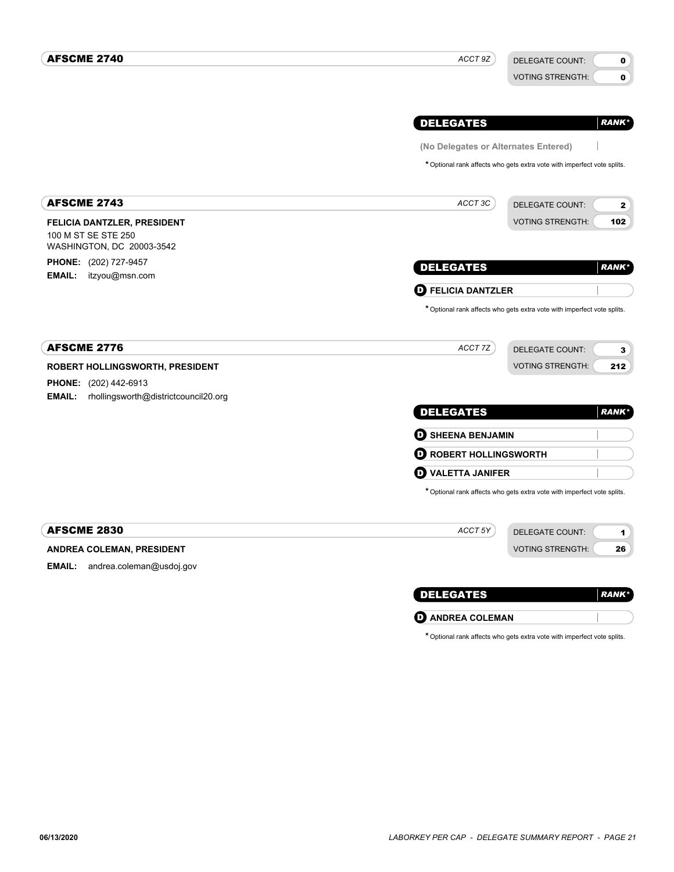| <b>AFSCME 2740</b>                                                              | ACCT 9Z                              | DELEGATE COUNT:<br>0                                                    |
|---------------------------------------------------------------------------------|--------------------------------------|-------------------------------------------------------------------------|
|                                                                                 |                                      | 0<br><b>VOTING STRENGTH:</b>                                            |
|                                                                                 | <b>DELEGATES</b>                     | <b>RANK*</b>                                                            |
|                                                                                 | (No Delegates or Alternates Entered) |                                                                         |
|                                                                                 |                                      | * Optional rank affects who gets extra vote with imperfect vote splits. |
| <b>AFSCME 2743</b>                                                              | ACCT 3C                              | <b>DELEGATE COUNT:</b><br>$\mathbf{2}$                                  |
| FELICIA DANTZLER, PRESIDENT<br>100 M ST SE STE 250<br>WASHINGTON, DC 20003-3542 |                                      | <b>VOTING STRENGTH:</b><br>102                                          |
| <b>PHONE:</b> (202) 727-9457<br>EMAIL:<br>itzyou@msn.com                        | <b>DELEGATES</b>                     | <b>RANK*</b>                                                            |
|                                                                                 | <b>D</b> FELICIA DANTZLER            |                                                                         |
|                                                                                 |                                      | * Optional rank affects who gets extra vote with imperfect vote splits. |
| <b>AFSCME 2776</b>                                                              | ACCT 7Z                              | <b>DELEGATE COUNT:</b><br>$\mathbf{3}$                                  |
| ROBERT HOLLINGSWORTH, PRESIDENT                                                 |                                      | <b>VOTING STRENGTH:</b><br>212                                          |
| PHONE: (202) 442-6913                                                           |                                      |                                                                         |
| rhollingsworth@districtcouncil20.org<br><b>EMAIL:</b>                           | <b>DELEGATES</b>                     | <b>RANK*</b>                                                            |
|                                                                                 | <b>D</b> SHEENA BENJAMIN             |                                                                         |
|                                                                                 | <b>O ROBERT HOLLINGSWORTH</b>        |                                                                         |
|                                                                                 | <b>D</b> VALETTA JANIFER             |                                                                         |
|                                                                                 |                                      | * Optional rank affects who gets extra vote with imperfect vote splits. |
| <b>AFSCME 2830</b>                                                              | ACCT 5Y                              | <b>DELEGATE COUNT:</b><br>1                                             |
| ANDREA COLEMAN, PRESIDENT                                                       |                                      | <b>VOTING STRENGTH:</b><br>26                                           |
| <b>EMAIL:</b><br>andrea.coleman@usdoj.gov                                       |                                      |                                                                         |
|                                                                                 | <b>DELEGATES</b>                     | <b>RANK</b> *                                                           |
|                                                                                 | <b>O</b> ANDREA COLEMAN              |                                                                         |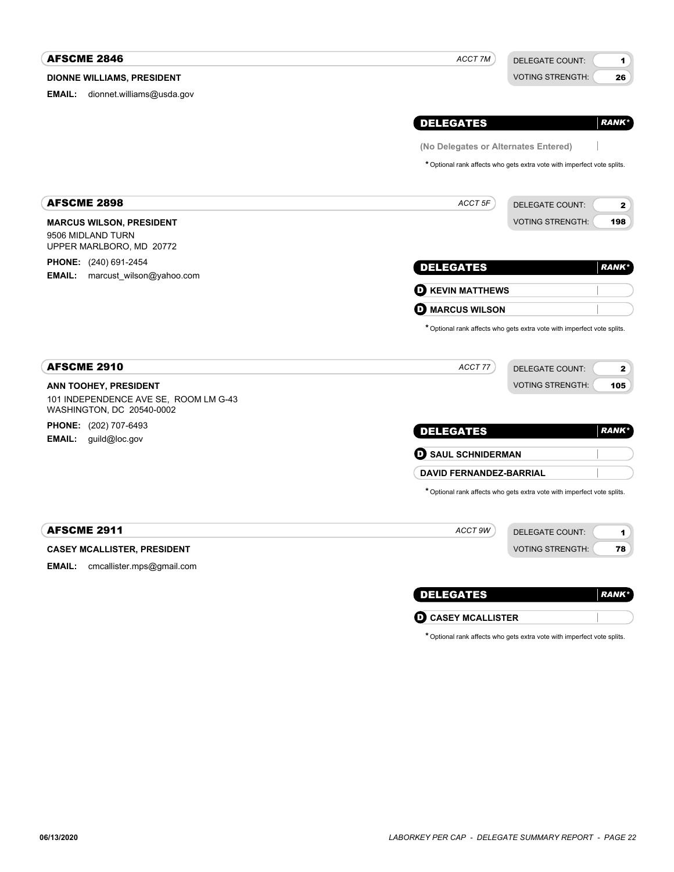| <b>AFSCME 2846</b>                                                                                 | ACCT 7M                              | <b>DELEGATE COUNT:</b>                                                  | 1             |
|----------------------------------------------------------------------------------------------------|--------------------------------------|-------------------------------------------------------------------------|---------------|
| <b>DIONNE WILLIAMS, PRESIDENT</b>                                                                  |                                      | <b>VOTING STRENGTH:</b>                                                 | 26            |
| dionnet.williams@usda.gov<br>EMAIL:                                                                |                                      |                                                                         |               |
|                                                                                                    | <b>DELEGATES</b>                     |                                                                         | <b>RANK</b> * |
|                                                                                                    | (No Delegates or Alternates Entered) |                                                                         |               |
|                                                                                                    |                                      | * Optional rank affects who gets extra vote with imperfect vote splits. |               |
| <b>AFSCME 2898</b>                                                                                 | ACCT 5F                              | <b>DELEGATE COUNT:</b>                                                  | $\mathbf{2}$  |
| <b>MARCUS WILSON, PRESIDENT</b>                                                                    |                                      | <b>VOTING STRENGTH:</b>                                                 | 198           |
| 9506 MIDLAND TURN<br>UPPER MARLBORO, MD 20772                                                      |                                      |                                                                         |               |
| <b>PHONE:</b> (240) 691-2454                                                                       | <b>DELEGATES</b>                     |                                                                         | <b>RANK</b> * |
| marcust wilson@yahoo.com<br>EMAIL:                                                                 | <b>O KEVIN MATTHEWS</b>              |                                                                         |               |
|                                                                                                    | <b>MARCUS WILSON</b><br>D)           |                                                                         |               |
|                                                                                                    |                                      | * Optional rank affects who gets extra vote with imperfect vote splits. |               |
| <b>AFSCME 2910</b>                                                                                 | ACCT 77                              | <b>DELEGATE COUNT:</b>                                                  | 2             |
| <b>ANN TOOHEY, PRESIDENT</b><br>101 INDEPENDENCE AVE SE, ROOM LM G-43<br>WASHINGTON, DC 20540-0002 |                                      | <b>VOTING STRENGTH:</b>                                                 | 105           |
| <b>PHONE:</b> (202) 707-6493                                                                       | <b>DELEGATES</b>                     |                                                                         | <b>RANK</b> * |
| <b>EMAIL:</b> guild@loc.gov                                                                        | <b>O</b> SAUL SCHNIDERMAN            |                                                                         |               |
|                                                                                                    | <b>DAVID FERNANDEZ-BARRIAL</b>       |                                                                         |               |
|                                                                                                    |                                      | * Optional rank affects who gets extra vote with imperfect vote splits. |               |
| <b>AFSCME 2911</b>                                                                                 | ACCT 9W                              | <b>DELEGATE COUNT:</b>                                                  | 1             |
| <b>CASEY MCALLISTER, PRESIDENT</b>                                                                 |                                      | <b>VOTING STRENGTH:</b>                                                 | 78            |
| EMAIL:<br>cmcallister.mps@gmail.com                                                                |                                      |                                                                         |               |
|                                                                                                    |                                      |                                                                         |               |
|                                                                                                    |                                      |                                                                         |               |

D **CASEY MCALLISTER**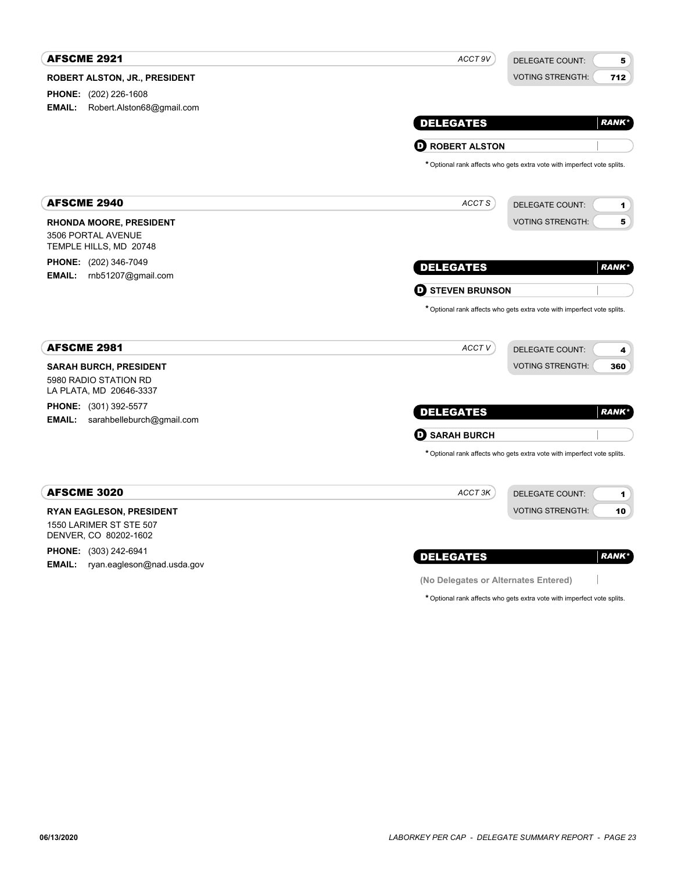| <b>AFSCME 2921</b>                                                         | ACCT 9V                              | <b>DELEGATE COUNT:</b><br>5                                             |
|----------------------------------------------------------------------------|--------------------------------------|-------------------------------------------------------------------------|
| <b>ROBERT ALSTON, JR., PRESIDENT</b>                                       |                                      | <b>VOTING STRENGTH:</b><br>712                                          |
| <b>PHONE:</b> (202) 226-1608                                               |                                      |                                                                         |
| <b>EMAIL:</b><br>Robert.Alston68@gmail.com                                 |                                      |                                                                         |
|                                                                            | <b>DELEGATES</b>                     | <b>RANK</b> *                                                           |
|                                                                            | <b>O ROBERT ALSTON</b>               |                                                                         |
|                                                                            |                                      | * Optional rank affects who gets extra vote with imperfect vote splits. |
| <b>AFSCME 2940</b>                                                         | ACCT S                               | <b>DELEGATE COUNT:</b><br>1                                             |
| <b>RHONDA MOORE, PRESIDENT</b>                                             |                                      | <b>VOTING STRENGTH:</b><br>5                                            |
| 3506 PORTAL AVENUE<br>TEMPLE HILLS, MD 20748                               |                                      |                                                                         |
| <b>PHONE:</b> (202) 346-7049                                               | <b>DELEGATES</b>                     | <b>RANK*</b>                                                            |
| <b>EMAIL:</b><br>rnb51207@gmail.com                                        |                                      |                                                                         |
|                                                                            | <b>O STEVEN BRUNSON</b>              |                                                                         |
| <b>AFSCME 2981</b>                                                         | ACCT <sub>V</sub>                    | <b>DELEGATE COUNT:</b><br>4                                             |
| <b>SARAH BURCH, PRESIDENT</b>                                              |                                      | <b>VOTING STRENGTH:</b><br>360                                          |
| 5980 RADIO STATION RD<br>LA PLATA, MD 20646-3337                           |                                      |                                                                         |
| <b>PHONE:</b> (301) 392-5577<br><b>EMAIL:</b><br>sarahbelleburch@gmail.com | <b>DELEGATES</b>                     | <b>RANK*</b>                                                            |
|                                                                            | <b>O SARAH BURCH</b>                 |                                                                         |
|                                                                            |                                      | * Optional rank affects who gets extra vote with imperfect vote splits. |
| <b>AFSCME 3020</b>                                                         | ACCT 3K                              | <b>DELEGATE COUNT:</b><br>1                                             |
| <b>RYAN EAGLESON, PRESIDENT</b>                                            |                                      | <b>VOTING STRENGTH:</b><br>10                                           |
| 1550 LARIMER ST STE 507<br>DENVER, CO 80202-1602                           |                                      |                                                                         |
| <b>PHONE:</b> (303) 242-6941                                               | <b>DELEGATES</b>                     | <b>RANK*</b>                                                            |
| <b>EMAIL:</b><br>ryan.eagleson@nad.usda.gov                                |                                      |                                                                         |
|                                                                            | (No Delegates or Alternates Entered) |                                                                         |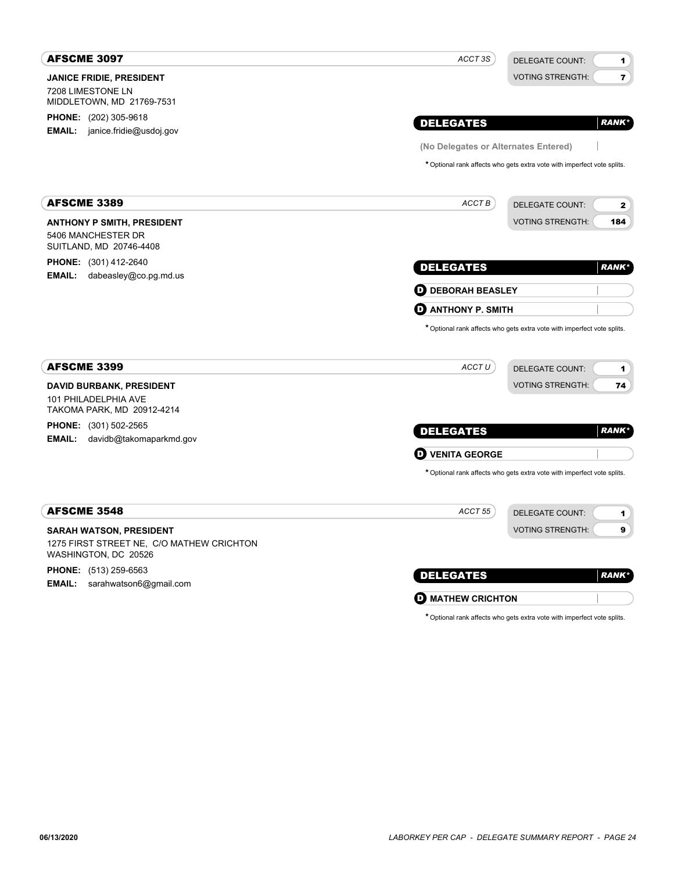| <b>AFSCME 3097</b>                                                                                  | ACCT 3S                              | <b>DELEGATE COUNT:</b><br>1                                             |
|-----------------------------------------------------------------------------------------------------|--------------------------------------|-------------------------------------------------------------------------|
| <b>JANICE FRIDIE, PRESIDENT</b><br>7208 LIMESTONE LN<br>MIDDLETOWN, MD 21769-7531                   |                                      | $\overline{\mathbf{r}}$<br><b>VOTING STRENGTH:</b>                      |
| <b>PHONE:</b> (202) 305-9618<br>janice.fridie@usdoj.gov<br>EMAIL:                                   | <b>DELEGATES</b>                     | <b>RANK</b> *                                                           |
|                                                                                                     | (No Delegates or Alternates Entered) |                                                                         |
|                                                                                                     |                                      | * Optional rank affects who gets extra vote with imperfect vote splits. |
| <b>AFSCME 3389</b>                                                                                  | ACCT B                               | <b>DELEGATE COUNT:</b><br>2                                             |
| <b>ANTHONY P SMITH, PRESIDENT</b><br>5406 MANCHESTER DR<br>SUITLAND, MD 20746-4408                  |                                      | <b>VOTING STRENGTH:</b><br>184                                          |
| <b>PHONE:</b> (301) 412-2640                                                                        | <b>DELEGATES</b>                     | <b>RANK*</b>                                                            |
| <b>EMAIL:</b><br>dabeasley@co.pg.md.us                                                              | <b>D</b> DEBORAH BEASLEY             |                                                                         |
|                                                                                                     | O<br><b>ANTHONY P. SMITH</b>         |                                                                         |
| <b>AFSCME 3399</b>                                                                                  | ACCTU                                | * Optional rank affects who gets extra vote with imperfect vote splits. |
|                                                                                                     |                                      | <b>DELEGATE COUNT:</b><br>1<br><b>VOTING STRENGTH:</b>                  |
| <b>DAVID BURBANK, PRESIDENT</b><br>101 PHILADELPHIA AVE<br>TAKOMA PARK, MD 20912-4214               |                                      | 74                                                                      |
| <b>PHONE:</b> (301) 502-2565                                                                        | <b>DELEGATES</b>                     | <b>RANK*</b>                                                            |
| <b>EMAIL:</b><br>davidb@takomaparkmd.gov                                                            | <b>VENITA GEORGE</b><br>O            |                                                                         |
|                                                                                                     |                                      | * Optional rank affects who gets extra vote with imperfect vote splits. |
| <b>AFSCME 3548</b>                                                                                  | ACCT 55                              | <b>DELEGATE COUNT:</b><br>1                                             |
| <b>SARAH WATSON, PRESIDENT</b><br>1275 FIRST STREET NE, C/O MATHEW CRICHTON<br>WASHINGTON, DC 20526 |                                      | <b>VOTING STRENGTH:</b><br>9                                            |
| <b>PHONE:</b> (513) 259-6563                                                                        | <b>DELEGATES</b>                     | <b>RANK*</b>                                                            |
| sarahwatson6@gmail.com<br>EMAIL:                                                                    | <b>O MATHEW CRICHTON</b>             |                                                                         |
|                                                                                                     |                                      | * Optional rank affects who gets extra vote with imperfect vote splits. |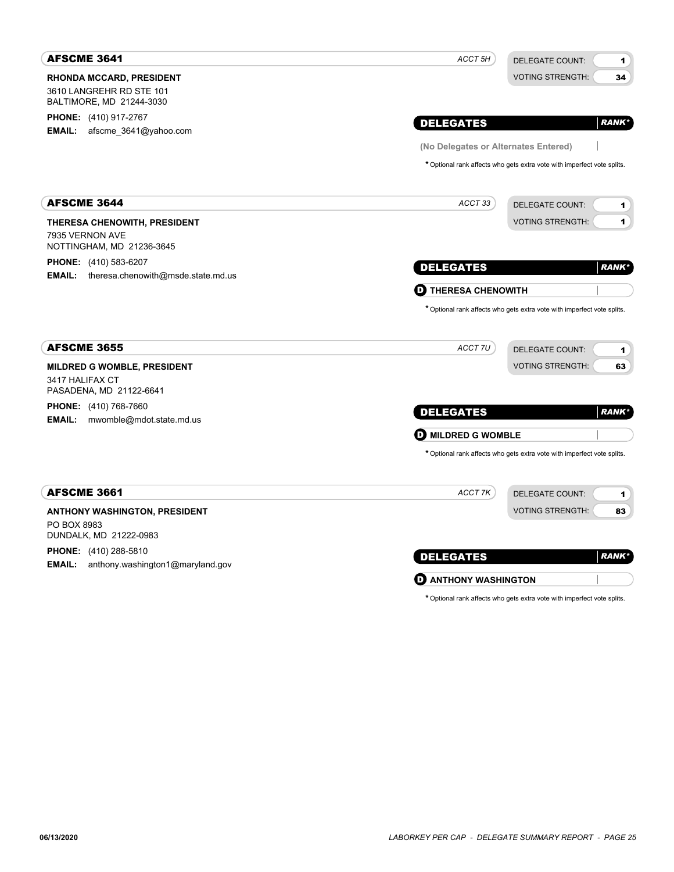| <b>AFSCME 3641</b>                                                                      | ACCT 5H                              | <b>DELEGATE COUNT:</b><br>1                                                                            |
|-----------------------------------------------------------------------------------------|--------------------------------------|--------------------------------------------------------------------------------------------------------|
| <b>RHONDA MCCARD, PRESIDENT</b><br>3610 LANGREHR RD STE 101<br>BALTIMORE, MD 21244-3030 |                                      | <b>VOTING STRENGTH:</b><br>34                                                                          |
| <b>PHONE:</b> (410) 917-2767                                                            | <b>DELEGATES</b>                     | <b>RANK</b> *                                                                                          |
| <b>EMAIL:</b><br>afscme 3641@yahoo.com                                                  | (No Delegates or Alternates Entered) |                                                                                                        |
|                                                                                         |                                      | * Optional rank affects who gets extra vote with imperfect vote splits.                                |
| <b>AFSCME 3644</b>                                                                      | ACCT 33                              | <b>DELEGATE COUNT:</b><br>1                                                                            |
| THERESA CHENOWITH, PRESIDENT<br>7935 VERNON AVE<br>NOTTINGHAM, MD 21236-3645            |                                      | <b>VOTING STRENGTH:</b><br>1                                                                           |
| <b>PHONE:</b> (410) 583-6207<br><b>EMAIL:</b> theresa.chenowith@msde.state.md.us        | <b>DELEGATES</b>                     | <b>RANK*</b>                                                                                           |
|                                                                                         | <b>THERESA CHENOWITH</b><br>v        |                                                                                                        |
| <b>AFSCME 3655</b>                                                                      | ACCT 7U                              | * Optional rank affects who gets extra vote with imperfect vote splits.<br><b>DELEGATE COUNT:</b><br>1 |
| <b>MILDRED G WOMBLE, PRESIDENT</b><br>3417 HALIFAX CT<br>PASADENA, MD 21122-6641        |                                      | <b>VOTING STRENGTH:</b><br>63                                                                          |
| <b>PHONE:</b> (410) 768-7660<br><b>EMAIL:</b><br>mwomble@mdot.state.md.us               | <b>DELEGATES</b>                     | <b>RANK*</b>                                                                                           |
|                                                                                         | <b>D</b> MILDRED G WOMBLE            |                                                                                                        |
|                                                                                         |                                      | * Optional rank affects who gets extra vote with imperfect vote splits.                                |
| <b>AFSCME 3661</b>                                                                      | ACCT 7K                              | <b>DELEGATE COUNT:</b><br>1                                                                            |
| <b>ANTHONY WASHINGTON, PRESIDENT</b>                                                    |                                      | <b>VOTING STRENGTH:</b><br>83                                                                          |
| PO BOX 8983<br>DUNDALK, MD 21222-0983                                                   |                                      |                                                                                                        |
| <b>PHONE:</b> (410) 288-5810<br>anthony.washington1@maryland.gov<br>EMAIL:              | <b>DELEGATES</b>                     | <b>RANK*</b>                                                                                           |
|                                                                                         | $\mathbf \Theta$ anthony washington  |                                                                                                        |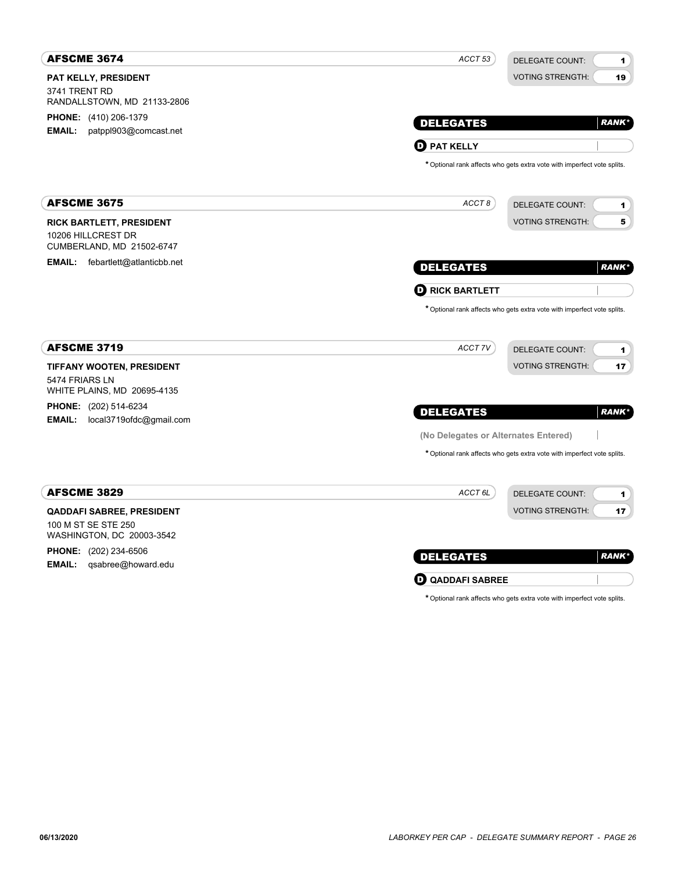| <b>AFSCME 3674</b>                                                                   | ACCT <sub>53</sub><br><b>DELEGATE COUNT:</b>                            | 1            |
|--------------------------------------------------------------------------------------|-------------------------------------------------------------------------|--------------|
| PAT KELLY, PRESIDENT<br>3741 TRENT RD<br>RANDALLSTOWN, MD 21133-2806                 | <b>VOTING STRENGTH:</b>                                                 | 19           |
| <b>PHONE:</b> (410) 206-1379<br>patppl903@comcast.net<br><b>EMAIL:</b>               | <b>DELEGATES</b>                                                        | <b>RANK*</b> |
|                                                                                      | $\mathbf 0$ pat kelly                                                   |              |
|                                                                                      | * Optional rank affects who gets extra vote with imperfect vote splits. |              |
| <b>AFSCME 3675</b>                                                                   | ACCT8<br><b>DELEGATE COUNT:</b>                                         | 1            |
| <b>RICK BARTLETT, PRESIDENT</b><br>10206 HILLCREST DR<br>CUMBERLAND, MD 21502-6747   | <b>VOTING STRENGTH:</b>                                                 | 5            |
| <b>EMAIL:</b><br>febartlett@atlanticbb.net                                           | <b>DELEGATES</b>                                                        | <b>RANK*</b> |
|                                                                                      | $\mathbf 0$ RICK BARTLETT                                               |              |
|                                                                                      | * Optional rank affects who gets extra vote with imperfect vote splits. |              |
| <b>AFSCME 3719</b>                                                                   | ACCT 7V<br><b>DELEGATE COUNT:</b>                                       | 1            |
| <b>TIFFANY WOOTEN, PRESIDENT</b><br>5474 FRIARS LN<br>WHITE PLAINS, MD 20695-4135    | <b>VOTING STRENGTH:</b>                                                 | 17           |
| <b>PHONE:</b> (202) 514-6234<br><b>EMAIL:</b><br>local3719ofdc@gmail.com             | <b>DELEGATES</b>                                                        | <b>RANK*</b> |
|                                                                                      | (No Delegates or Alternates Entered)                                    |              |
|                                                                                      | * Optional rank affects who gets extra vote with imperfect vote splits. |              |
| <b>AFSCME 3829</b>                                                                   | ACCT <sub>6L</sub><br><b>DELEGATE COUNT:</b>                            | 1            |
| <b>QADDAFI SABREE, PRESIDENT</b><br>100 M ST SE STE 250<br>WASHINGTON, DC 20003-3542 | <b>VOTING STRENGTH:</b>                                                 | 17           |
| <b>PHONE:</b> (202) 234-6506<br><b>EMAIL:</b><br>qsabree@howard.edu                  | <b>DELEGATES</b>                                                        | <b>RANK*</b> |
|                                                                                      | <b>Q QADDAFI SABREE</b>                                                 |              |

|  |  |  |  | * Optional rank affects who gets extra vote with imperfect vote splits. |  |
|--|--|--|--|-------------------------------------------------------------------------|--|
|  |  |  |  |                                                                         |  |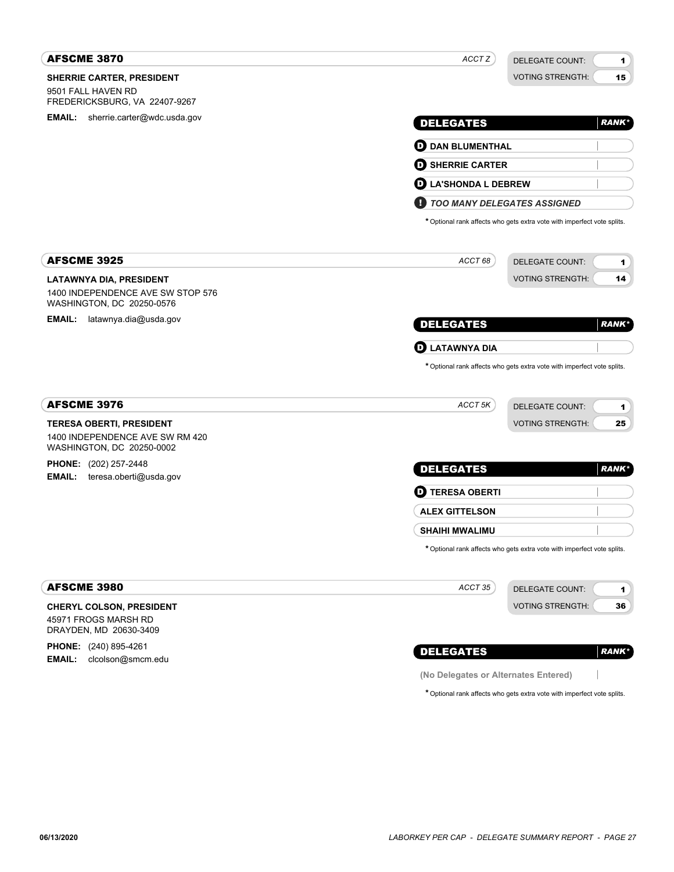| <b>AFSCME 3870</b>                                             | ACCT Z                                                                  | <b>DELEGATE COUNT:</b><br>1   |
|----------------------------------------------------------------|-------------------------------------------------------------------------|-------------------------------|
| SHERRIE CARTER, PRESIDENT                                      |                                                                         | <b>VOTING STRENGTH:</b><br>15 |
| 9501 FALL HAVEN RD<br>FREDERICKSBURG, VA 22407-9267            |                                                                         |                               |
| <b>EMAIL:</b> sherrie.carter@wdc.usda.gov                      |                                                                         | <b>RANK*</b>                  |
|                                                                | <b>DELEGATES</b>                                                        |                               |
|                                                                | <b>D</b> DAN BLUMENTHAL                                                 |                               |
|                                                                | <b>D</b> SHERRIE CARTER                                                 |                               |
|                                                                | <b>LA'SHONDA L DEBREW</b><br>D                                          |                               |
|                                                                | TOO MANY DELEGATES ASSIGNED<br>и                                        |                               |
|                                                                | * Optional rank affects who gets extra vote with imperfect vote splits. |                               |
| <b>AFSCME 3925</b>                                             | ACCT 68                                                                 | <b>DELEGATE COUNT:</b><br>1   |
| <b>LATAWNYA DIA, PRESIDENT</b>                                 |                                                                         | <b>VOTING STRENGTH:</b><br>14 |
| 1400 INDEPENDENCE AVE SW STOP 576<br>WASHINGTON, DC 20250-0576 |                                                                         |                               |
| <b>EMAIL:</b><br>latawnya.dia@usda.gov                         | <b>DELEGATES</b>                                                        | <b>RANK*</b>                  |
|                                                                | <b>LATAWNYA DIA</b><br>D                                                |                               |
|                                                                | * Optional rank affects who gets extra vote with imperfect vote splits. |                               |
| <b>AFSCME 3976</b>                                             | ACCT 5K                                                                 | DELEGATE COUNT:<br>1          |
| <b>TERESA OBERTI, PRESIDENT</b>                                |                                                                         | <b>VOTING STRENGTH:</b><br>25 |
| 1400 INDEPENDENCE AVE SW RM 420<br>WASHINGTON, DC 20250-0002   |                                                                         |                               |
| <b>PHONE:</b> (202) 257-2448                                   | <b>DELEGATES</b>                                                        | <b>RANK*</b>                  |
| <b>EMAIL:</b><br>teresa.oberti@usda.gov                        | $\boldsymbol{\Theta}$ TERESA OBERTI                                     |                               |
|                                                                | <b>ALEX GITTELSON</b>                                                   |                               |
|                                                                | <b>SHAIHI MWALIMU</b>                                                   |                               |
|                                                                | * Optional rank affects who gets extra vote with imperfect vote splits. |                               |
| <b>AFSCME 3980</b>                                             | ACCT 35                                                                 | <b>DELEGATE COUNT:</b><br>1   |
| <b>CHERYL COLSON, PRESIDENT</b>                                |                                                                         | <b>VOTING STRENGTH:</b><br>36 |
| 45971 FROGS MARSH RD<br>DRAYDEN, MD 20630-3409                 |                                                                         |                               |
| <b>PHONE:</b> (240) 895-4261                                   | <b>DELEGATES</b>                                                        | <b>RANK*</b>                  |
| EMAIL:<br>clcolson@smcm.edu                                    | (No Delegates or Alternates Entered)                                    |                               |
|                                                                | * Optional rank affects who gets extra vote with imperfect vote splits. |                               |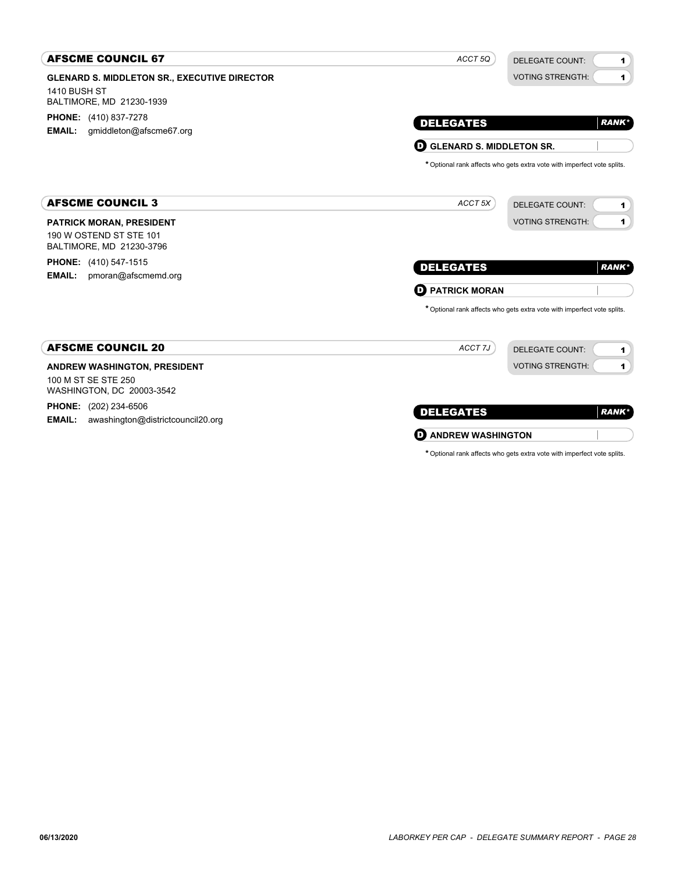| <b>AFSCME COUNCIL 67</b>                                                 | ACCT <sub>50</sub><br><b>DELEGATE COUNT:</b>                            | $\mathbf{1}$   |  |  |
|--------------------------------------------------------------------------|-------------------------------------------------------------------------|----------------|--|--|
| <b>GLENARD S. MIDDLETON SR., EXECUTIVE DIRECTOR</b>                      | <b>VOTING STRENGTH:</b>                                                 | $\blacksquare$ |  |  |
| <b>1410 BUSH ST</b>                                                      |                                                                         |                |  |  |
| BALTIMORE, MD 21230-1939                                                 |                                                                         |                |  |  |
| <b>PHONE:</b> (410) 837-7278<br>gmiddleton@afscme67.org<br><b>EMAIL:</b> | <b>DELEGATES</b><br><b>RANK*</b>                                        |                |  |  |
|                                                                          | <b>D</b> GLENARD S. MIDDLETON SR.                                       |                |  |  |
|                                                                          | * Optional rank affects who gets extra vote with imperfect vote splits. |                |  |  |
| <b>AFSCME COUNCIL 3</b>                                                  | ACCT <sub>5X</sub><br><b>DELEGATE COUNT:</b>                            | 1              |  |  |
| <b>PATRICK MORAN, PRESIDENT</b>                                          | <b>VOTING STRENGTH:</b>                                                 | $\mathbf{1}$   |  |  |
| 190 W OSTEND ST STE 101                                                  |                                                                         |                |  |  |
| BALTIMORE, MD 21230-3796                                                 |                                                                         |                |  |  |
| <b>PHONE:</b> (410) 547-1515<br>pmoran@afscmemd.org<br><b>EMAIL:</b>     | <b>DELEGATES</b><br><b>RANK*</b>                                        |                |  |  |
|                                                                          | <b>PATRICK MORAN</b><br>o                                               |                |  |  |
|                                                                          | * Optional rank affects who gets extra vote with imperfect vote splits. |                |  |  |
| <b>AFSCME COUNCIL 20</b>                                                 | ACCT 7J<br><b>DELEGATE COUNT:</b>                                       | $\mathbf{1}$   |  |  |
| ANDREW WASHINGTON, PRESIDENT                                             | <b>VOTING STRENGTH:</b>                                                 | $\mathbf{1}$   |  |  |
| 100 M ST SE STE 250<br>WASHINGTON, DC 20003-3542                         |                                                                         |                |  |  |
| <b>PHONE:</b> (202) 234-6506                                             | <b>DELEGATES</b>                                                        | <b>RANK</b> *  |  |  |
| awashington@districtcouncil20.org<br><b>EMAIL:</b>                       |                                                                         |                |  |  |
|                                                                          | <b>D</b> ANDREW WASHINGTON                                              |                |  |  |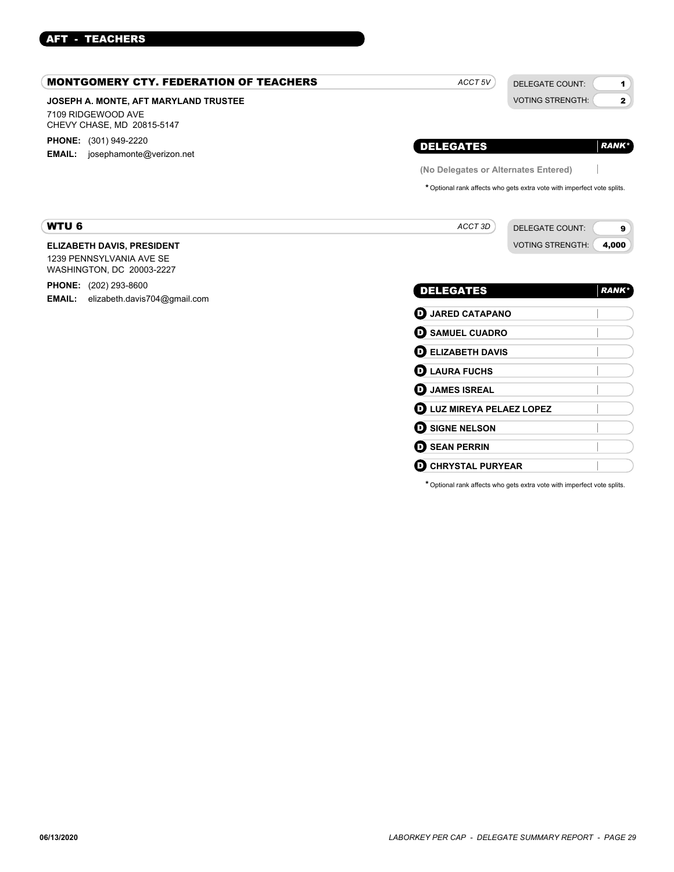# AFT - TEACHERS

| <b>MONTGOMERY CTY. FEDERATION OF TEACHERS</b>                                              | ACCT <sub>5V</sub><br><b>DELEGATE COUNT:</b><br>1                        |
|--------------------------------------------------------------------------------------------|--------------------------------------------------------------------------|
| JOSEPH A. MONTE, AFT MARYLAND TRUSTEE<br>7109 RIDGEWOOD AVE<br>CHEVY CHASE, MD 20815-5147  | <b>VOTING STRENGTH:</b><br>$\mathbf{z}$                                  |
| <b>PHONE:</b> (301) 949-2220<br><b>EMAIL:</b><br>josephamonte@verizon.net                  | <b>DELEGATES</b><br><b>RANK*</b><br>(No Delegates or Alternates Entered) |
|                                                                                            | * Optional rank affects who gets extra vote with imperfect vote splits.  |
| <b>WTU 6</b>                                                                               | ACCT 3D<br><b>DELEGATE COUNT:</b><br>9                                   |
| <b>ELIZABETH DAVIS, PRESIDENT</b><br>1239 PENNSYLVANIA AVE SE<br>WASHINGTON, DC 20003-2227 | <b>VOTING STRENGTH:</b><br>4,000                                         |
| <b>PHONE:</b> (202) 293-8600<br>elizabeth.davis704@gmail.com<br><b>EMAIL:</b>              | <b>DELEGATES</b><br><b>RANK*</b>                                         |
|                                                                                            | <b>JARED CATAPANO</b><br>o<br><b>O</b> SAMUEL CUADRO                     |
|                                                                                            | <b>ELIZABETH DAVIS</b><br>O<br>$\mathbf 0$ LAURA FUCHS                   |
|                                                                                            | <b>JAMES ISREAL</b><br>O                                                 |
|                                                                                            | LUZ MIREYA PELAEZ LOPEZ<br>o<br><b>SIGNE NELSON</b><br>O                 |
|                                                                                            | <b>SEAN PERRIN</b><br>o                                                  |
|                                                                                            | O<br><b>CHRYSTAL PURYEAR</b>                                             |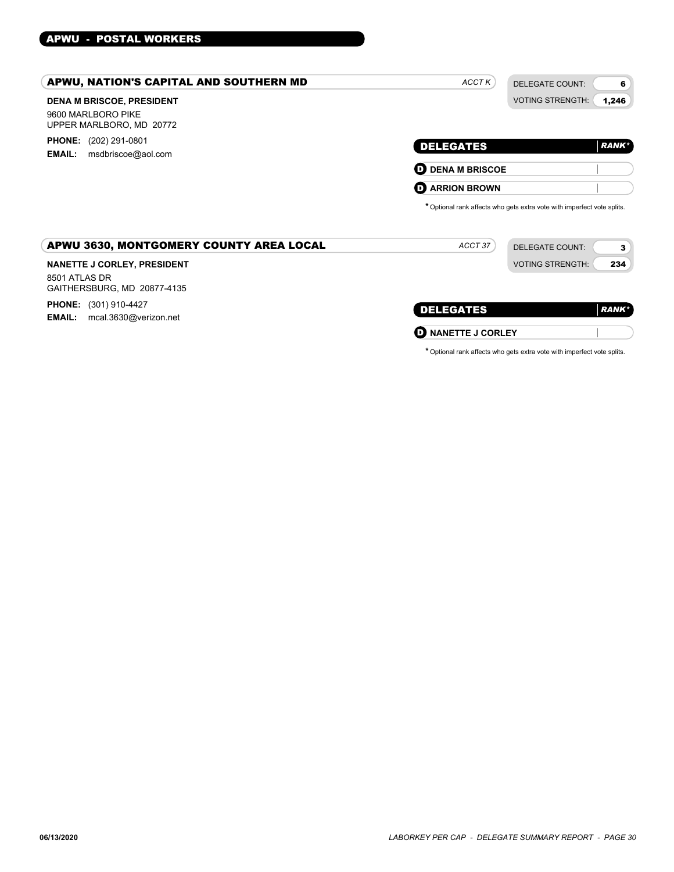# APWU - POSTAL WORKERS

| APWU, NATION'S CAPITAL AND SOUTHERN MD                                             | ACCT K<br><b>DELEGATE COUNT:</b>                                                                             | 6            |
|------------------------------------------------------------------------------------|--------------------------------------------------------------------------------------------------------------|--------------|
| <b>DENA M BRISCOE, PRESIDENT</b><br>9600 MARLBORO PIKE<br>UPPER MARLBORO, MD 20772 | <b>VOTING STRENGTH:</b>                                                                                      | 1,246        |
| <b>PHONE:</b> (202) 291-0801<br>msdbriscoe@aol.com<br><b>EMAIL:</b>                | <b>DELEGATES</b>                                                                                             | <b>RANK*</b> |
|                                                                                    | <b>O DENA M BRISCOE</b>                                                                                      |              |
|                                                                                    | <b>D</b> ARRION BROWN                                                                                        |              |
| APWU 3630, MONTGOMERY COUNTY AREA LOCAL                                            | * Optional rank affects who gets extra vote with imperfect vote splits.<br>ACCT 37<br><b>DELEGATE COUNT:</b> | 3            |
| <b>NANETTE J CORLEY, PRESIDENT</b><br>8501 ATLAS DR<br>GAITHERSBURG, MD 20877-4135 | <b>VOTING STRENGTH:</b>                                                                                      | 234          |
| <b>PHONE:</b> (301) 910-4427                                                       | <b>DELEGATES</b>                                                                                             | <b>RANK*</b> |
| mcal.3630@verizon.net<br><b>EMAIL:</b>                                             | <b>NANETTE J CORLEY</b><br>O                                                                                 |              |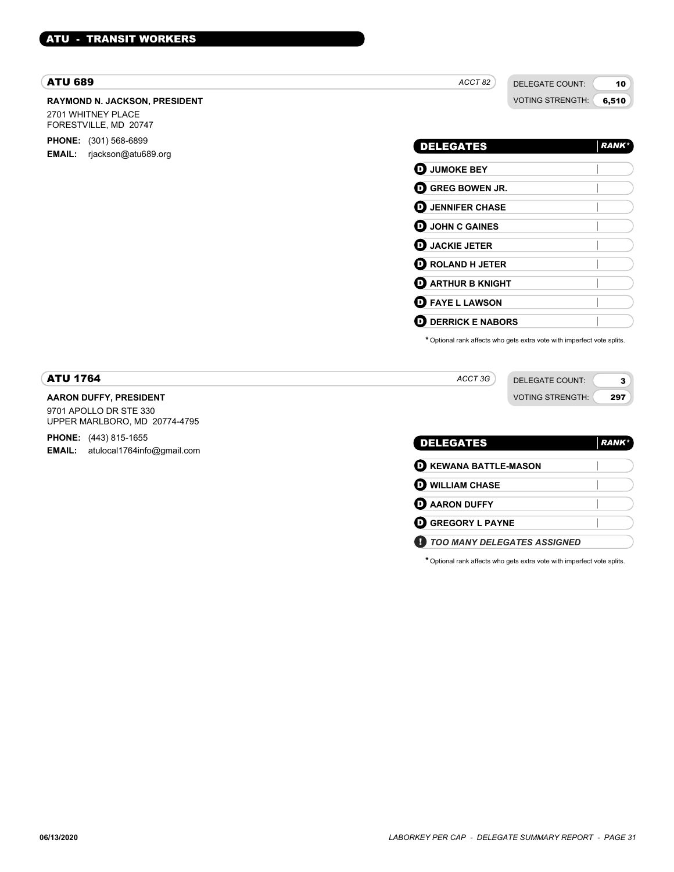#### ATU 689

#### **RAYMOND N. JACKSON, PRESIDENT** 2701 WHITNEY PLACE FORESTVILLE, MD 20747

**PHONE:** (301) 568-6899

**EMAIL:** rjackson@atu689.org

DELEGATE COUNT: VOTING STRENGTH: 6,510

10

3 297

DELEGATES *RANK\** **D** JUMOKE BEY D **GREG BOWEN JR. O** JENNIFER CHASE **D** JOHN C GAINES D **JACKIE JETER** D **ROLAND H JETER D** ARTHUR B KNIGHT D **FAYE L LAWSON O** DERRICK E NABORS

\*Optional rank affects who gets extra vote with imperfect vote splits.

*ACCT 3G*

DELEGATE COUNT: VOTING STRENGTH:

# ATU 1764

## **AARON DUFFY, PRESIDENT**

9701 APOLLO DR STE 330 UPPER MARLBORO, MD 20774-4795

**PHONE:** (443) 815-1655 **EMAIL:** atulocal1764info@gmail.com

| <b>DELEGATES</b>             | <b>RANK*</b> |
|------------------------------|--------------|
| <b>D</b> KEWANA BATTLE-MASON |              |
| <b>O WILLIAM CHASE</b>       |              |
| <b>O</b> AARON DUFFY         |              |
| <b>O GREGORY L PAYNE</b>     |              |
| TOO MANY DELEGATES ASSIGNED  |              |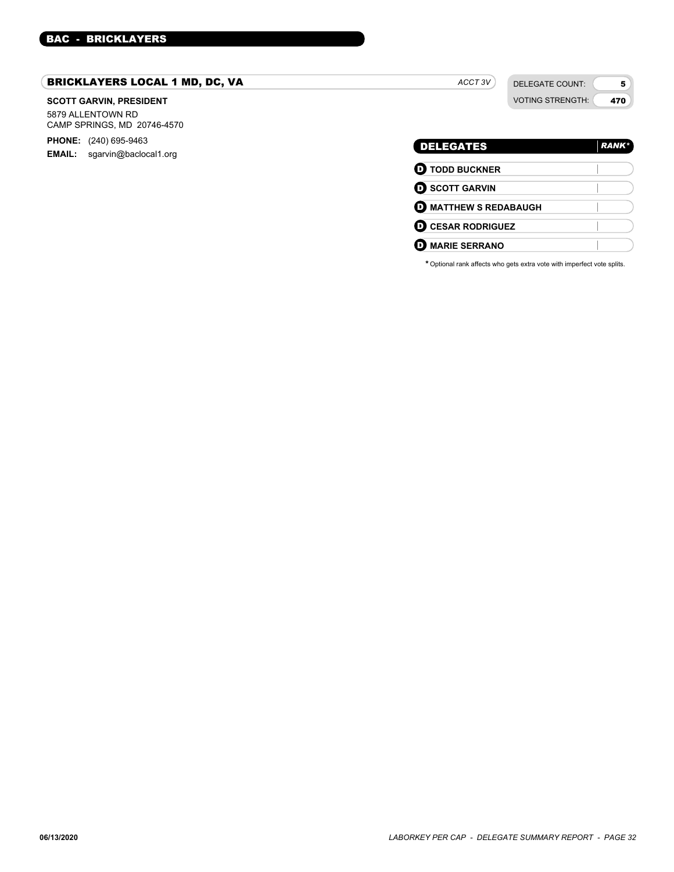# BRICKLAYERS LOCAL 1 MD, DC, VA

#### **SCOTT GARVIN, PRESIDENT**

5879 ALLENTOWN RD CAMP SPRINGS, MD 20746-4570

**PHONE:** (240) 695-9463 **EMAIL:** sgarvin@baclocal1.org

# *ACCT 3V*

DELEGATE COUNT: VOTING STRENGTH:

5 470

| <b>DELEGATES</b>             | <b>RANK*</b> |
|------------------------------|--------------|
| <b>O</b> TODD BUCKNER        |              |
| <b>O SCOTT GARVIN</b>        |              |
| <b>D</b> MATTHEW S REDABAUGH |              |
| <b>O CESAR RODRIGUEZ</b>     |              |
| <b>MARIE SERRANO</b>         |              |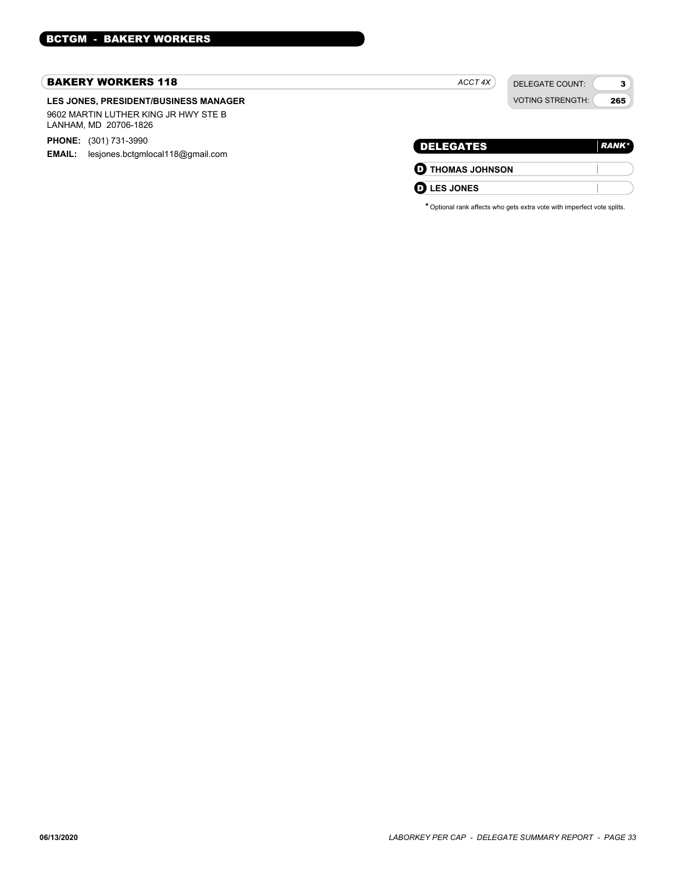#### BAKERY WORKERS 118

#### **LES JONES, PRESIDENT/BUSINESS MANAGER** 9602 MARTIN LUTHER KING JR HWY STE B LANHAM, MD 20706-1826

**PHONE:** (301) 731-3990

**EMAIL:** lesjones.bctgmlocal118@gmail.com

|                         | <b>VOTING STRENGTH:</b><br>265 |
|-------------------------|--------------------------------|
| <b>DELEGATES</b>        | <b>RANK*</b>                   |
| <b>O THOMAS JOHNSON</b> |                                |
| <b>LES JONES</b>        |                                |

*ACCT 4X*

DELEGATE COUNT:

3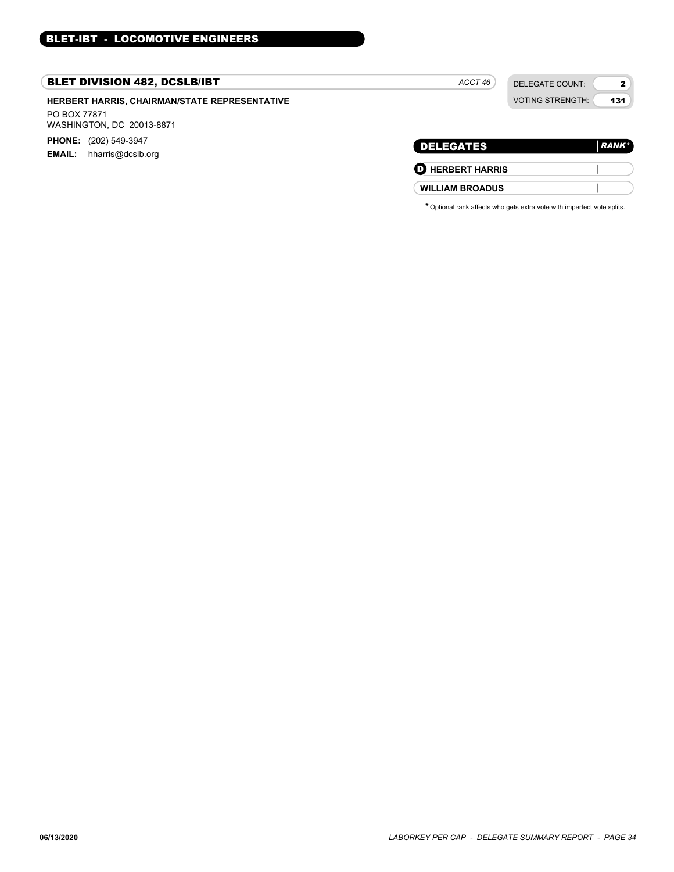# BLET DIVISION 482, DCSLB/IBT

# **HERBERT HARRIS, CHAIRMAN/STATE REPRESENTATIVE**

PO BOX 77871 WASHINGTON, DC 20013-8871

**PHONE:** (202) 549-3947

**EMAIL:** hharris@dcslb.org

# DELEGATE COUNT: VOTING STRENGTH:

2 131

| <b>DELEGATES</b>        | RANK* |
|-------------------------|-------|
| <b>D</b> HERBERT HARRIS |       |

**WILLIAM BROADUS**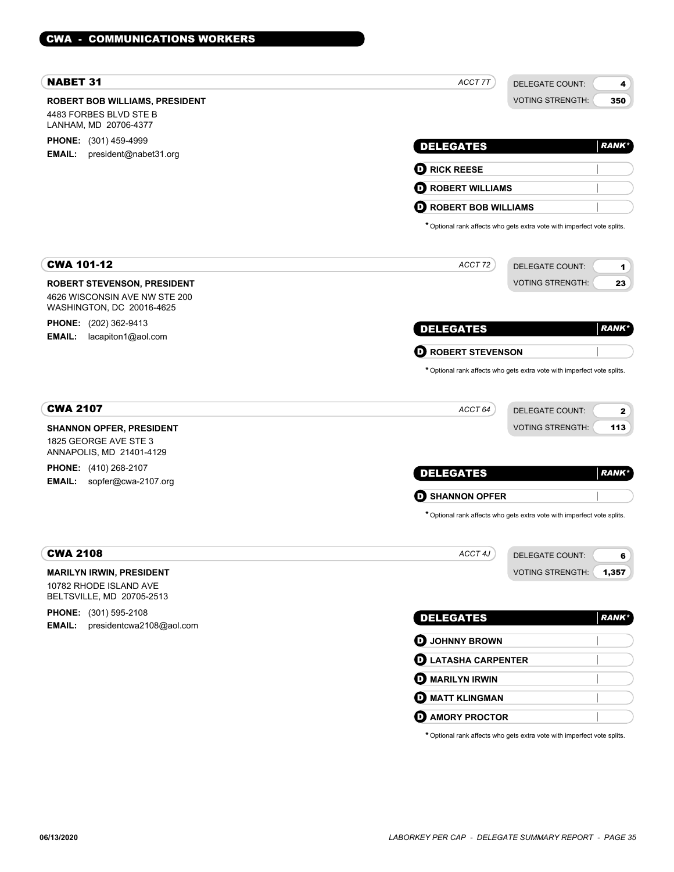| <b>NABET 31</b>                                                                                  | ACCT 7T                         | DELEGATE COUNT:                                                         | 4            |
|--------------------------------------------------------------------------------------------------|---------------------------------|-------------------------------------------------------------------------|--------------|
| <b>ROBERT BOB WILLIAMS, PRESIDENT</b><br>4483 FORBES BLVD STE B                                  |                                 | <b>VOTING STRENGTH:</b>                                                 | 350          |
| LANHAM, MD 20706-4377                                                                            |                                 |                                                                         |              |
| PHONE: (301) 459-4999<br><b>EMAIL:</b><br>president@nabet31.org                                  | <b>DELEGATES</b>                |                                                                         | <b>RANK*</b> |
|                                                                                                  | <b>D</b> RICK REESE             |                                                                         |              |
|                                                                                                  | <b>D</b> ROBERT WILLIAMS        |                                                                         |              |
|                                                                                                  | O<br><b>ROBERT BOB WILLIAMS</b> |                                                                         |              |
|                                                                                                  |                                 | * Optional rank affects who gets extra vote with imperfect vote splits. |              |
| <b>CWA 101-12</b>                                                                                | ACCT 72                         | <b>DELEGATE COUNT:</b>                                                  | 1            |
| <b>ROBERT STEVENSON, PRESIDENT</b><br>4626 WISCONSIN AVE NW STE 200<br>WASHINGTON, DC 20016-4625 |                                 | <b>VOTING STRENGTH:</b>                                                 | 23           |
| <b>PHONE:</b> (202) 362-9413                                                                     | <b>DELEGATES</b>                |                                                                         | <b>RANK*</b> |
| <b>EMAIL:</b><br>lacapiton1@aol.com                                                              | <b>D</b> ROBERT STEVENSON       |                                                                         |              |
|                                                                                                  |                                 | * Optional rank affects who gets extra vote with imperfect vote splits. |              |
| <b>CWA 2107</b>                                                                                  | ACCT 64                         | <b>DELEGATE COUNT:</b>                                                  | $\mathbf{2}$ |
| <b>SHANNON OPFER, PRESIDENT</b><br>1825 GEORGE AVE STE 3<br>ANNAPOLIS, MD 21401-4129             |                                 | <b>VOTING STRENGTH:</b>                                                 | 113          |
| PHONE: (410) 268-2107                                                                            |                                 |                                                                         |              |
| <b>EMAIL:</b><br>sopfer@cwa-2107.org                                                             | <b>DELEGATES</b>                |                                                                         | <b>RANK*</b> |
|                                                                                                  | <b>SHANNON OPFER</b><br>O       |                                                                         |              |
|                                                                                                  |                                 | * Optional rank affects who gets extra vote with imperfect vote splits. |              |
| <b>CWA 2108</b>                                                                                  | ACCT 4J                         | <b>DELEGATE COUNT:</b>                                                  | 6            |
| <b>MARILYN IRWIN, PRESIDENT</b><br>10782 RHODE ISLAND AVE<br>BELTSVILLE, MD 20705-2513           |                                 | <b>VOTING STRENGTH:</b>                                                 | 1,357        |
| <b>PHONE:</b> (301) 595-2108                                                                     | <b>DELEGATES</b>                |                                                                         | <b>RANK*</b> |
| EMAIL:<br>presidentcwa2108@aol.com                                                               | <b>O</b> JOHNNY BROWN           |                                                                         |              |
|                                                                                                  | <b>D</b> LATASHA CARPENTER      |                                                                         |              |
|                                                                                                  | <b>O MARILYN IRWIN</b>          |                                                                         |              |
|                                                                                                  | <b>MATT KLINGMAN</b>            |                                                                         |              |
|                                                                                                  | <b>O AMORY PROCTOR</b>          |                                                                         |              |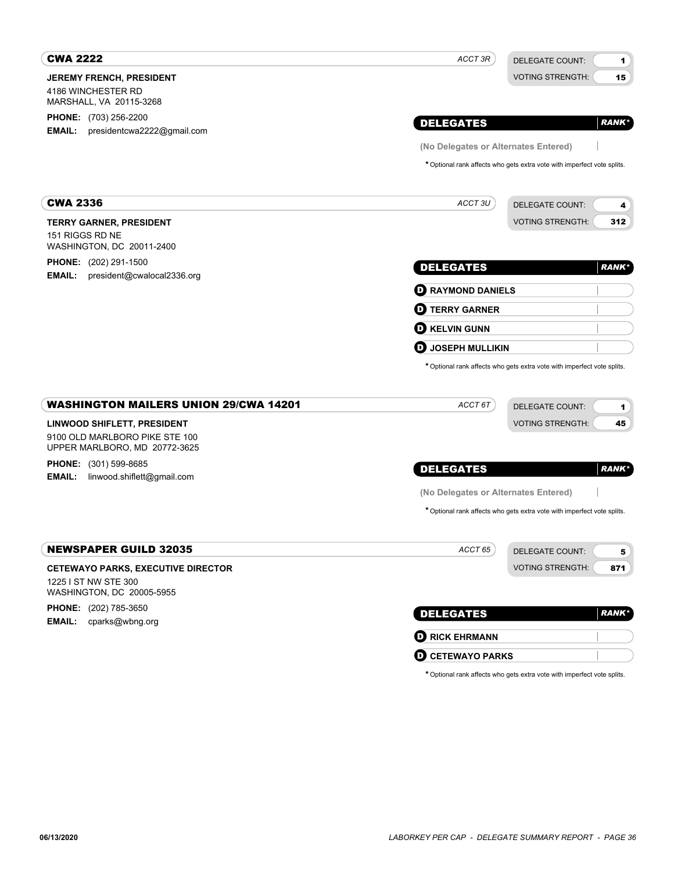| <b>CWA 2222</b>                                                                                                                                                                                                               | ACCT 3R                              | <b>DELEGATE COUNT:</b><br>1                                             |  |  |
|-------------------------------------------------------------------------------------------------------------------------------------------------------------------------------------------------------------------------------|--------------------------------------|-------------------------------------------------------------------------|--|--|
| <b>JEREMY FRENCH, PRESIDENT</b>                                                                                                                                                                                               |                                      | <b>VOTING STRENGTH:</b><br>15                                           |  |  |
| 4186 WINCHESTER RD<br>MARSHALL, VA 20115-3268                                                                                                                                                                                 |                                      |                                                                         |  |  |
| <b>PHONE:</b> (703) 256-2200                                                                                                                                                                                                  |                                      |                                                                         |  |  |
| EMAIL:<br>presidentcwa2222@gmail.com                                                                                                                                                                                          | <b>DELEGATES</b>                     | <b>RANK</b> *                                                           |  |  |
|                                                                                                                                                                                                                               | (No Delegates or Alternates Entered) |                                                                         |  |  |
|                                                                                                                                                                                                                               |                                      | * Optional rank affects who gets extra vote with imperfect vote splits. |  |  |
| <b>CWA 2336</b>                                                                                                                                                                                                               | ACCT 3U                              | <b>DELEGATE COUNT:</b><br>4                                             |  |  |
| <b>TERRY GARNER, PRESIDENT</b>                                                                                                                                                                                                |                                      | <b>VOTING STRENGTH:</b><br>312                                          |  |  |
| 151 RIGGS RD NE<br>WASHINGTON, DC 20011-2400                                                                                                                                                                                  |                                      |                                                                         |  |  |
| <b>PHONE:</b> (202) 291-1500                                                                                                                                                                                                  | <b>DELEGATES</b>                     | <b>RANK</b> *                                                           |  |  |
| president@cwalocal2336.org<br><b>EMAIL:</b>                                                                                                                                                                                   | <b>D</b> RAYMOND DANIELS             |                                                                         |  |  |
|                                                                                                                                                                                                                               | <b>TERRY GARNER</b><br>D             |                                                                         |  |  |
|                                                                                                                                                                                                                               | <b>KELVIN GUNN</b><br>D              |                                                                         |  |  |
|                                                                                                                                                                                                                               | <b>JOSEPH MULLIKIN</b><br>D          |                                                                         |  |  |
|                                                                                                                                                                                                                               |                                      | * Optional rank affects who gets extra vote with imperfect vote splits. |  |  |
|                                                                                                                                                                                                                               |                                      |                                                                         |  |  |
|                                                                                                                                                                                                                               | ACCT 6T                              | <b>DELEGATE COUNT:</b><br>1                                             |  |  |
|                                                                                                                                                                                                                               |                                      | <b>VOTING STRENGTH:</b><br>45                                           |  |  |
|                                                                                                                                                                                                                               |                                      | <b>RANK</b> *                                                           |  |  |
| <b>WASHINGTON MAILERS UNION 29/CWA 14201</b><br><b>LINWOOD SHIFLETT, PRESIDENT</b><br>9100 OLD MARLBORO PIKE STE 100<br>UPPER MARLBORO, MD 20772-3625<br><b>PHONE:</b> (301) 599-8685<br>EMAIL:<br>linwood.shiflett@gmail.com | <b>DELEGATES</b>                     |                                                                         |  |  |
|                                                                                                                                                                                                                               | (No Delegates or Alternates Entered) |                                                                         |  |  |
|                                                                                                                                                                                                                               |                                      | * Optional rank affects who gets extra vote with imperfect vote splits. |  |  |
|                                                                                                                                                                                                                               | ACCT <sub>65</sub>                   | DELEGATE COUNT:<br>5 <sub>5</sub>                                       |  |  |
|                                                                                                                                                                                                                               |                                      | <b>VOTING STRENGTH:</b><br>871                                          |  |  |
|                                                                                                                                                                                                                               |                                      |                                                                         |  |  |
|                                                                                                                                                                                                                               |                                      |                                                                         |  |  |
|                                                                                                                                                                                                                               | <b>DELEGATES</b>                     | <b>RANK</b> *                                                           |  |  |
| <b>NEWSPAPER GUILD 32035</b><br><b>CETEWAYO PARKS, EXECUTIVE DIRECTOR</b><br>1225 I ST NW STE 300<br>WASHINGTON, DC 20005-5955<br>PHONE: (202) 785-3650<br><b>EMAIL:</b> cparks@wbng.org                                      | <b>O RICK EHRMANN</b>                |                                                                         |  |  |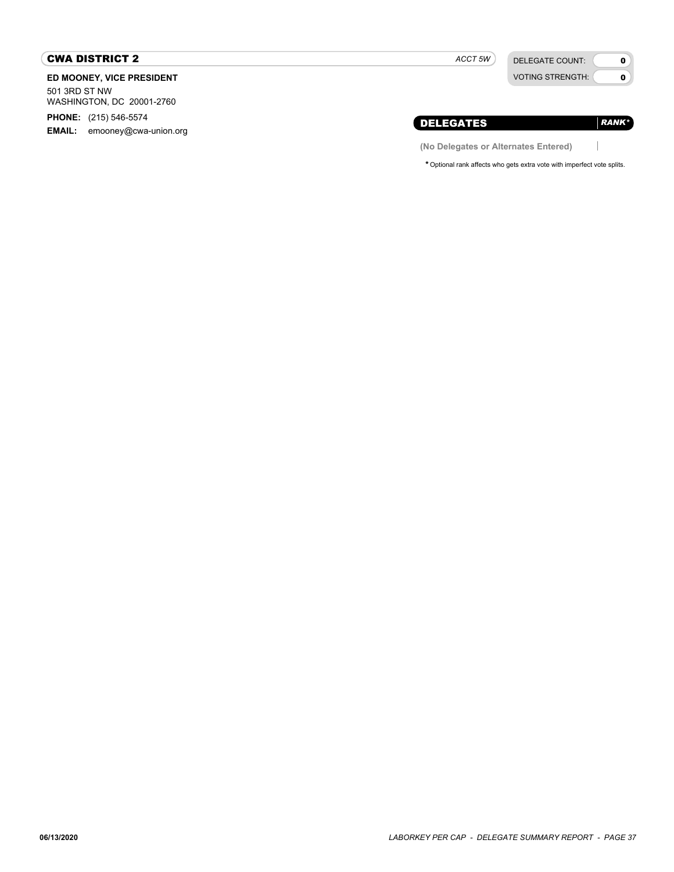# CWA DISTRICT 2

**ED MOONEY, VICE PRESIDENT**

501 3RD ST NW WASHINGTON, DC 20001-2760

**PHONE:** (215) 546-5574

**EMAIL:** emooney@cwa-union.org

*ACCT 5W*

DELEGATE COUNT: VOTING STRENGTH:

 $\mathbf{0}$  $\bullet$ 

*RANK\**

 $\begin{array}{c} \hline \end{array}$ 

# DELEGATES

**(No Delegates or Alternates Entered)**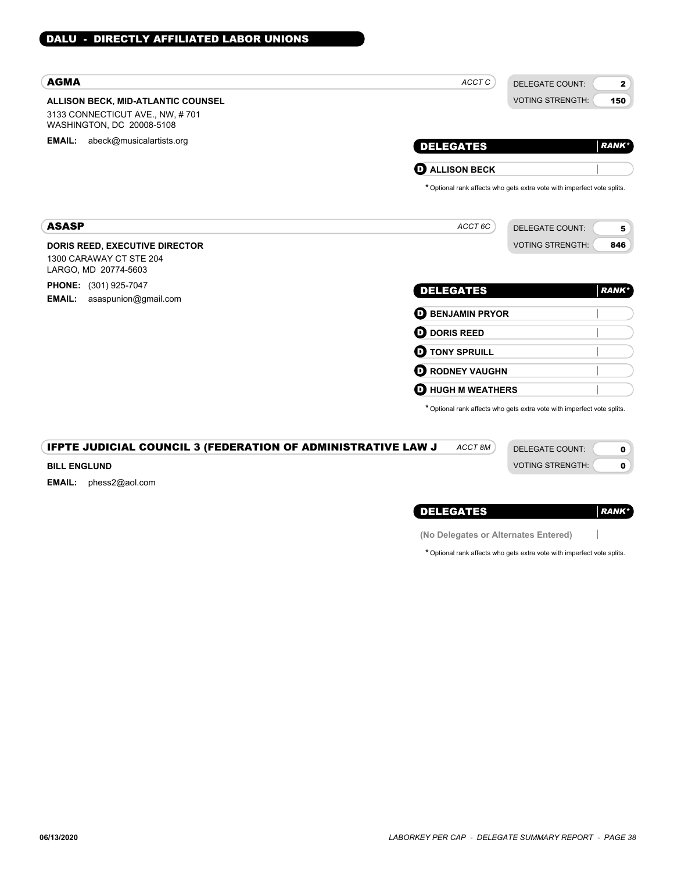| <b>AGMA</b>                                                                                        | ACCT C<br><b>DELEGATE COUNT:</b><br>$\mathbf{2}$                        |
|----------------------------------------------------------------------------------------------------|-------------------------------------------------------------------------|
| ALLISON BECK, MID-ATLANTIC COUNSEL<br>3133 CONNECTICUT AVE., NW, #701<br>WASHINGTON, DC 20008-5108 | <b>VOTING STRENGTH:</b><br>150                                          |
| <b>EMAIL:</b> abeck@musicalartists.org                                                             | <b>DELEGATES</b><br><b>RANK*</b>                                        |
|                                                                                                    | $\mathbf 0$ ALLISON BECK                                                |
|                                                                                                    | * Optional rank affects who gets extra vote with imperfect vote splits. |
| <b>ASASP</b>                                                                                       | ACCT 6C<br><b>DELEGATE COUNT:</b><br>5                                  |
| <b>DORIS REED, EXECUTIVE DIRECTOR</b><br>1300 CARAWAY CT STE 204<br>LARGO, MD 20774-5603           | <b>VOTING STRENGTH:</b><br>846                                          |
| PHONE: (301) 925-7047                                                                              | <b>DELEGATES</b><br><b>RANK</b> *                                       |
| <b>EMAIL:</b><br>asaspunion@gmail.com                                                              | <b>BENJAMIN PRYOR</b><br>o                                              |
|                                                                                                    | <b>DORIS REED</b><br>o                                                  |
|                                                                                                    | <b>D</b> TONY SPRUILL                                                   |
|                                                                                                    | <b>RODNEY VAUGHN</b><br>O                                               |
|                                                                                                    | O<br><b>HUGH M WEATHERS</b>                                             |
|                                                                                                    | * Optional rank affects who gets extra vote with imperfect vote splits. |
| <b>IFPTE JUDICIAL COUNCIL 3 (FEDERATION OF ADMINISTRATIVE LAW J</b>                                | ACCT <sub>8M</sub><br><b>DELEGATE COUNT:</b><br>0                       |
| <b>BILL ENGLUND</b>                                                                                | $\mathbf 0$<br><b>VOTING STRENGTH:</b>                                  |
| <b>EMAIL:</b><br>phess2@aol.com                                                                    |                                                                         |
|                                                                                                    | <b>DELEGATES</b><br><b>RANK*</b>                                        |
|                                                                                                    | (No Delegates or Alternates Entered)                                    |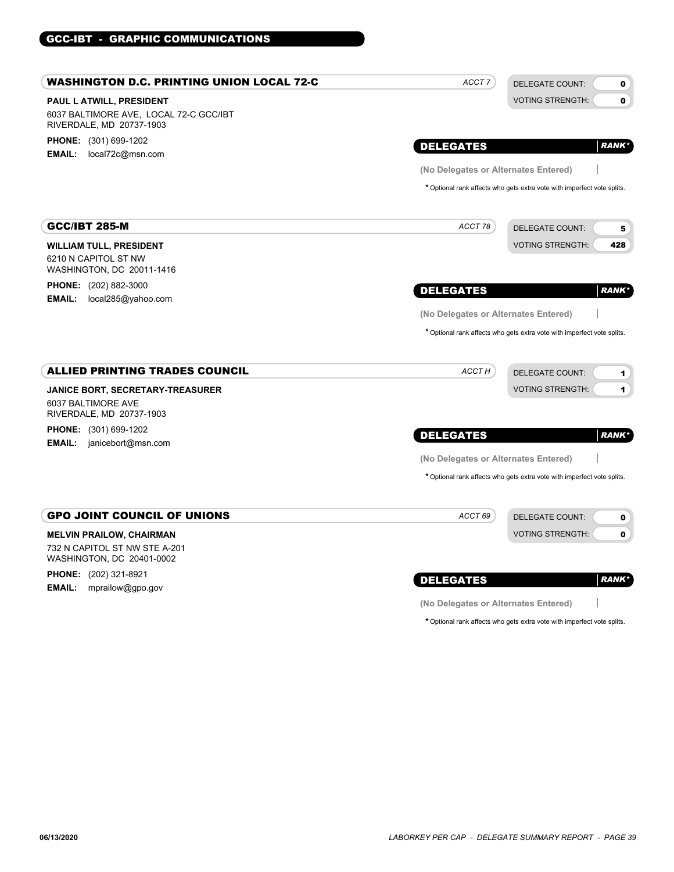# GCC-IBT - GRAPHIC COMMUNICATIONS

| WASHINGTON D.C. PRINTING UNION LOCAL 72-C                          | ACCT <sub>7</sub>                    | <b>DELEGATE COUNT:</b><br>$\mathbf 0$                                   |
|--------------------------------------------------------------------|--------------------------------------|-------------------------------------------------------------------------|
| PAUL L ATWILL, PRESIDENT                                           |                                      | <b>VOTING STRENGTH:</b><br>0                                            |
| 6037 BALTIMORE AVE, LOCAL 72-C GCC/IBT<br>RIVERDALE, MD 20737-1903 |                                      |                                                                         |
| <b>PHONE:</b> (301) 699-1202                                       | <b>DELEGATES</b>                     | <b>RANK*</b>                                                            |
| <b>EMAIL:</b><br>local72c@msn.com                                  |                                      |                                                                         |
|                                                                    | (No Delegates or Alternates Entered) |                                                                         |
|                                                                    |                                      | * Optional rank affects who gets extra vote with imperfect vote splits. |
| <b>GCC/IBT 285-M</b>                                               | ACCT 78                              | <b>DELEGATE COUNT:</b><br>5                                             |
| <b>WILLIAM TULL, PRESIDENT</b>                                     |                                      | <b>VOTING STRENGTH:</b><br>428                                          |
| 6210 N CAPITOL ST NW<br>WASHINGTON, DC 20011-1416                  |                                      |                                                                         |
| <b>PHONE:</b> (202) 882-3000                                       | <b>DELEGATES</b>                     | <b>RANK*</b>                                                            |
| <b>EMAIL:</b><br>local285@yahoo.com                                |                                      |                                                                         |
|                                                                    | (No Delegates or Alternates Entered) |                                                                         |
|                                                                    |                                      | * Optional rank affects who gets extra vote with imperfect vote splits. |
| <b>ALLIED PRINTING TRADES COUNCIL</b>                              | ACCT H                               | <b>DELEGATE COUNT:</b><br>1                                             |
| <b>JANICE BORT, SECRETARY-TREASURER</b>                            |                                      | <b>VOTING STRENGTH:</b><br>$\mathbf{1}$                                 |
| 6037 BALTIMORE AVE<br>RIVERDALE, MD 20737-1903                     |                                      |                                                                         |
| <b>PHONE:</b> (301) 699-1202                                       | <b>DELEGATES</b>                     | <b>RANK*</b>                                                            |
| <b>EMAIL:</b><br>janicebort@msn.com                                |                                      |                                                                         |
|                                                                    | (No Delegates or Alternates Entered) |                                                                         |
|                                                                    |                                      | * Optional rank affects who gets extra vote with imperfect vote splits. |
| <b>GPO JOINT COUNCIL OF UNIONS</b>                                 | ACCT 69                              | <b>DELEGATE COUNT:</b><br>0                                             |
| <b>MELVIN PRAILOW, CHAIRMAN</b>                                    |                                      | <b>VOTING STRENGTH:</b><br>$\mathbf 0$                                  |
| 732 N CAPITOL ST NW STE A-201<br>WASHINGTON, DC 20401-0002         |                                      |                                                                         |
| <b>PHONE:</b> (202) 321-8921                                       | <b>DELEGATES</b>                     | <b>RANK*</b>                                                            |
| <b>EMAIL:</b><br>mprailow@gpo.gov                                  |                                      |                                                                         |
|                                                                    | (No Delegates or Alternates Entered) |                                                                         |

**(No Delegates or Alternates Entered)**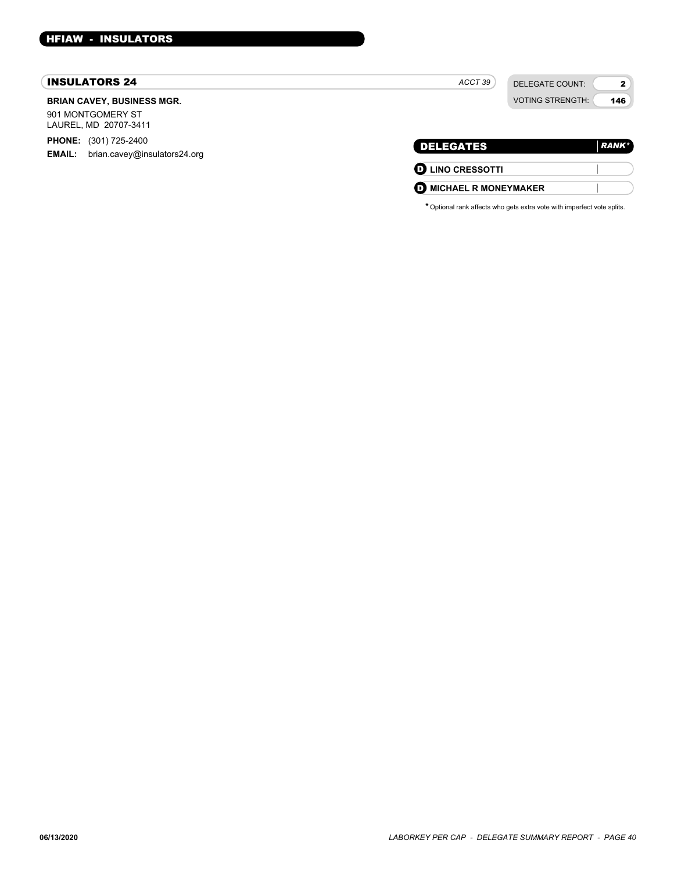#### INSULATORS 24

#### **BRIAN CAVEY, BUSINESS MGR.**

901 MONTGOMERY ST LAUREL, MD 20707-3411

**PHONE:** (301) 725-2400 **EMAIL:** brian.cavey@insulators24.org

| <b>DELEGATES</b>            | <b>RANK*</b> |
|-----------------------------|--------------|
| <b>D</b> LINO CRESSOTTI     |              |
| <b>MICHAEL R MONEYMAKER</b> |              |

*ACCT 39*

DELEGATE COUNT: VOTING STRENGTH:

2 146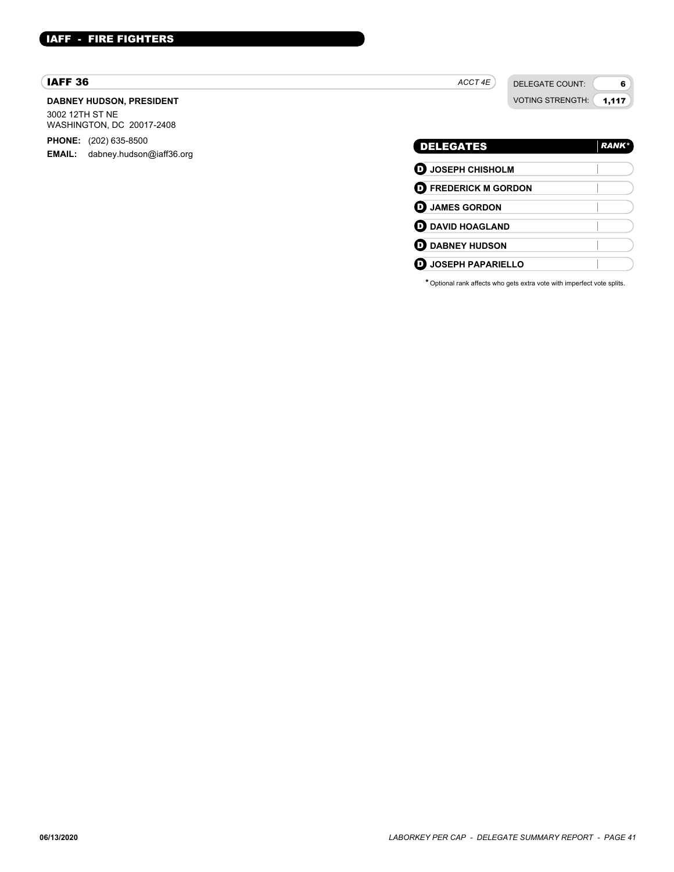# IAFF - FIRE FIGHTERS

#### IAFF 36

#### **DABNEY HUDSON, PRESIDENT**

3002 12TH ST NE WASHINGTON, DC 20017-2408

**PHONE:** (202) 635-8500

**EMAIL:** dabney.hudson@iaff36.org

*ACCT 4E*

DELEGATE COUNT:

VOTING STRENGTH: 1,117

6

# DELEGATES *RANK\** D **JOSEPH CHISHOLM** D **FREDERICK M GORDON** D **JAMES GORDON D** DAVID HOAGLAND **D** DABNEY HUDSON D **JOSEPH PAPARIELLO**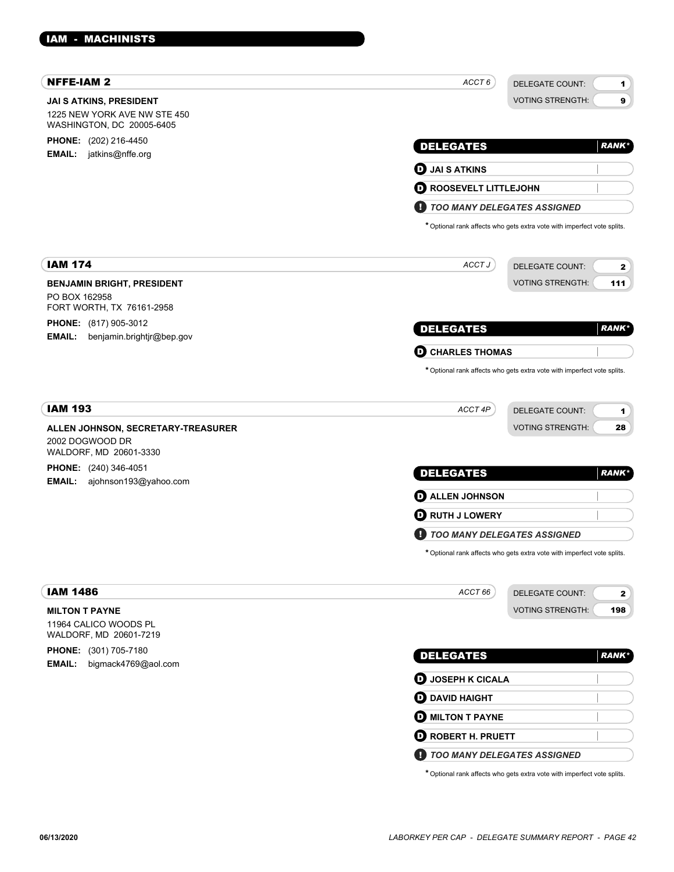| <b>NFFE-IAM 2</b>                                         | ACCT6                              | <b>DELEGATE COUNT:</b><br>1                                             |
|-----------------------------------------------------------|------------------------------------|-------------------------------------------------------------------------|
| <b>JAI S ATKINS, PRESIDENT</b>                            |                                    | 9<br><b>VOTING STRENGTH:</b>                                            |
| 1225 NEW YORK AVE NW STE 450<br>WASHINGTON, DC 20005-6405 |                                    |                                                                         |
| PHONE: (202) 216-4450                                     | <b>DELEGATES</b>                   | <b>RANK*</b>                                                            |
| <b>EMAIL:</b><br>jatkins@nffe.org                         |                                    |                                                                         |
|                                                           | $\boldsymbol{\Theta}$ JAI S ATKINS |                                                                         |
|                                                           | <b>O ROOSEVELT LITTLEJOHN</b>      |                                                                         |
|                                                           | <b>TOO MANY DELEGATES ASSIGNED</b> |                                                                         |
|                                                           |                                    | * Optional rank affects who gets extra vote with imperfect vote splits. |
| <b>IAM 174</b>                                            | ACCT J                             | <b>DELEGATE COUNT:</b><br>2                                             |
| <b>BENJAMIN BRIGHT, PRESIDENT</b>                         |                                    | <b>VOTING STRENGTH:</b><br>111                                          |
| PO BOX 162958<br>FORT WORTH, TX 76161-2958                |                                    |                                                                         |
| PHONE: (817) 905-3012                                     | <b>DELEGATES</b>                   | <b>RANK*</b>                                                            |
| <b>EMAIL:</b><br>benjamin.brightjr@bep.gov                | <b>CHARLES THOMAS</b><br>o         |                                                                         |
|                                                           |                                    | * Optional rank affects who gets extra vote with imperfect vote splits. |
|                                                           |                                    |                                                                         |
| <b>IAM 193</b>                                            | ACCT 4P                            | DELEGATE COUNT:<br>1                                                    |
| ALLEN JOHNSON, SECRETARY-TREASURER                        |                                    | <b>VOTING STRENGTH:</b><br>28                                           |
| 2002 DOGWOOD DR<br>WALDORF, MD 20601-3330                 |                                    |                                                                         |
| <b>PHONE:</b> (240) 346-4051                              | <b>DELEGATES</b>                   | <b>RANK*</b>                                                            |
| <b>EMAIL:</b><br>ajohnson193@yahoo.com                    | <b>D</b> ALLEN JOHNSON             |                                                                         |
|                                                           | <b>D</b> RUTH J LOWERY             |                                                                         |
|                                                           | TOO MANY DELEGATES ASSIGNED<br>и   |                                                                         |
|                                                           |                                    | * Optional rank affects who gets extra vote with imperfect vote splits. |
| <b>IAM 1486</b>                                           | ACCT 66                            |                                                                         |
| <b>MILTON T PAYNE</b>                                     |                                    | DELEGATE COUNT:<br>$\mathbf{2}$<br><b>VOTING STRENGTH:</b><br>198       |
| 11964 CALICO WOODS PL<br>WALDORF, MD 20601-7219           |                                    |                                                                         |
| PHONE: (301) 705-7180                                     | <b>DELEGATES</b>                   | <b>RANK*</b>                                                            |
| bigmack4769@aol.com<br><b>EMAIL:</b>                      | <b>D</b> JOSEPH K CICALA           |                                                                         |
|                                                           | <b>O</b> DAVID HAIGHT              |                                                                         |
|                                                           | <b>MILTON T PAYNE</b>              |                                                                         |
|                                                           | <b>D</b> ROBERT H. PRUETT          |                                                                         |
|                                                           |                                    |                                                                         |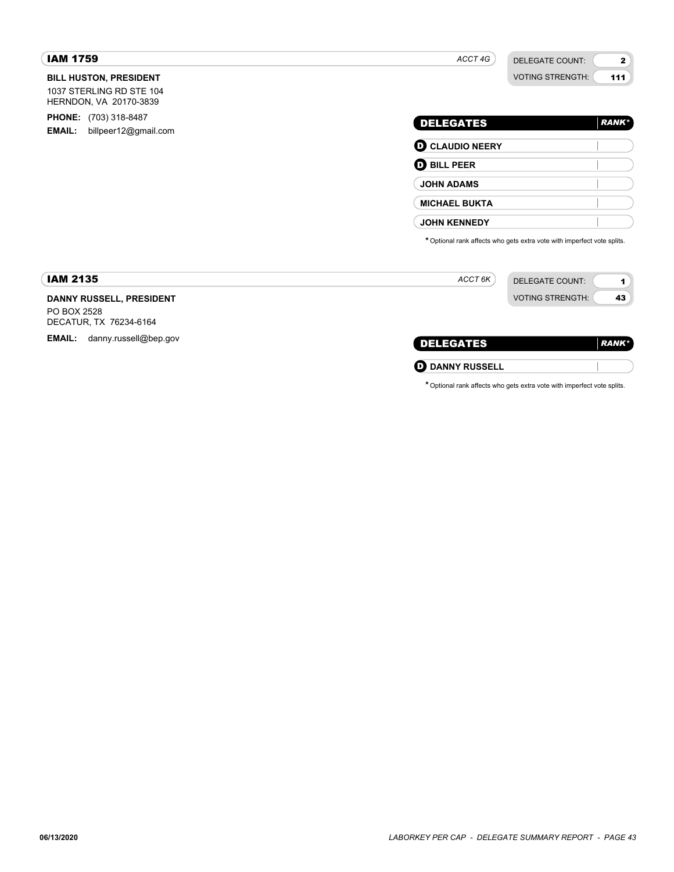| <b>IAM 1759</b>                                                                     | ACCT 4G<br><b>DELEGATE COUNT:</b><br>$\mathbf{2}$                       |
|-------------------------------------------------------------------------------------|-------------------------------------------------------------------------|
| <b>BILL HUSTON, PRESIDENT</b><br>1037 STERLING RD STE 104<br>HERNDON, VA 20170-3839 | <b>VOTING STRENGTH:</b><br>111                                          |
| <b>PHONE:</b> (703) 318-8487<br><b>EMAIL:</b><br>billpeer12@gmail.com               | <b>DELEGATES</b><br><b>RANK*</b>                                        |
|                                                                                     | <b>O CLAUDIO NEERY</b>                                                  |
|                                                                                     | <b>D</b> BILL PEER                                                      |
|                                                                                     | <b>JOHN ADAMS</b>                                                       |
|                                                                                     | <b>MICHAEL BUKTA</b>                                                    |
|                                                                                     | <b>JOHN KENNEDY</b>                                                     |
|                                                                                     | * Optional rank affects who gets extra vote with imperfect vote splits. |
| <b>IAM 2135</b>                                                                     | ACCT 6K<br><b>DELEGATE COUNT:</b>                                       |
| DANNY RUSSELL, PRESIDENT                                                            | <b>VOTING STRENGTH:</b><br>43                                           |
| PO BOX 2528<br>DECATUR, TX 76234-6164                                               |                                                                         |
| <b>EMAIL:</b><br>danny.russell@bep.gov                                              | <b>DELEGATES</b><br><b>RANK*</b>                                        |
|                                                                                     | O<br><b>DANNY RUSSELL</b>                                               |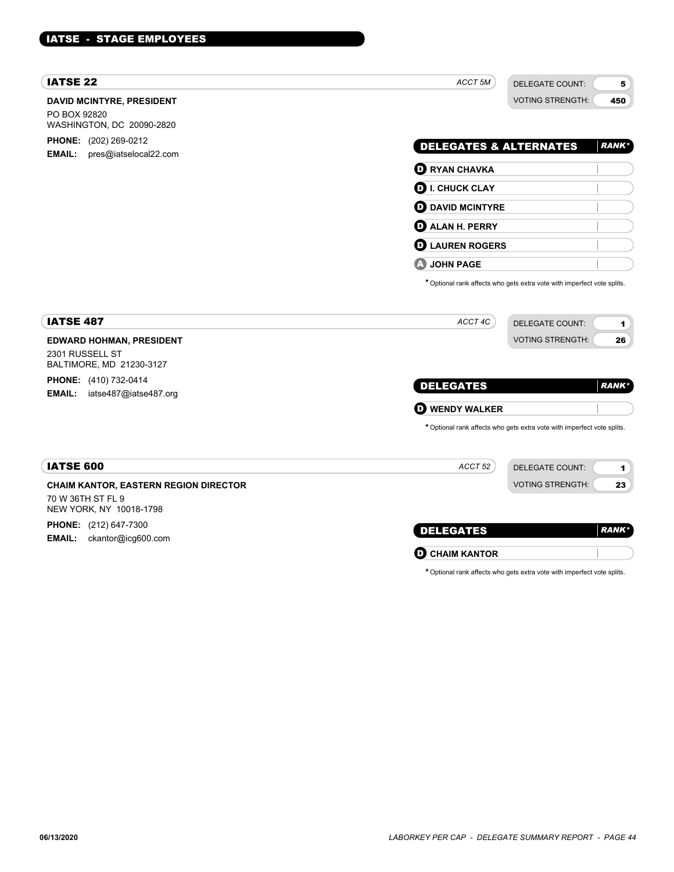# IATSE - STAGE EMPLOYEES

| <b>IATSE 22</b>                                                                | ACCT <sub>5M</sub>                | <b>DELEGATE COUNT:</b>                                                  | 5             |
|--------------------------------------------------------------------------------|-----------------------------------|-------------------------------------------------------------------------|---------------|
| <b>DAVID MCINTYRE, PRESIDENT</b><br>PO BOX 92820<br>WASHINGTON, DC 20090-2820  |                                   | <b>VOTING STRENGTH:</b>                                                 | 450           |
| <b>PHONE:</b> (202) 269-0212<br>EMAIL:                                         | <b>DELEGATES &amp; ALTERNATES</b> |                                                                         | <b>RANK</b> * |
| pres@iatselocal22.com                                                          | $\mathbf 0$ RYAN CHAVKA           |                                                                         |               |
|                                                                                | $\mathbf \Theta$ I. CHUCK CLAY    |                                                                         |               |
|                                                                                | <b>O</b> DAVID MCINTYRE           |                                                                         |               |
|                                                                                | <b>D</b> ALAN H. PERRY            |                                                                         |               |
|                                                                                | <b>D</b> LAUREN ROGERS            |                                                                         |               |
|                                                                                | <b>JOHN PAGE</b>                  |                                                                         |               |
|                                                                                |                                   | * Optional rank affects who gets extra vote with imperfect vote splits. |               |
| <b>IATSE 487</b>                                                               | ACCT 4C                           | <b>DELEGATE COUNT:</b>                                                  | 1             |
| <b>EDWARD HOHMAN, PRESIDENT</b><br>2301 RUSSELL ST<br>BALTIMORE, MD 21230-3127 |                                   | <b>VOTING STRENGTH:</b>                                                 | 26            |
| <b>PHONE:</b> (410) 732-0414                                                   | <b>DELEGATES</b>                  |                                                                         | <b>RANK*</b>  |
| iatse487@iatse487.org<br><b>EMAIL:</b>                                         | <b>D</b> WENDY WALKER             |                                                                         |               |
|                                                                                |                                   | * Optional rank affects who gets extra vote with imperfect vote splits. |               |
| <b>IATSE 600</b>                                                               | ACCT 52                           | <b>DELEGATE COUNT:</b>                                                  | 1             |
| CHAIM KANTOR, EASTERN REGION DIRECTOR                                          |                                   | <b>VOTING STRENGTH:</b>                                                 | 23            |
| 70 W 36TH ST FL 9<br>NEW YORK, NY 10018-1798                                   |                                   |                                                                         |               |
| <b>PHONE:</b> (212) 647-7300                                                   | <b>DELEGATES</b>                  |                                                                         | <b>RANK*</b>  |
| EMAIL:<br>ckantor@icg600.com                                                   |                                   |                                                                         |               |
|                                                                                | <b>CHAIM KANTOR</b><br>D          |                                                                         |               |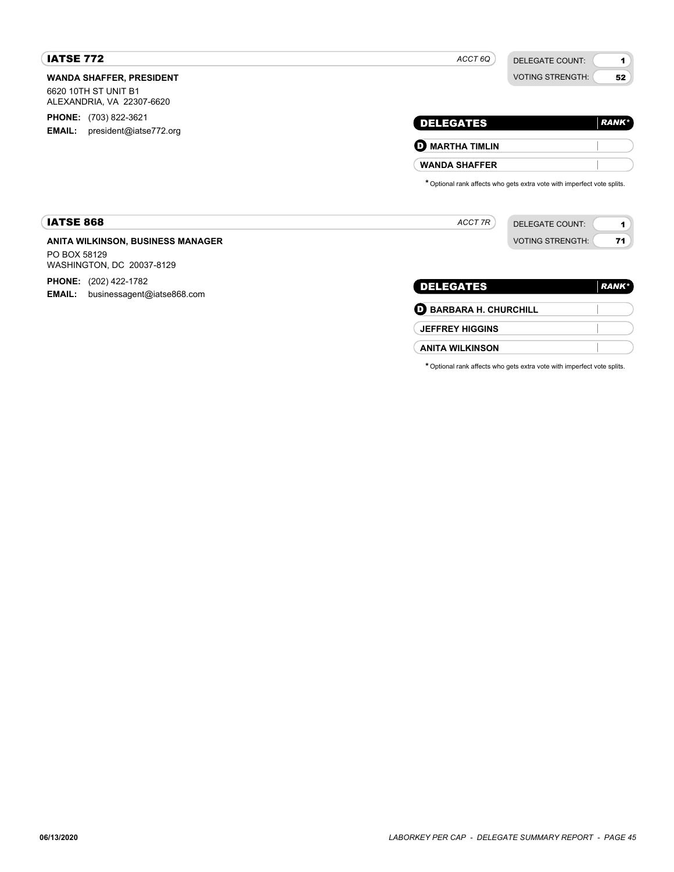# IATSE 772

*ACCT 6Q*

DELEGATE COUNT: VOTING STRENGTH:

1 52

| <b>DELEGATES</b>       | RANK <sup>*</sup> |
|------------------------|-------------------|
| <b>D</b> MARTHA TIMLIN |                   |
| <b>WANDA SHAFFER</b>   |                   |

\*Optional rank affects who gets extra vote with imperfect vote splits.

| <b>IATSE 868</b>                  | ACCT 7R | DELEGATE COUNT:         |    |
|-----------------------------------|---------|-------------------------|----|
| ANITA WILKINSON, BUSINESS MANAGER |         | <b>VOTING STRENGTH:</b> | −. |
| PO BOX 58129                      |         |                         |    |

WASHINGTON, DC 20037-8129

**WANDA SHAFFER, PRESIDENT**

6620 10TH ST UNIT B1 ALEXANDRIA, VA 22307-6620 **PHONE:** (703) 822-3621 **EMAIL:** president@iatse772.org

**PHONE:** (202) 422-1782

**EMAIL:** businessagent@iatse868.com

| <b>DELEGATES</b>              | <b>RANK</b> * |
|-------------------------------|---------------|
| <b>D</b> BARBARA H. CHURCHILL |               |
| <b>JEFFREY HIGGINS</b>        |               |
| <b>ANITA WILKINSON</b>        |               |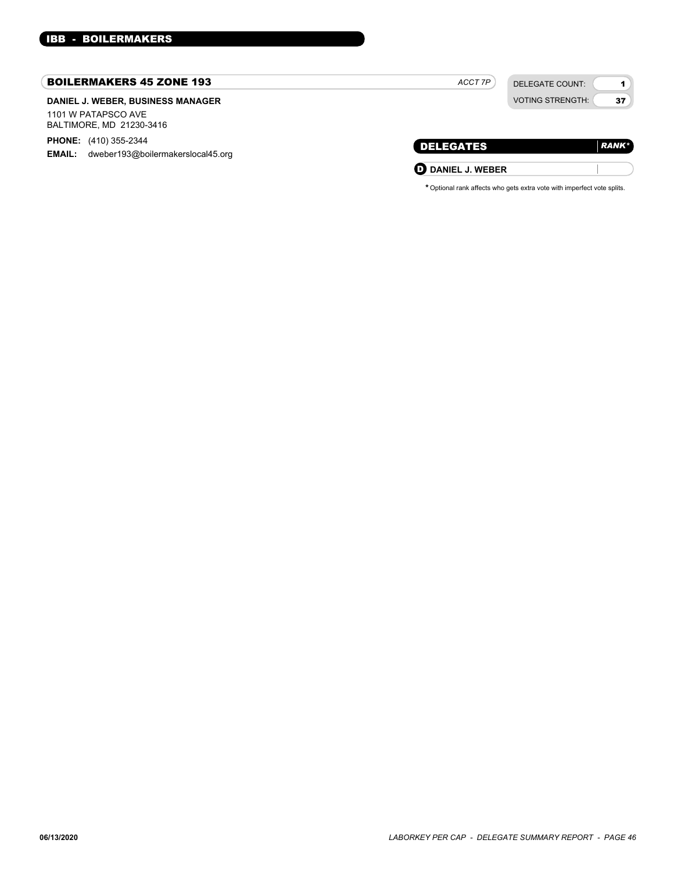#### BOILERMAKERS 45 ZONE 193

# **DANIEL J. WEBER, BUSINESS MANAGER**

1101 W PATAPSCO AVE BALTIMORE, MD 21230-3416

**PHONE:** (410) 355-2344

**EMAIL:** dweber193@boilermakerslocal45.org

| ACCT 7P |  |
|---------|--|
|         |  |

DELEGATE COUNT: VOTING STRENGTH:

1 37

| DELEGATES                | <b>RANK*</b> |
|--------------------------|--------------|
| <b>U</b> DANIEL J. WEBER |              |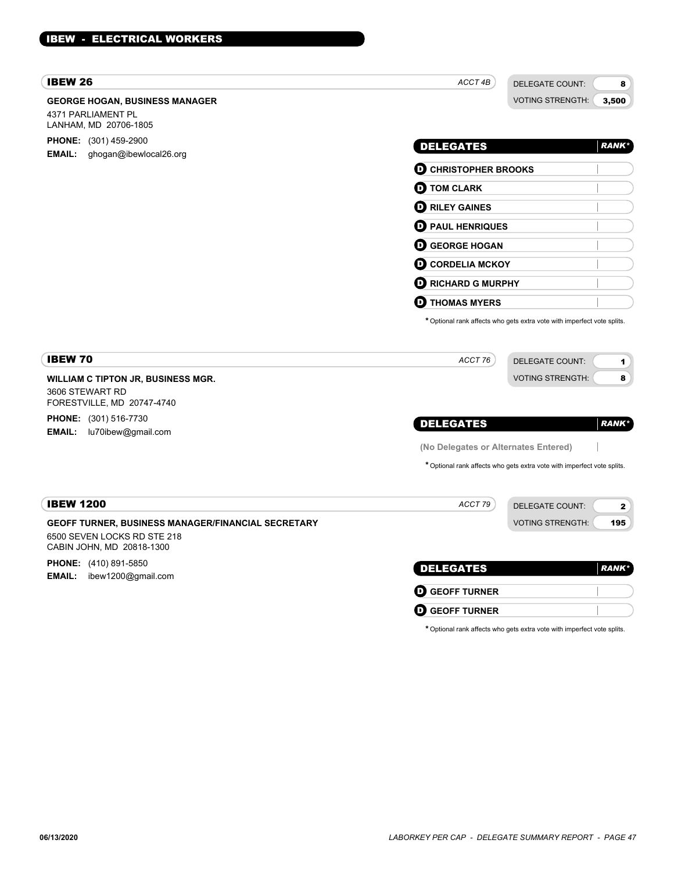# IBEW - ELECTRICAL WORKERS

# IBEW 26

# **GEORGE HOGAN, BUSINESS MANAGER** 4371 PARLIAMENT PL LANHAM, MD 20706-1805 **PHONE:** (301) 459-2900

**EMAIL:** ghogan@ibewlocal26.org

DELEGATE COUNT: VOTING STRENGTH:

8 3,500

| <b>DELEGATES</b>            | <b>RANK*</b> |
|-----------------------------|--------------|
| <b>D</b> CHRISTOPHER BROOKS |              |
| <b>O</b> TOM CLARK          |              |
| <b>O RILEY GAINES</b>       |              |
| <b>D</b> PAUL HENRIQUES     |              |
| <b>O GEORGE HOGAN</b>       |              |
| <b>O CORDELIA MCKOY</b>     |              |
| <b>D</b> RICHARD G MURPHY   |              |
| <b>THOMAS MYERS</b><br>D    |              |

\*Optional rank affects who gets extra vote with imperfect vote splits.

| <b>IBEW 70</b>                                                                                                        | ACCT 76                              | <b>DELEGATE COUNT:</b><br>1                                             |
|-----------------------------------------------------------------------------------------------------------------------|--------------------------------------|-------------------------------------------------------------------------|
| <b>WILLIAM C TIPTON JR, BUSINESS MGR.</b><br>3606 STEWART RD                                                          |                                      | <b>VOTING STRENGTH:</b><br>8                                            |
| FORESTVILLE, MD 20747-4740<br><b>PHONE:</b> (301) 516-7730<br>lu70ibew@gmail.com<br><b>EMAIL:</b>                     | <b>DELEGATES</b>                     | <b>RANK*</b>                                                            |
|                                                                                                                       | (No Delegates or Alternates Entered) |                                                                         |
|                                                                                                                       |                                      | * Optional rank affects who gets extra vote with imperfect vote splits. |
| <b>IBEW 1200</b>                                                                                                      | ACCT 79                              | <b>DELEGATE COUNT:</b><br>$\mathbf{z}$                                  |
| <b>GEOFF TURNER, BUSINESS MANAGER/FINANCIAL SECRETARY</b><br>6500 SEVEN LOCKS RD STE 218<br>CABIN JOHN, MD 20818-1300 |                                      | <b>VOTING STRENGTH:</b><br>195                                          |
| <b>PHONE:</b> (410) 891-5850<br>ibew1200@gmail.com<br><b>EMAIL:</b>                                                   | <b>DELEGATES</b>                     | <b>RANK*</b>                                                            |
|                                                                                                                       | <b>GEOFF TURNER</b><br>o             |                                                                         |
|                                                                                                                       | <b>GEOFF TURNER</b><br>o             |                                                                         |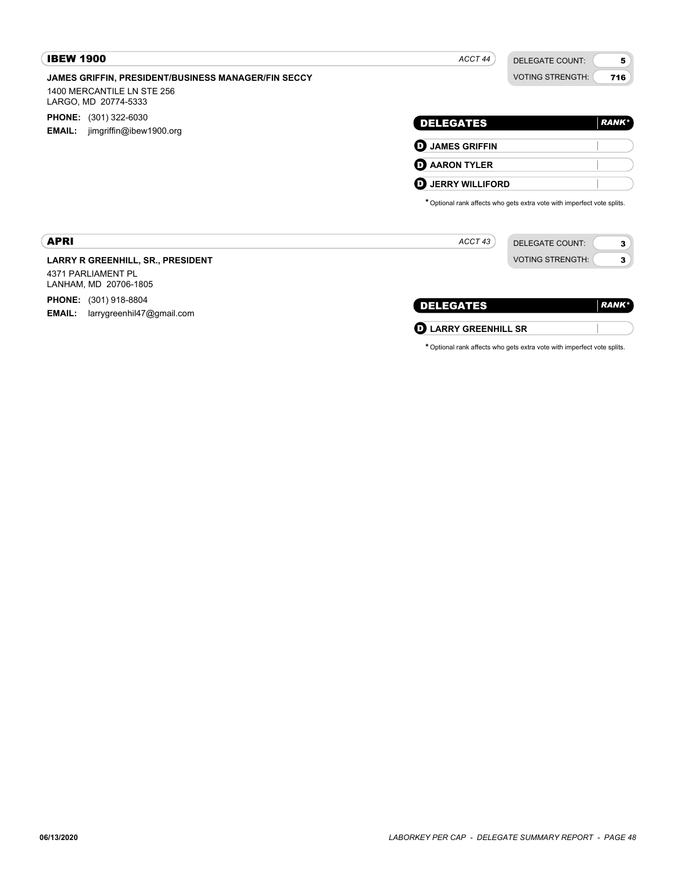| <b>IBEW 1900</b>                                                                                                 | ACCT 44                  | <b>DELEGATE COUNT:</b>                                                  | 5            |
|------------------------------------------------------------------------------------------------------------------|--------------------------|-------------------------------------------------------------------------|--------------|
| <b>JAMES GRIFFIN, PRESIDENT/BUSINESS MANAGER/FIN SECCY</b><br>1400 MERCANTILE LN STE 256<br>LARGO, MD 20774-5333 |                          | <b>VOTING STRENGTH:</b>                                                 | 716          |
| <b>PHONE:</b> (301) 322-6030<br><b>EMAIL:</b><br>jimgriffin@ibew1900.org                                         | <b>DELEGATES</b>         |                                                                         | <b>RANK*</b> |
|                                                                                                                  | <b>D</b> JAMES GRIFFIN   |                                                                         |              |
|                                                                                                                  | <b>O</b> AARON TYLER     |                                                                         |              |
|                                                                                                                  | <b>D</b> JERRY WILLIFORD | * Optional rank affects who gets extra vote with imperfect vote splits. |              |
| <b>APRI</b>                                                                                                      | ACCT 43                  | <b>DELEGATE COUNT:</b>                                                  | 3            |
| <b>LARRY R GREENHILL, SR., PRESIDENT</b>                                                                         |                          | <b>VOTING STRENGTH:</b>                                                 | 3            |
| 4371 PARLIAMENT PL<br>LANHAM, MD 20706-1805                                                                      |                          |                                                                         |              |

| <b>DELEGATES</b>            | $RANK^*$ |
|-----------------------------|----------|
| <b>D</b> LARRY GREENHILL SR |          |

\*Optional rank affects who gets extra vote with imperfect vote splits.

**PHONE:** (301) 918-8804

**EMAIL:** larrygreenhil47@gmail.com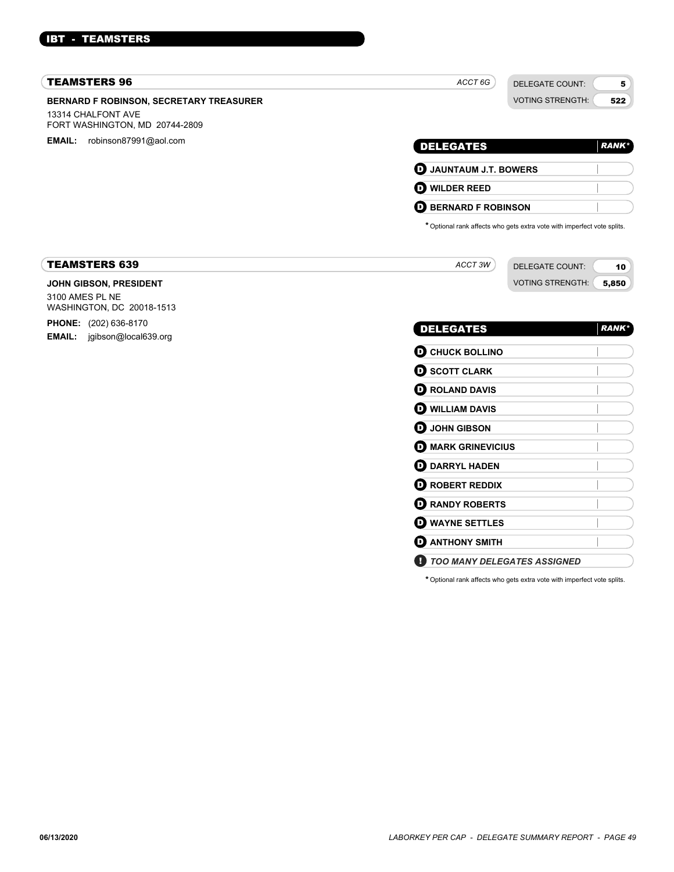# IBT - TEAMSTERS

| <b>TEAMSTERS 96</b>                                  | ACCT 6G                           | <b>DELEGATE COUNT:</b>                                                  |              |
|------------------------------------------------------|-----------------------------------|-------------------------------------------------------------------------|--------------|
| <b>BERNARD F ROBINSON, SECRETARY TREASURER</b>       |                                   | <b>VOTING STRENGTH:</b>                                                 | 522          |
| 13314 CHALFONT AVE<br>FORT WASHINGTON, MD 20744-2809 |                                   |                                                                         |              |
| <b>EMAIL:</b><br>robinson87991@aol.com               | <b>DELEGATES</b>                  |                                                                         | <b>RANK*</b> |
|                                                      | <b>D</b> JAUNTAUM J.T. BOWERS     |                                                                         |              |
|                                                      | $\boldsymbol{\Theta}$ wilder reed |                                                                         |              |
|                                                      | <b>BERNARD F ROBINSON</b><br>D    |                                                                         |              |
|                                                      |                                   | * Optional rank affects who gets extra vote with imperfect vote splits. |              |
|                                                      |                                   |                                                                         |              |
| <b>TEAMSTERS 639</b>                                 | ACCT 3W                           | <b>DELEGATE COUNT:</b>                                                  | 10           |
| JOHN GIBSON, PRESIDENT                               |                                   | <b>VOTING STRENGTH:</b>                                                 | 5,850        |
| 3100 AMES PL NE<br>WASHINGTON, DC 20018-1513         |                                   |                                                                         |              |
| <b>PHONE:</b> (202) 636-8170                         | <b>DELEGATES</b>                  |                                                                         | <b>RANK*</b> |
| <b>EMAIL:</b> jgibson@local639.org                   | <b>O CHUCK BOLLINO</b>            |                                                                         |              |
|                                                      | $\mathbf 0$ SCOTT CLARK           |                                                                         |              |
|                                                      |                                   |                                                                         |              |
|                                                      | <b>O ROLAND DAVIS</b>             |                                                                         |              |
|                                                      | <b>O WILLIAM DAVIS</b>            |                                                                         |              |
|                                                      |                                   |                                                                         |              |
|                                                      | <b>D</b> JOHN GIBSON              |                                                                         |              |
|                                                      | <b>O MARK GRINEVICIUS</b>         |                                                                         |              |
|                                                      | <b>OD</b> DARRYL HADEN            |                                                                         |              |

**O** RANDY ROBERTS D **WAYNE SETTLES D** ANTHONY SMITH

! *TOO MANY DELEGATES ASSIGNED*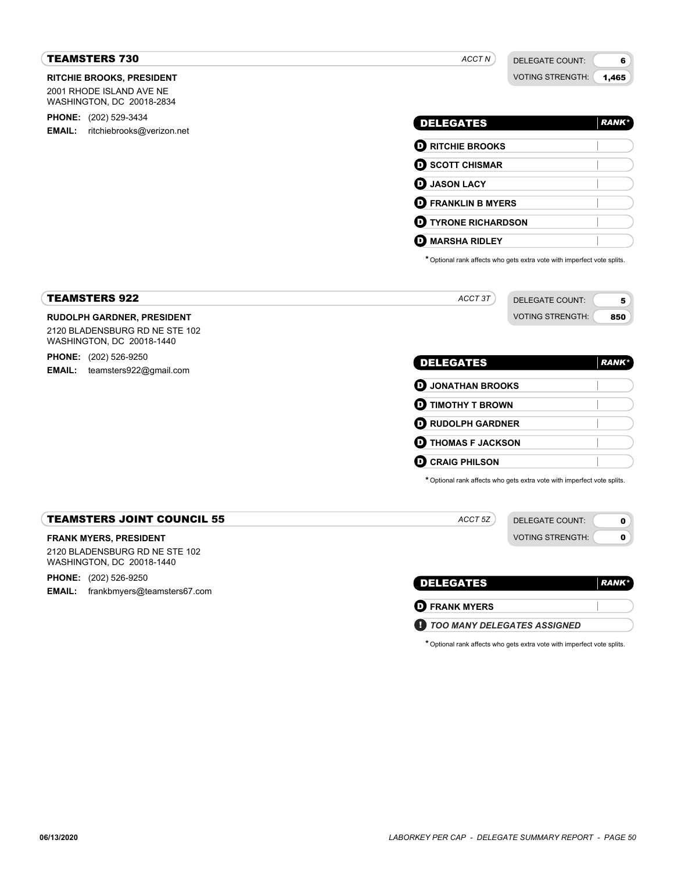| <b>TEAMSTERS 730</b>                                                                                                      | ACCT N                                                                  | <b>DELEGATE COUNT:</b><br>6                    |
|---------------------------------------------------------------------------------------------------------------------------|-------------------------------------------------------------------------|------------------------------------------------|
| <b>RITCHIE BROOKS, PRESIDENT</b><br>2001 RHODE ISLAND AVE NE<br>WASHINGTON, DC 20018-2834                                 |                                                                         | <b>VOTING STRENGTH:</b><br>1,465               |
| PHONE: (202) 529-3434                                                                                                     | <b>DELEGATES</b>                                                        | <b>RANK*</b>                                   |
| <b>EMAIL:</b><br>ritchiebrooks@verizon.net                                                                                |                                                                         |                                                |
|                                                                                                                           | <b>O RITCHIE BROOKS</b>                                                 |                                                |
|                                                                                                                           | <b>O SCOTT CHISMAR</b>                                                  |                                                |
|                                                                                                                           | <b>D</b> JASON LACY                                                     |                                                |
|                                                                                                                           | <b>D</b> FRANKLIN B MYERS                                               |                                                |
|                                                                                                                           | <b>D</b> TYRONE RICHARDSON                                              |                                                |
|                                                                                                                           | O<br><b>MARSHA RIDLEY</b>                                               |                                                |
|                                                                                                                           | * Optional rank affects who gets extra vote with imperfect vote splits. |                                                |
| <b>TEAMSTERS 922</b>                                                                                                      | ACCT 3T                                                                 | <b>DELEGATE COUNT:</b><br>5                    |
| <b>RUDOLPH GARDNER, PRESIDENT</b><br>2120 BLADENSBURG RD NE STE 102<br>WASHINGTON, DC 20018-1440<br>PHONE: (202) 526-9250 | <b>DELEGATES</b>                                                        | <b>VOTING STRENGTH:</b><br>850<br><b>RANK*</b> |
| <b>EMAIL:</b><br>teamsters922@gmail.com                                                                                   | <b>O</b> JONATHAN BROOKS                                                |                                                |
|                                                                                                                           | <b>D</b> TIMOTHY T BROWN                                                |                                                |
|                                                                                                                           | <b>D</b> RUDOLPH GARDNER                                                |                                                |
|                                                                                                                           | <b>D</b> THOMAS F JACKSON                                               |                                                |
|                                                                                                                           | <b>D</b> CRAIG PHILSON                                                  |                                                |
|                                                                                                                           | * Optional rank affects who gets extra vote with imperfect vote splits. |                                                |
| <b>TEAMSTERS JOINT COUNCIL 55</b>                                                                                         | ACCT 5Z                                                                 | <b>DELEGATE COUNT:</b><br>0                    |
|                                                                                                                           |                                                                         | <b>VOTING STRENGTH:</b><br>$\bullet$           |
| <b>FRANK MYERS, PRESIDENT</b><br>2120 BLADENSBURG RD NE STE 102                                                           |                                                                         |                                                |
| WASHINGTON, DC 20018-1440                                                                                                 |                                                                         |                                                |
| PHONE: (202) 526-9250<br>EMAIL: frankbmyers@teamsters67.com                                                               | <b>DELEGATES</b>                                                        | <b>RANK*</b>                                   |
|                                                                                                                           | <b>O</b> FRANK MYERS                                                    |                                                |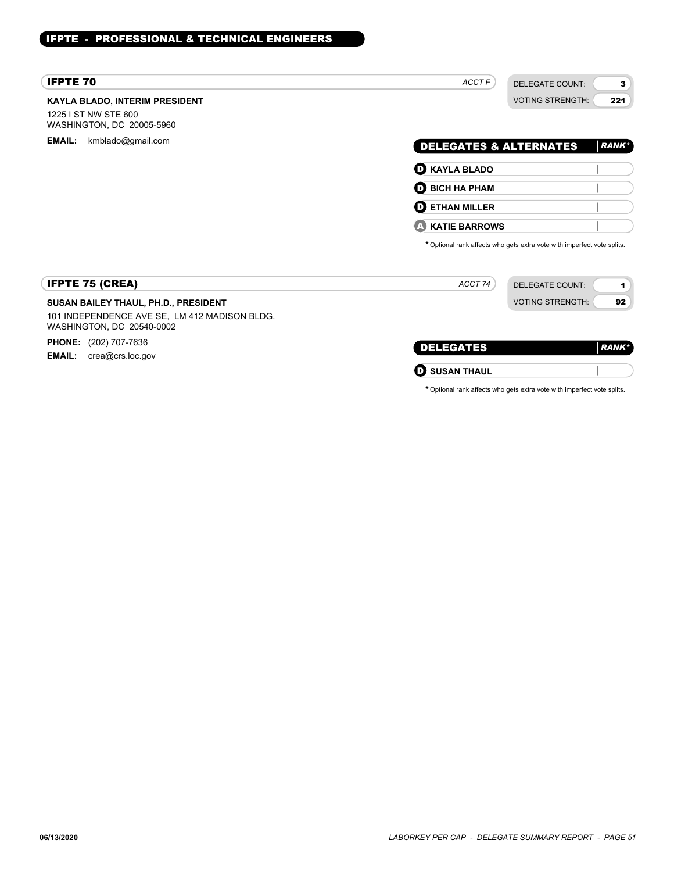# IFPTE - PROFESSIONAL & TECHNICAL ENGINEERS

| <b>IFPTE 70</b>                                                                                                    | ACCT F<br><b>DELEGATE COUNT:</b><br>3                                   |
|--------------------------------------------------------------------------------------------------------------------|-------------------------------------------------------------------------|
| <b>KAYLA BLADO, INTERIM PRESIDENT</b><br>1225 I ST NW STE 600<br>WASHINGTON, DC 20005-5960                         | <b>VOTING STRENGTH:</b><br>221                                          |
| <b>EMAIL:</b><br>kmblado@gmail.com                                                                                 | <b>DELEGATES &amp; ALTERNATES</b><br><b>RANK</b> *                      |
|                                                                                                                    | <b>D</b> KAYLA BLADO                                                    |
|                                                                                                                    | $\mathbf 0$ BICH HA PHAM                                                |
|                                                                                                                    | Ø<br><b>ETHAN MILLER</b>                                                |
|                                                                                                                    | <b>KATIE BARROWS</b><br>Œ                                               |
|                                                                                                                    | * Optional rank affects who gets extra vote with imperfect vote splits. |
| <b>IFPTE 75 (CREA)</b>                                                                                             | ACCT 74<br><b>DELEGATE COUNT:</b><br>1                                  |
| SUSAN BAILEY THAUL, PH.D., PRESIDENT<br>101 INDEPENDENCE AVE SE, LM 412 MADISON BLDG.<br>WASHINGTON, DC 20540-0002 | <b>VOTING STRENGTH:</b><br>92                                           |
| <b>PHONE:</b> (202) 707-7636                                                                                       | <b>DELEGATES</b><br><b>RANK*</b>                                        |
| <b>EMAIL:</b><br>crea@crs.loc.gov                                                                                  | <b>SUSAN THAUL</b><br>Q                                                 |
|                                                                                                                    | * Optional rank affects who gets extra vote with imperfect vote splits. |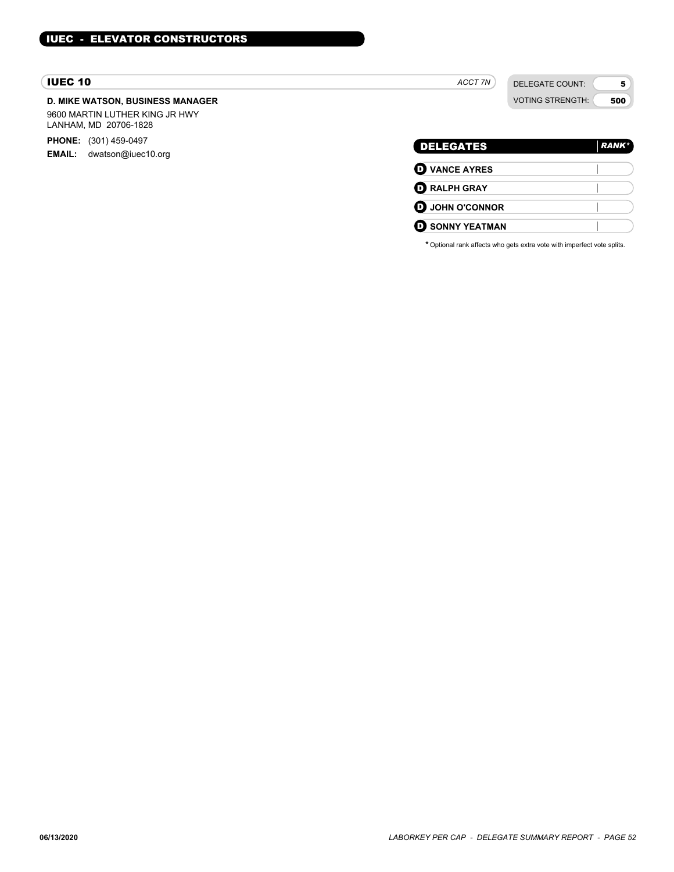# IUEC 10

# **D. MIKE WATSON, BUSINESS MANAGER**

9600 MARTIN LUTHER KING JR HWY LANHAM, MD 20706-1828

**PHONE:** (301) 459-0497

**EMAIL:** dwatson@iuec10.org

| ACCT 7N |  |
|---------|--|
|---------|--|

DELEGATE COUNT: VOTING STRENGTH:

5 500

| <b>DELEGATES</b>       | <b>RANK</b> * |
|------------------------|---------------|
| <b>O</b> VANCE AYRES   |               |
| <b>O RALPH GRAY</b>    |               |
| <b>O</b> JOHN O'CONNOR |               |
| <b>O SONNY YEATMAN</b> |               |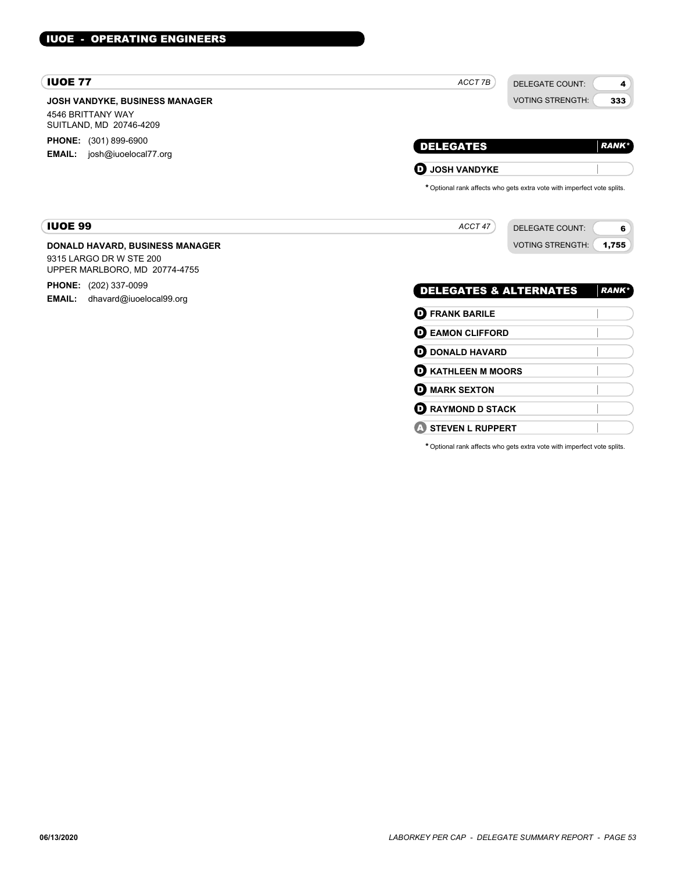| <b>IUOE 77</b>                                                                                     | ACCT 7B<br><b>DELEGATE COUNT:</b>                                                                   | 4            |
|----------------------------------------------------------------------------------------------------|-----------------------------------------------------------------------------------------------------|--------------|
| <b>JOSH VANDYKE, BUSINESS MANAGER</b><br>4546 BRITTANY WAY<br>SUITLAND, MD 20746-4209              | <b>VOTING STRENGTH:</b>                                                                             | 333          |
| <b>PHONE:</b> (301) 899-6900<br>josh@iuoelocal77.org<br><b>EMAIL:</b>                              | <b>DELEGATES</b>                                                                                    | <b>RANK*</b> |
|                                                                                                    | $\mathbf 0$ JOSH VANDYKE<br>* Optional rank affects who gets extra vote with imperfect vote splits. |              |
| <b>IUOE 99</b>                                                                                     | ACCT 47<br><b>DELEGATE COUNT:</b>                                                                   | 6            |
| <b>DONALD HAVARD, BUSINESS MANAGER</b><br>9315 LARGO DR W STE 200<br>UPPER MARLBORO, MD 20774-4755 | <b>VOTING STRENGTH:</b><br>1,755                                                                    |              |
| <b>PHONE:</b> (202) 337-0099<br><b>EMAIL:</b><br>dhavard@iuoelocal99.org                           | <b>DELEGATES &amp; ALTERNATES</b>                                                                   | <b>RANK*</b> |
|                                                                                                    | <b>D</b> FRANK BARILE                                                                               |              |
|                                                                                                    | <b>EAMON CLIFFORD</b><br>$\mathbf \Omega$                                                           |              |
|                                                                                                    | <b>DONALD HAVARD</b><br>O                                                                           |              |
|                                                                                                    | <b>D</b> KATHLEEN M MOORS                                                                           |              |
|                                                                                                    | <b>O MARK SEXTON</b>                                                                                |              |
|                                                                                                    | <b>RAYMOND D STACK</b><br>o                                                                         |              |
|                                                                                                    | <b>STEVEN L RUPPERT</b>                                                                             |              |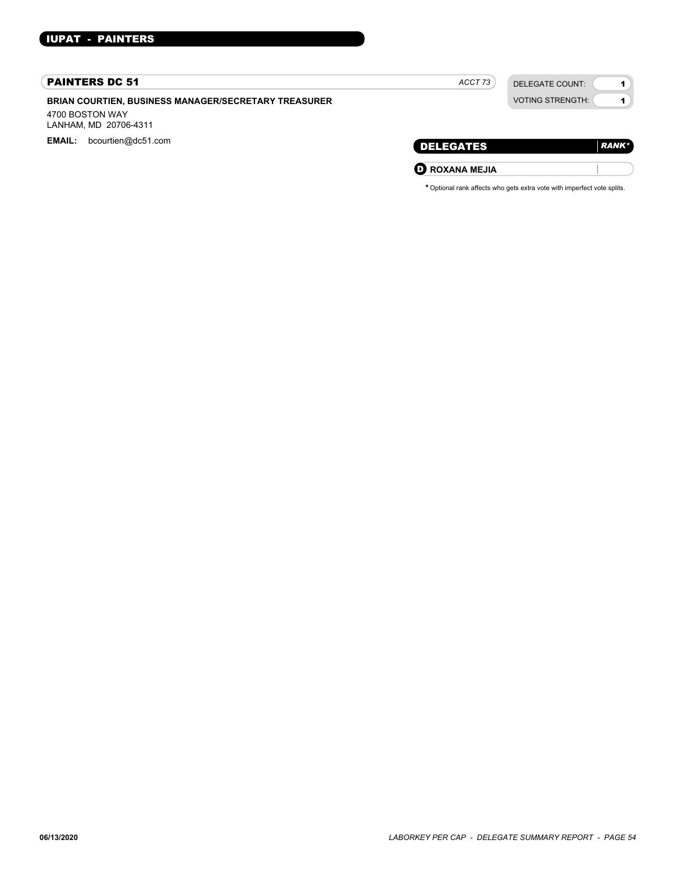# PAINTERS DC 51

**BRIAN COURTIEN, BUSINESS MANAGER/SECRETARY TREASURER**

4700 BOSTON WAY LANHAM, MD 20706-4311

EMAIL: bcourtien@dc51.com

| <b>VOTING STRENGTH:</b> |
|-------------------------|
|                         |
|                         |

*ACCT 73*

DELEGATE COUNT:

1 1

| DELEGATES                | <b>RANK</b> * |
|--------------------------|---------------|
| $\mathbf D$ ROXANA MEJIA |               |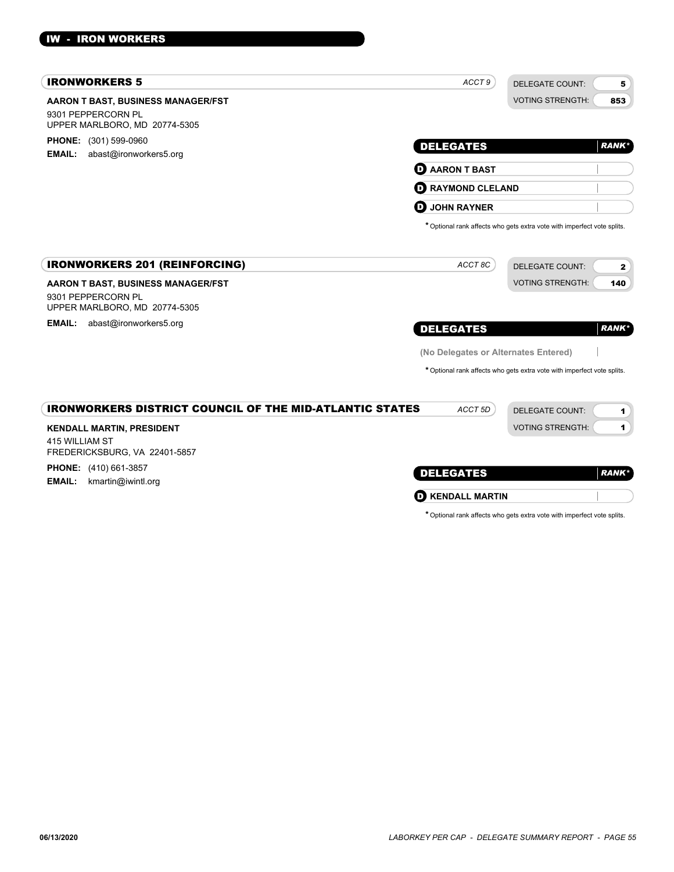# IW - IRON WORKERS

| <b>IRONWORKERS 5</b>                                                    | ACCT <sub>9</sub>                    | <b>DELEGATE COUNT:</b><br>5                                             |
|-------------------------------------------------------------------------|--------------------------------------|-------------------------------------------------------------------------|
| AARON T BAST, BUSINESS MANAGER/FST<br>9301 PEPPERCORN PL                |                                      | <b>VOTING STRENGTH:</b><br>853                                          |
| UPPER MARLBORO, MD 20774-5305                                           |                                      |                                                                         |
| <b>PHONE:</b> (301) 599-0960<br><b>EMAIL:</b><br>abast@ironworkers5.org | <b>DELEGATES</b>                     | <b>RANK*</b>                                                            |
|                                                                         | $\mathbf 0$ AARON T BAST             |                                                                         |
|                                                                         | <b>RAYMOND CLELAND</b><br>O          |                                                                         |
|                                                                         | O<br><b>JOHN RAYNER</b>              |                                                                         |
|                                                                         |                                      | * Optional rank affects who gets extra vote with imperfect vote splits. |
| <b>IRONWORKERS 201 (REINFORCING)</b>                                    | ACCT 8C                              | <b>DELEGATE COUNT:</b><br>$\mathbf{2}$                                  |
| AARON T BAST, BUSINESS MANAGER/FST                                      |                                      | <b>VOTING STRENGTH:</b><br>140                                          |
| 9301 PEPPERCORN PL<br>UPPER MARLBORO, MD 20774-5305                     |                                      |                                                                         |
| <b>EMAIL:</b><br>abast@ironworkers5.org                                 | <b>DELEGATES</b>                     | <b>RANK*</b>                                                            |
|                                                                         | (No Delegates or Alternates Entered) |                                                                         |
|                                                                         |                                      | * Optional rank affects who gets extra vote with imperfect vote splits. |
| <b>IRONWORKERS DISTRICT COUNCIL OF THE MID-ATLANTIC STATES</b>          | ACCT <sub>5D</sub>                   | <b>DELEGATE COUNT:</b><br>1                                             |
| <b>KENDALL MARTIN, PRESIDENT</b>                                        |                                      | <b>VOTING STRENGTH:</b><br>$\mathbf{1}$                                 |
| 415 WILLIAM ST<br>FREDERICKSBURG, VA 22401-5857                         |                                      |                                                                         |
| <b>PHONE:</b> (410) 661-3857<br>kmartin@iwintl.org<br><b>EMAIL:</b>     | <b>DELEGATES</b>                     | <b>RANK*</b>                                                            |

**O** KENDALL MARTIN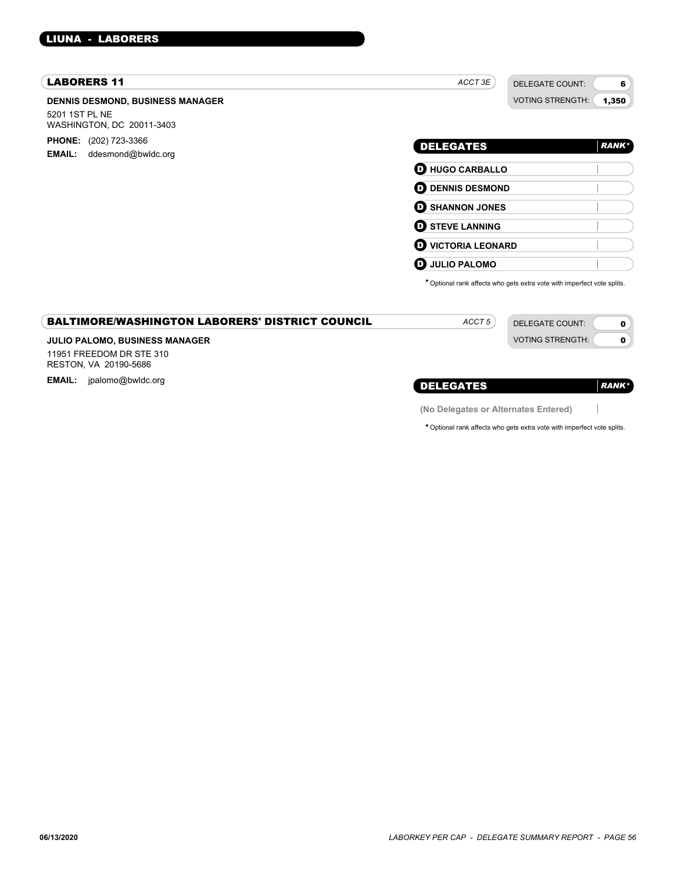# LIUNA - LABORERS

| <b>LABORERS 11</b>                                                                     | ACCT 3E                   | <b>DELEGATE COUNT:</b><br>6                                             |
|----------------------------------------------------------------------------------------|---------------------------|-------------------------------------------------------------------------|
| <b>DENNIS DESMOND, BUSINESS MANAGER</b><br>5201 1ST PL NE<br>WASHINGTON, DC 20011-3403 |                           | <b>VOTING STRENGTH:</b><br>1,350                                        |
| <b>PHONE:</b> (202) 723-3366<br><b>EMAIL:</b><br>ddesmond@bwldc.org                    | <b>DELEGATES</b>          | <b>RANK*</b>                                                            |
|                                                                                        | <b>D</b> HUGO CARBALLO    |                                                                         |
|                                                                                        | <b>OD</b> DENNIS DESMOND  |                                                                         |
|                                                                                        | <b>O SHANNON JONES</b>    |                                                                         |
|                                                                                        | <b>O STEVE LANNING</b>    |                                                                         |
|                                                                                        | <b>O VICTORIA LEONARD</b> |                                                                         |
|                                                                                        | <b>D</b> JULIO PALOMO     |                                                                         |
|                                                                                        |                           | * Optional rank affects who gets extra vote with imperfect vote splits. |
| <b>BALTIMORE/WASHINGTON LABORERS' DISTRICT COUNCIL</b>                                 | ACCT <sub>5</sub>         | <b>DELEGATE COUNT:</b><br>$\mathbf 0$                                   |
| JULIO PALOMO, BUSINESS MANAGER                                                         |                           | <b>VOTING STRENGTH:</b><br>$\mathbf 0$                                  |
| 11951 FREEDOM DR STE 310<br>RESTON, VA 20190-5686                                      |                           |                                                                         |
| EMAIL: jpalomo@bwldc.org                                                               | <b>DELEGATES</b>          | <b>RANK*</b>                                                            |

 $\begin{array}{c} \hline \end{array}$ 

**(No Delegates or Alternates Entered)**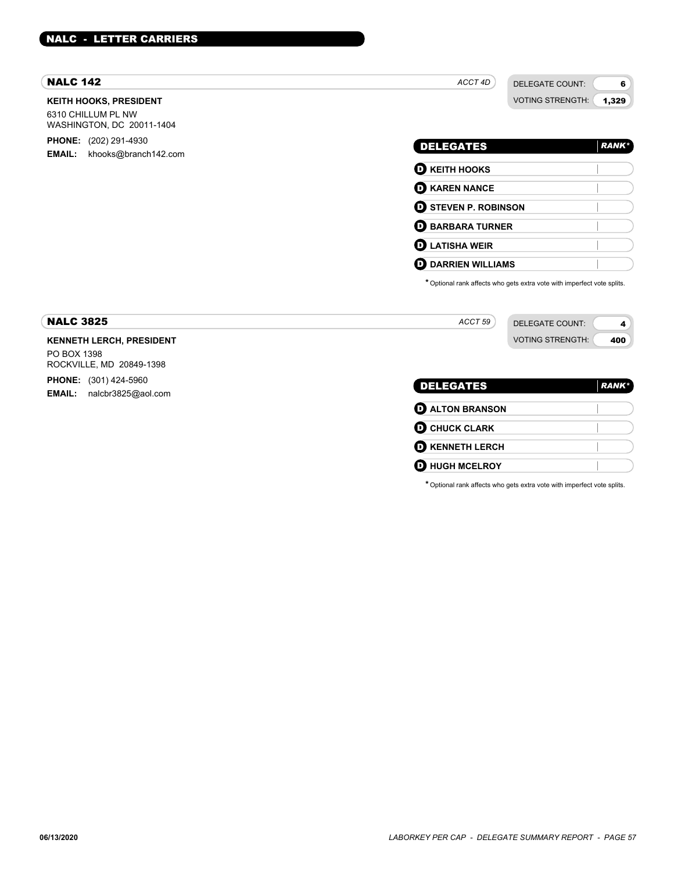# NALC - LETTER CARRIERS

# NALC 142

# **KEITH HOOKS, PRESIDENT**

6310 CHILLUM PL NW WASHINGTON, DC 20011-1404

**PHONE:** (202) 291-4930 **EMAIL:** khooks@branch142.com

| <b>DELEGATES</b>            | <b>RANK*</b> |
|-----------------------------|--------------|
| $\mathbf 0$ KEITH HOOKS     |              |
| <b>O KAREN NANCE</b>        |              |
| <b>D</b> STEVEN P. ROBINSON |              |
| <b>D</b> BARBARA TURNER     |              |
| $\mathbf D$ LATISHA WEIR    |              |
| <b>DARRIEN WILLIAMS</b>     |              |

*ACCT 4D*

DELEGATE COUNT: VOTING STRENGTH:

6 1,329

\*Optional rank affects who gets extra vote with imperfect vote splits.

| <b>NALC 3825</b>                        | ACCT 59<br>DELEGATE COUNT: |               |
|-----------------------------------------|----------------------------|---------------|
| <b>KENNETH LERCH, PRESIDENT</b>         | <b>VOTING STRENGTH:</b>    | 400           |
| PO BOX 1398<br>ROCKVILLE, MD 20849-1398 |                            |               |
| (301) 424-5960<br><b>PHONE:</b>         | <b>DELEGATES</b>           | <b>RANK</b> * |
| nalcbr3825@aol.com<br><b>EMAIL:</b>     |                            |               |

| <b>DELEGATES</b>       | <b>RANK</b> * |
|------------------------|---------------|
| <b>O ALTON BRANSON</b> |               |
| <b>O CHUCK CLARK</b>   |               |
| <b>O KENNETH LERCH</b> |               |
| <b>O HUGH MCELROY</b>  |               |
|                        |               |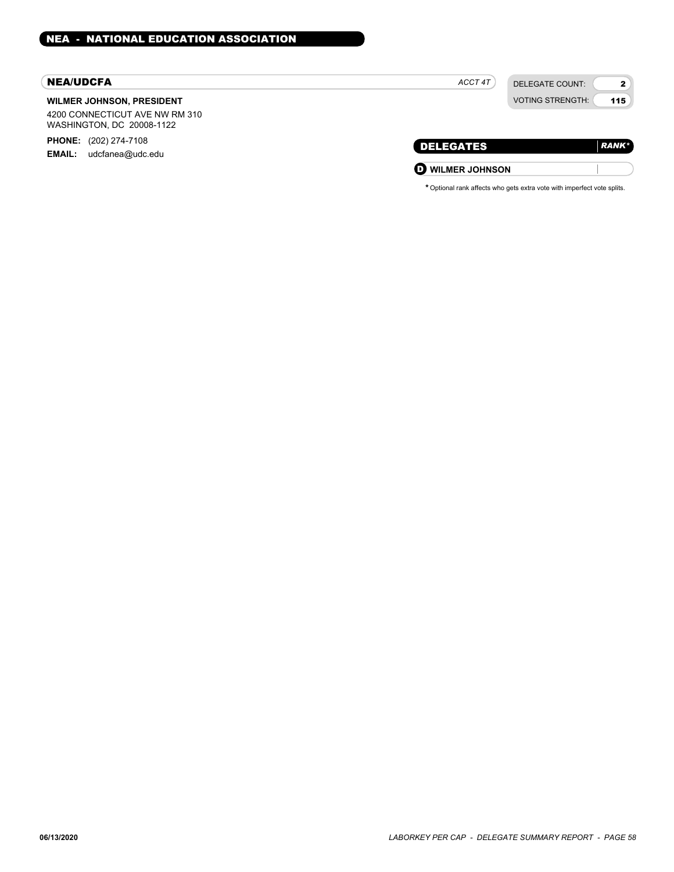#### NEA/UDCFA

## **WILMER JOHNSON, PRESIDENT**

4200 CONNECTICUT AVE NW RM 310 WASHINGTON, DC 20008-1122

**PHONE:** (202) 274-7108

**EMAIL:** udcfanea@udc.edu

|  | $\tau$ .<br>ACC |  |
|--|-----------------|--|
|--|-----------------|--|

2 115

| <b>DELEGATES</b>        | <b>RANK*</b> |
|-------------------------|--------------|
| <b>D</b> WILMER JOHNSON |              |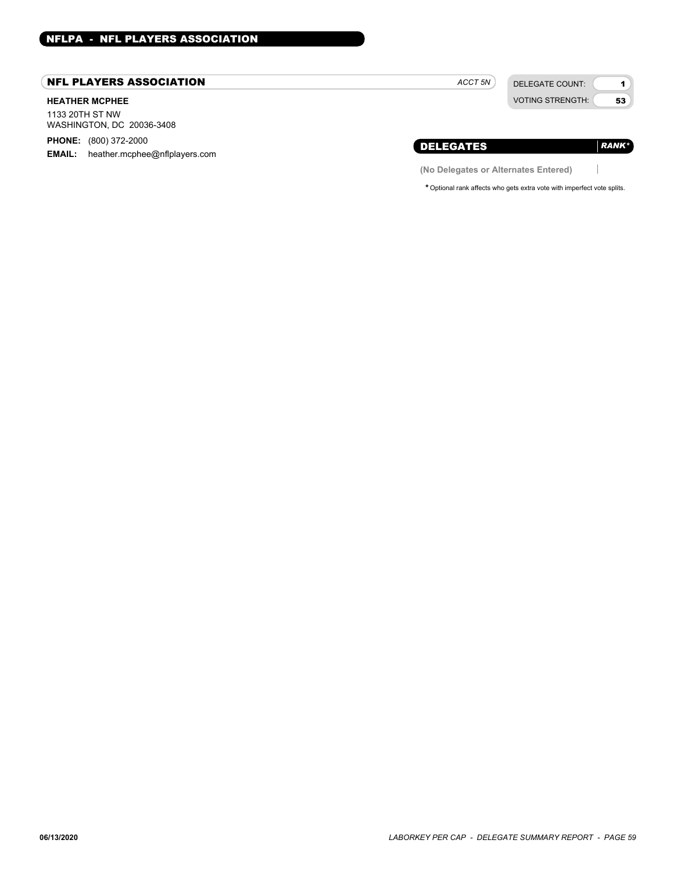# NFL PLAYERS ASSOCIATION

## **HEATHER MCPHEE**

1133 20TH ST NW WASHINGTON, DC 20036-3408

**PHONE:** (800) 372-2000

**EMAIL:** heather.mcphee@nflplayers.com

*ACCT 5N*

DELEGATE COUNT: VOTING STRENGTH:

1 53

 $\begin{array}{c} \hline \end{array}$ 

*RANK\**

# DELEGATES

**(No Delegates or Alternates Entered)**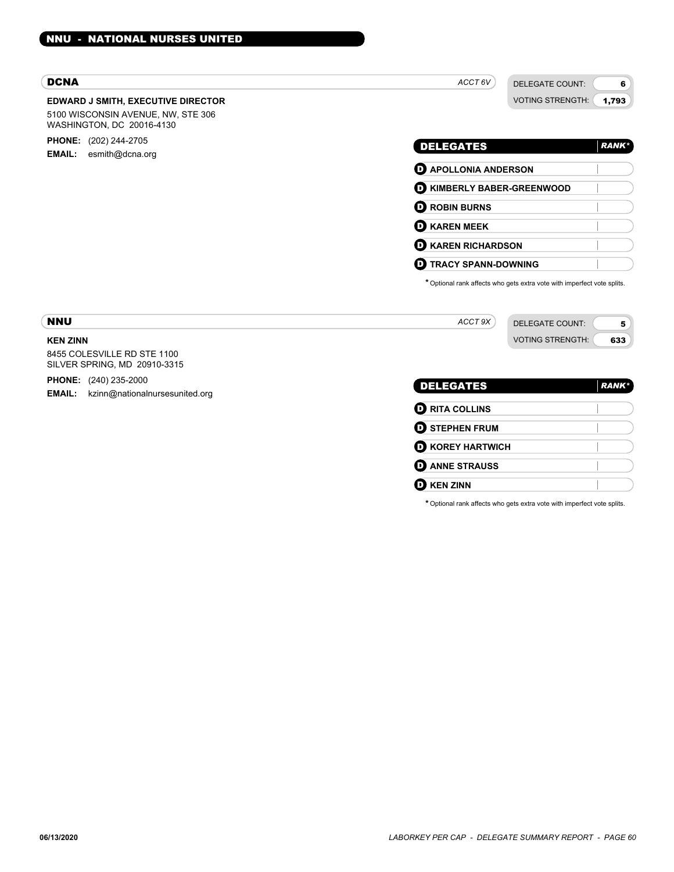#### **EDWARD J SMITH, EXECUTIVE DIRECTOR** DCNA 5100 WISCONSIN AVENUE, NW, STE 306 WASHINGTON, DC 20016-4130 **PHONE:** (202) 244-2705 **EMAIL:** esmith@dcna.org DELEGATE COUNT: VOTING STRENGTH: 6 1,793 DELEGATES *ACCT 6V RANK\** D **APOLLONIA ANDERSON** D **KIMBERLY BABER-GREENWOOD O** ROBIN BURNS D **KAREN MEEK** D **KAREN RICHARDSON** D **TRACY SPANN-DOWNING** \*Optional rank affects who gets extra vote with imperfect vote splits. **KEN ZINN** NNU 8455 COLESVILLE RD STE 1100 SILVER SPRING, MD 20910-3315 **PHONE:** (240) 235-2000 **EMAIL:** kzinn@nationalnursesunited.org DELEGATE COUNT: VOTING STRENGTH: 5 633 DELEGATES *ACCT 9X RANK\** **O** RITA COLLINS **O** STEPHEN FRUM

\*Optional rank affects who gets extra vote with imperfect vote splits.

**D** KOREY HARTWICH **O** ANNE STRAUSS

**D** KEN ZINN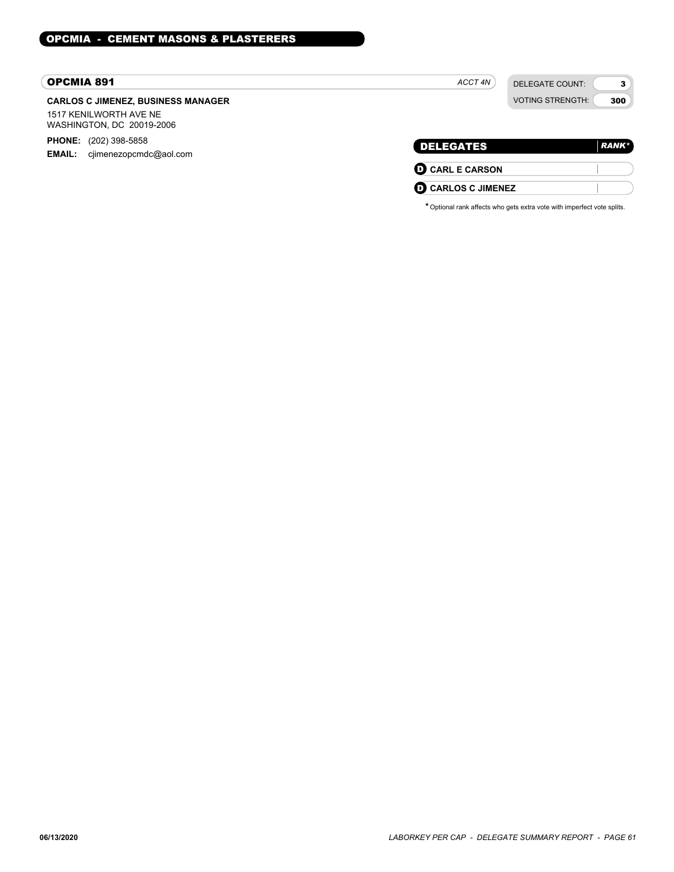# OPCMIA 891

# **CARLOS C JIMENEZ, BUSINESS MANAGER**

1517 KENILWORTH AVE NE WASHINGTON, DC 20019-2006

**PHONE:** (202) 398-5858 **EMAIL:** cjimenezopcmdc@aol.com

| <b>DELEGATES</b>       | <b>RANK*</b> |
|------------------------|--------------|
| <b>O CARL E CARSON</b> |              |

DELEGATE COUNT: VOTING STRENGTH:

3 300

D **CARLOS C JIMENEZ**

*ACCT 4N*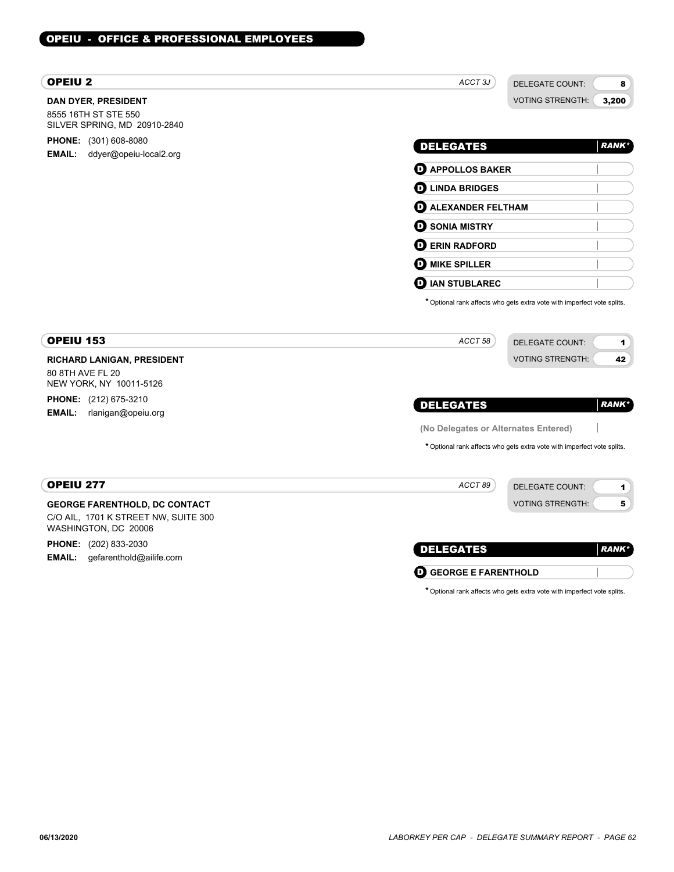# OPEIU - OFFICE & PROFESSIONAL EMPLOYEES

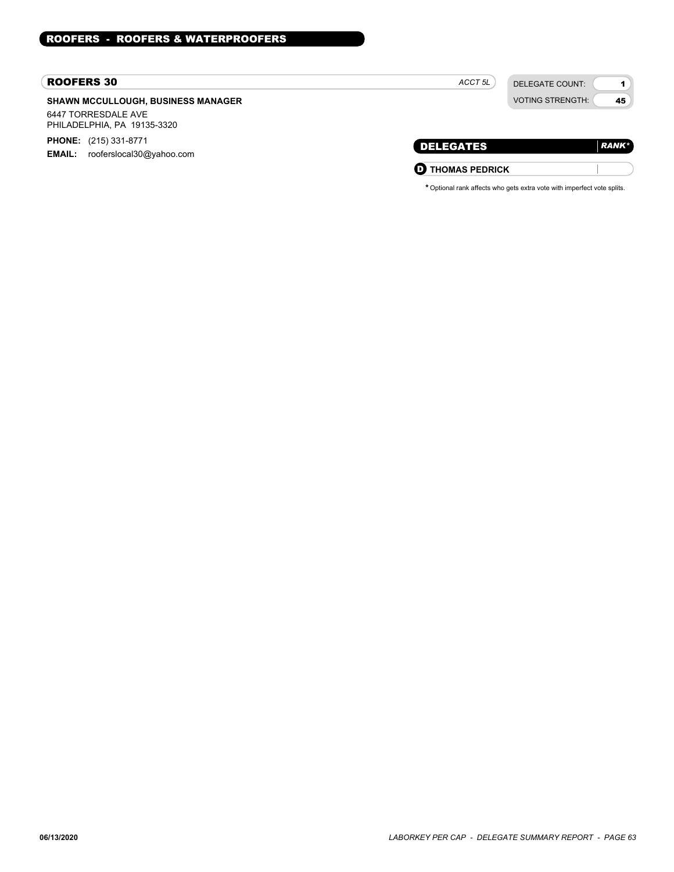#### ROOFERS 30

## **SHAWN MCCULLOUGH, BUSINESS MANAGER** 6447 TORRESDALE AVE

PHILADELPHIA, PA 19135-3320

**PHONE:** (215) 331-8771 **EMAIL:** rooferslocal30@yahoo.com

DELEGATE COUNT: VOTING STRENGTH:

1 45

| 1 H I<br>. .<br>$\mathbf{r}$ |  |
|------------------------------|--|
| The control of the control   |  |

**O** THOMAS PEDRICK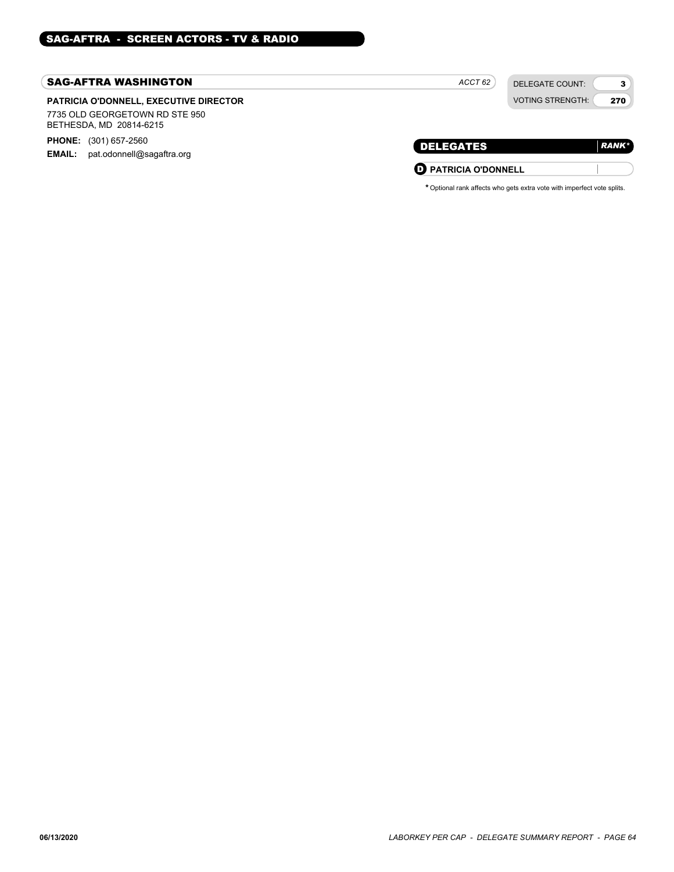### SAG-AFTRA WASHINGTON

## **PATRICIA O'DONNELL, EXECUTIVE DIRECTOR**

7735 OLD GEORGETOWN RD STE 950 BETHESDA, MD 20814-6215

**PHONE:** (301) 657-2560

**EMAIL:** pat.odonnell@sagaftra.org

*ACCT 62*

DELEGATE COUNT: VOTING STRENGTH:

3 270

| <b>DELEGATES</b>            | <b>RANK*</b> |
|-----------------------------|--------------|
| <b>D</b> PATRICIA O'DONNELL |              |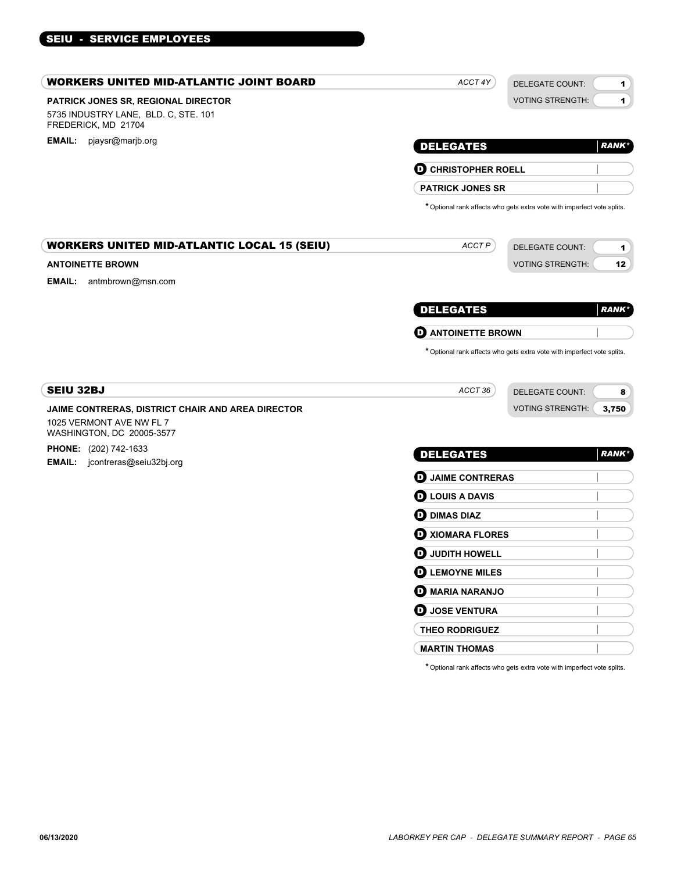# SEIU - SERVICE EMPLOYEES

| <b>WORKERS UNITED MID-ATLANTIC JOINT BOARD</b>                                                     | ACCT 4Y                             | <b>DELEGATE COUNT:</b>                                                                            | $\mathbf{1}$ |
|----------------------------------------------------------------------------------------------------|-------------------------------------|---------------------------------------------------------------------------------------------------|--------------|
| PATRICK JONES SR, REGIONAL DIRECTOR<br>5735 INDUSTRY LANE, BLD. C, STE. 101<br>FREDERICK, MD 21704 |                                     | <b>VOTING STRENGTH:</b>                                                                           | $\mathbf{1}$ |
| EMAIL: pjaysr@marjb.org                                                                            | <b>DELEGATES</b>                    |                                                                                                   | <b>RANK*</b> |
|                                                                                                    | <b>D</b> CHRISTOPHER ROELL          |                                                                                                   |              |
|                                                                                                    | <b>PATRICK JONES SR</b>             |                                                                                                   |              |
|                                                                                                    |                                     | * Optional rank affects who gets extra vote with imperfect vote splits.                           |              |
| <b>WORKERS UNITED MID-ATLANTIC LOCAL 15 (SEIU)</b>                                                 | ACCT P                              | <b>DELEGATE COUNT:</b>                                                                            | 1            |
| <b>ANTOINETTE BROWN</b>                                                                            |                                     | <b>VOTING STRENGTH:</b>                                                                           | 12           |
| <b>EMAIL:</b> antmbrown@msn.com                                                                    |                                     |                                                                                                   |              |
|                                                                                                    | <b>DELEGATES</b>                    |                                                                                                   | <b>RANK*</b> |
|                                                                                                    | <b>O</b> ANTOINETTE BROWN           |                                                                                                   |              |
| <b>SEIU 32BJ</b>                                                                                   | ACCT 36                             | * Optional rank affects who gets extra vote with imperfect vote splits.<br><b>DELEGATE COUNT:</b> | 8            |
| JAIME CONTRERAS, DISTRICT CHAIR AND AREA DIRECTOR                                                  |                                     | <b>VOTING STRENGTH:</b>                                                                           | 3,750        |
| 1025 VERMONT AVE NW FL 7<br>WASHINGTON, DC 20005-3577                                              |                                     |                                                                                                   |              |
| <b>PHONE:</b> (202) 742-1633<br><b>EMAIL:</b> jcontreras@seiu32bj.org                              | <b>DELEGATES</b>                    |                                                                                                   | <b>RANK*</b> |
|                                                                                                    | <b>D</b> JAIME CONTRERAS            |                                                                                                   |              |
|                                                                                                    | <b>D</b> LOUIS A DAVIS              |                                                                                                   |              |
|                                                                                                    | <b>OD</b> DIMAS DIAZ                |                                                                                                   |              |
|                                                                                                    | <b>D</b> XIOMARA FLORES             |                                                                                                   |              |
|                                                                                                    | $\boldsymbol{\Theta}$ judith howell |                                                                                                   |              |
|                                                                                                    | <b>O LEMOYNE MILES</b>              |                                                                                                   |              |
|                                                                                                    | <b>D</b> MARIA NARANJO              |                                                                                                   |              |
|                                                                                                    | <b>D</b> JOSE VENTURA               |                                                                                                   |              |
|                                                                                                    |                                     |                                                                                                   |              |
|                                                                                                    | THEO RODRIGUEZ                      |                                                                                                   |              |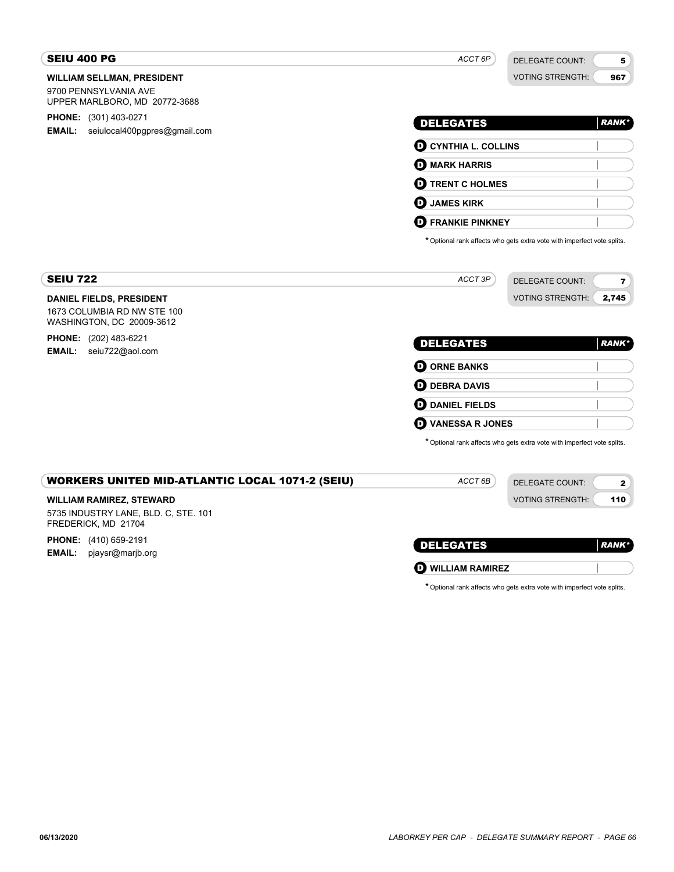| <b>SEIU 400 PG</b>                                                                             | ACCT 6P                             | DELEGATE COUNT:                                                         | 5            |
|------------------------------------------------------------------------------------------------|-------------------------------------|-------------------------------------------------------------------------|--------------|
| <b>WILLIAM SELLMAN, PRESIDENT</b><br>9700 PENNSYLVANIA AVE<br>UPPER MARLBORO, MD 20772-3688    |                                     | <b>VOTING STRENGTH:</b>                                                 | 967          |
| <b>PHONE:</b> (301) 403-0271                                                                   | <b>DELEGATES</b>                    |                                                                         | <b>RANK*</b> |
| EMAIL:<br>seiulocal400pgpres@gmail.com                                                         | <b>O CYNTHIA L. COLLINS</b>         |                                                                         |              |
|                                                                                                | <b>O MARK HARRIS</b>                |                                                                         |              |
|                                                                                                | <b>D</b> TRENT C HOLMES             |                                                                         |              |
|                                                                                                | <b>JAMES KIRK</b><br>O              |                                                                         |              |
|                                                                                                | <b>D</b> FRANKIE PINKNEY            |                                                                         |              |
|                                                                                                |                                     | * Optional rank affects who gets extra vote with imperfect vote splits. |              |
| <b>SEIU 722</b>                                                                                | ACCT 3P                             | DELEGATE COUNT:                                                         | 7            |
| <b>DANIEL FIELDS, PRESIDENT</b><br>1673 COLUMBIA RD NW STE 100<br>WASHINGTON, DC 20009-3612    |                                     | <b>VOTING STRENGTH:</b>                                                 | 2,745        |
| <b>PHONE:</b> (202) 483-6221                                                                   | <b>DELEGATES</b>                    |                                                                         | <b>RANK*</b> |
| <b>EMAIL:</b><br>seiu722@aol.com                                                               | <b>O ORNE BANKS</b>                 |                                                                         |              |
|                                                                                                | $\mathbf 0$ DEBRA DAVIS             |                                                                         |              |
|                                                                                                | $\boldsymbol{\Theta}$ DANIEL FIELDS |                                                                         |              |
|                                                                                                | <b>VANESSA R JONES</b><br>D         |                                                                         |              |
|                                                                                                |                                     | * Optional rank affects who gets extra vote with imperfect vote splits. |              |
| <b>WORKERS UNITED MID-ATLANTIC LOCAL 1071-2 (SEIU)</b>                                         | ACCT <sub>6B</sub>                  | <b>DELEGATE COUNT:</b>                                                  | 2            |
| <b>WILLIAM RAMIREZ, STEWARD</b><br>5735 INDUSTRY LANE, BLD. C, STE. 101<br>FREDERICK, MD 21704 |                                     | <b>VOTING STRENGTH:</b>                                                 | 110          |
| <b>PHONE:</b> (410) 659-2191                                                                   | <b>DELEGATES</b>                    |                                                                         | <b>RANK*</b> |
| <b>EMAIL:</b><br>pjaysr@marjb.org                                                              | <b>O WILLIAM RAMIREZ</b>            |                                                                         |              |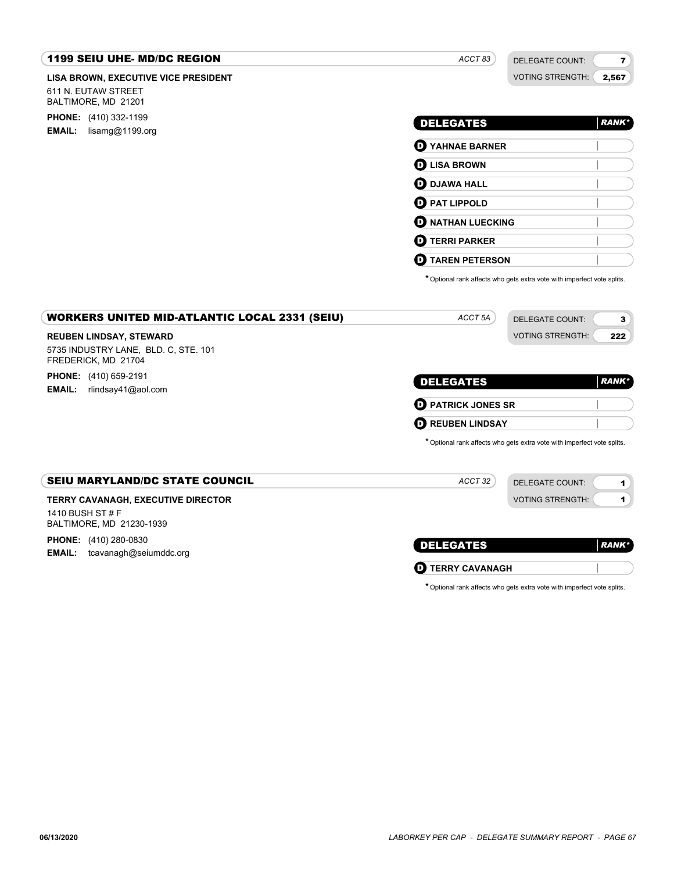#### **LISA BROWN, EXECUTIVE VICE PRESIDENT** 1199 SEIU UHE- MD/DC REGION 611 N. EUTAW STREET BALTIMORE, MD 21201 **PHONE:** (410) 332-1199 **EMAIL:** lisamg@1199.org DELEGATE COUNT: VOTING STRENGTH: 7 2,567 DELEGATES *ACCT 83 RANK\** **D** YAHNAE BARNER D **LISA BROWN D** DJAWA HALL **O** PAT LIPPOLD **D** NATHAN LUECKING D **TERRI PARKER** D **TAREN PETERSON** \*Optional rank affects who gets extra vote with imperfect vote splits. **REUBEN LINDSAY, STEWARD** WORKERS UNITED MID-ATLANTIC LOCAL 2331 (SEIU) 5735 INDUSTRY LANE, BLD. C, STE. 101 FREDERICK, MD 21704 **PHONE:** (410) 659-2191 **EMAIL:** rlindsay41@aol.com DELEGATE COUNT: VOTING STRENGTH: 3 222 DELEGATES *ACCT 5A RANK\** D **PATRICK JONES SR D** REUBEN LINDSAY \*Optional rank affects who gets extra vote with imperfect vote splits. **TERRY CAVANAGH, EXECUTIVE DIRECTOR** SEIU MARYLAND/DC STATE COUNCIL 1410 BUSH ST # F BALTIMORE, MD 21230-1939 **PHONE:** (410) 280-0830 **EMAIL:** tcavanagh@seiumddc.org DELEGATE COUNT: VOTING STRENGTH: 1 1 DELEGATES *ACCT 32 RANK\** **D** TERRY CAVANAGH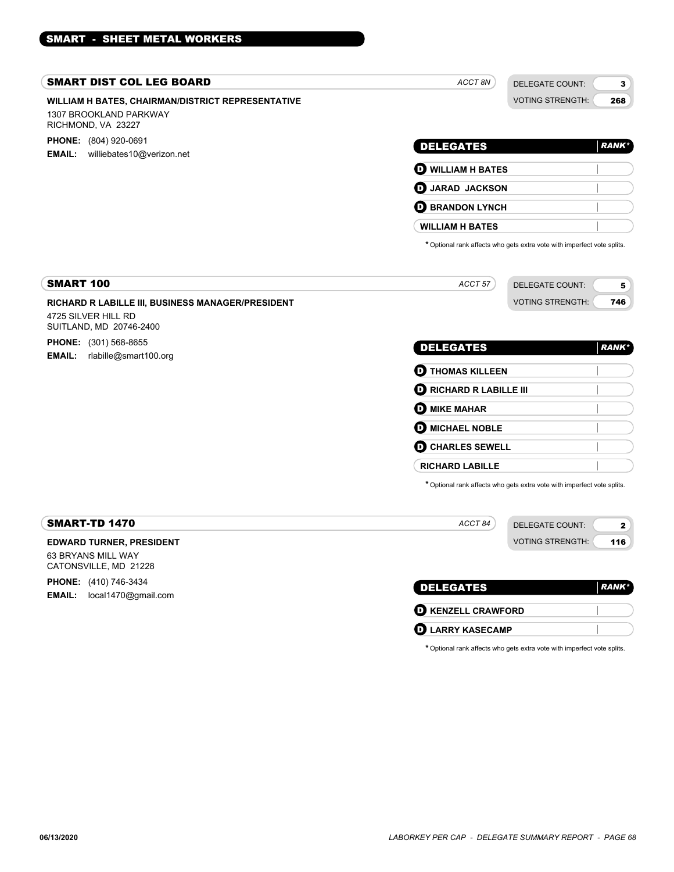#### SMART DIST COL LEG BOARD

## **WILLIAM H BATES, CHAIRMAN/DISTRICT REPRESENTATIVE** 1307 BROOKLAND PARKWAY

RICHMOND, VA 23227

**PHONE:** (804) 920-0691 **EMAIL:** williebates10@verizon.net

| <b>DELEGATES</b>         | <b>RANK*</b> |
|--------------------------|--------------|
| <b>O WILLIAM H BATES</b> |              |
| <b>D</b> JARAD JACKSON   |              |
| <b>E BRANDON LYNCH</b>   |              |
| <b>WILLIAM H BATES</b>   |              |

*ACCT 8N*

DELEGATE COUNT: VOTING STRENGTH:

3 268

\*Optional rank affects who gets extra vote with imperfect vote splits.

| 100<br>SMART                                             | 0.0777<br>יטר | DELEGATE COUNT:         |     |  |
|----------------------------------------------------------|---------------|-------------------------|-----|--|
| <b>RICHARD R LABILLE III. BUSINESS MANAGER/PRESIDENT</b> |               | <b>VOTING STRENGTH:</b> | 746 |  |

## **RICHARD R LABILLE III, BUSINESS MANAGER/PRESIDENT**

4725 SILVER HILL RD SUITLAND, MD 20746-2400

#### **PHONE:** (301) 568-8655 **EMAIL:** rlabille@smart100.org

| <b>DELEGATES</b>               | <b>RANK</b> * |
|--------------------------------|---------------|
| <b>O THOMAS KILLEEN</b>        |               |
| <b>D</b> RICHARD R LABILLE III |               |
| <b>D</b> MIKE MAHAR            |               |
| <b>O MICHAEL NOBLE</b>         |               |
| <b>O CHARLES SEWELL</b>        |               |
| <b>RICHARD LABILLE</b>         |               |

\*Optional rank affects who gets extra vote with imperfect vote splits.

| SMART-TD 1470                               | ACCT 84          | DELEGATE COUNT:<br>◠           |
|---------------------------------------------|------------------|--------------------------------|
| <b>EDWARD TURNER, PRESIDENT</b>             |                  | <b>VOTING STRENGTH:</b><br>116 |
| 63 BRYANS MILL WAY<br>CATONSVILLE, MD 21228 |                  |                                |
| <b>PHONE:</b> (410) 746-3434                | <b>DELEGATES</b> | <b>RANK</b> *                  |
| local1470@gmail.com<br><b>EMAIL:</b>        |                  |                                |

| <b>IRANK</b> |
|--------------|
|              |
|              |
|              |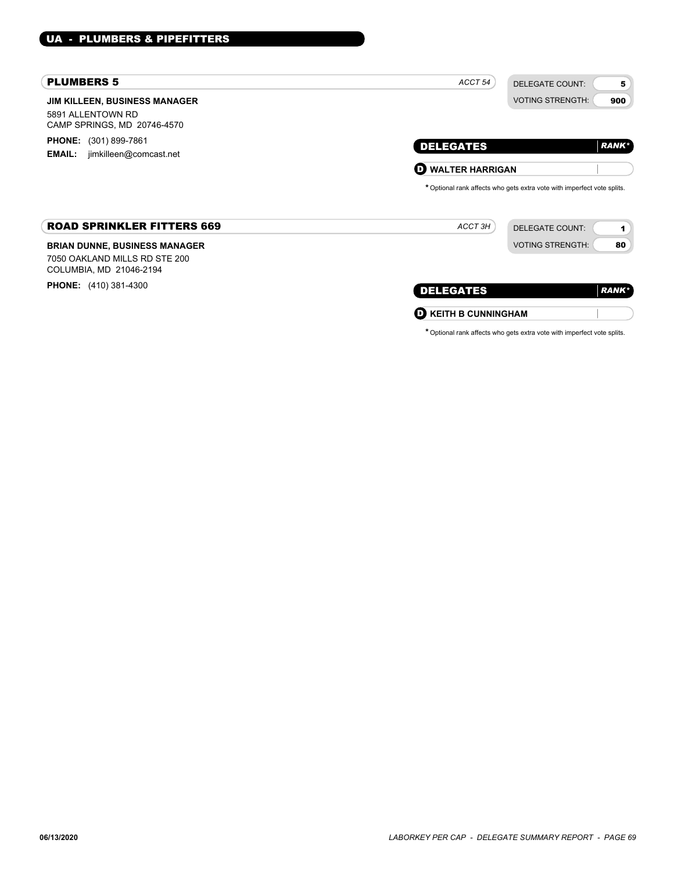# PLUMBERS 5

| <b>PLUMBERS 5</b>                                                                                | ACCT <sub>54</sub><br><b>DELEGATE COUNT:</b><br>5                                                                                    |
|--------------------------------------------------------------------------------------------------|--------------------------------------------------------------------------------------------------------------------------------------|
| <b>JIM KILLEEN, BUSINESS MANAGER</b><br>5891 ALLENTOWN RD<br>CAMP SPRINGS, MD 20746-4570         | <b>VOTING STRENGTH:</b><br>900                                                                                                       |
| <b>PHONE:</b> (301) 899-7861<br>jimkilleen@comcast.net<br><b>EMAIL:</b>                          | <b>RANK</b> *<br><b>DELEGATES</b>                                                                                                    |
|                                                                                                  | <b>WALTER HARRIGAN</b><br>O.                                                                                                         |
| <b>ROAD SPRINKLER FITTERS 669</b>                                                                | * Optional rank affects who gets extra vote with imperfect vote splits.<br>ACCT 3H<br><b>DELEGATE COUNT:</b><br>$\blacktriangleleft$ |
| <b>BRIAN DUNNE, BUSINESS MANAGER</b><br>7050 OAKLAND MILLS RD STE 200<br>COLUMBIA, MD 21046-2194 | <b>VOTING STRENGTH:</b><br>80                                                                                                        |
| <b>PHONE:</b> (410) 381-4300                                                                     | <b>DELEGATES</b><br><b>RANK</b> *                                                                                                    |
|                                                                                                  | <b>KEITH B CUNNINGHAM</b><br>$\mathbf D$                                                                                             |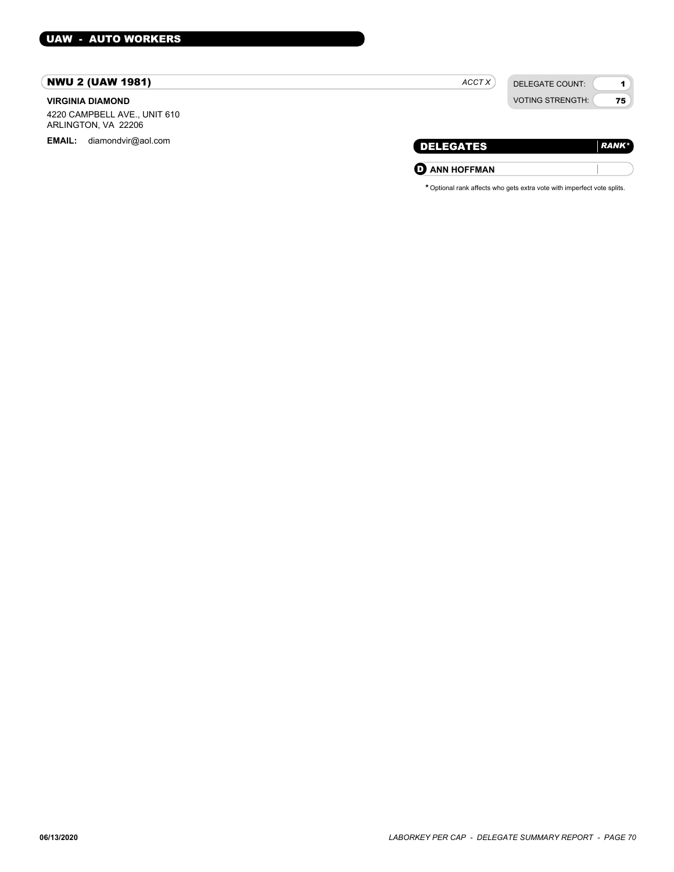# NWU 2 (UAW 1981)

#### **VIRGINIA DIAMOND**

4220 CAMPBELL AVE., UNIT 610 ARLINGTON, VA 22206

EMAIL: diamondvir@aol.com

| ACCT X | DELEGATE COUNT:         |
|--------|-------------------------|
|        | <b>VOTING STRENGTH:</b> |

| <b>DELEGATES</b>     | <b>RANK</b> * |
|----------------------|---------------|
| <b>O ANN HOFFMAN</b> |               |

1 75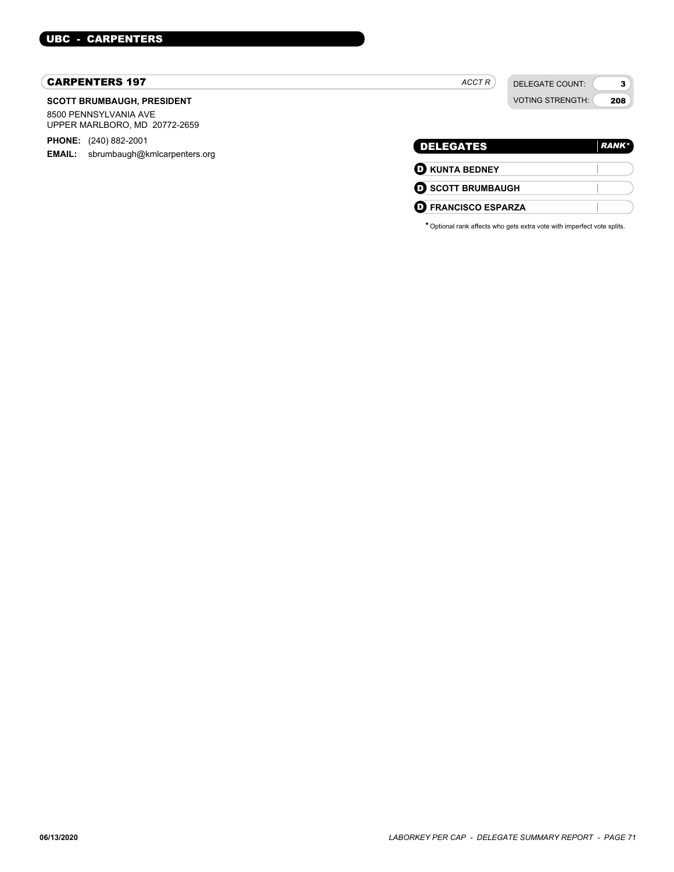# CARPENTERS 197

#### **SCOTT BRUMBAUGH, PRESIDENT**

8500 PENNSYLVANIA AVE UPPER MARLBORO, MD 20772-2659

**PHONE:** (240) 882-2001 **EMAIL:** sbrumbaugh@kmlcarpenters.org

| <b>DELEGATES</b>           | <b>RANK*</b> |
|----------------------------|--------------|
| <b>O KUNTA BEDNEY</b>      |              |
| <b>O SCOTT BRUMBAUGH</b>   |              |
| <b>O</b> FRANCISCO ESPARZA |              |

*ACCT R*

DELEGATE COUNT: VOTING STRENGTH:

3 208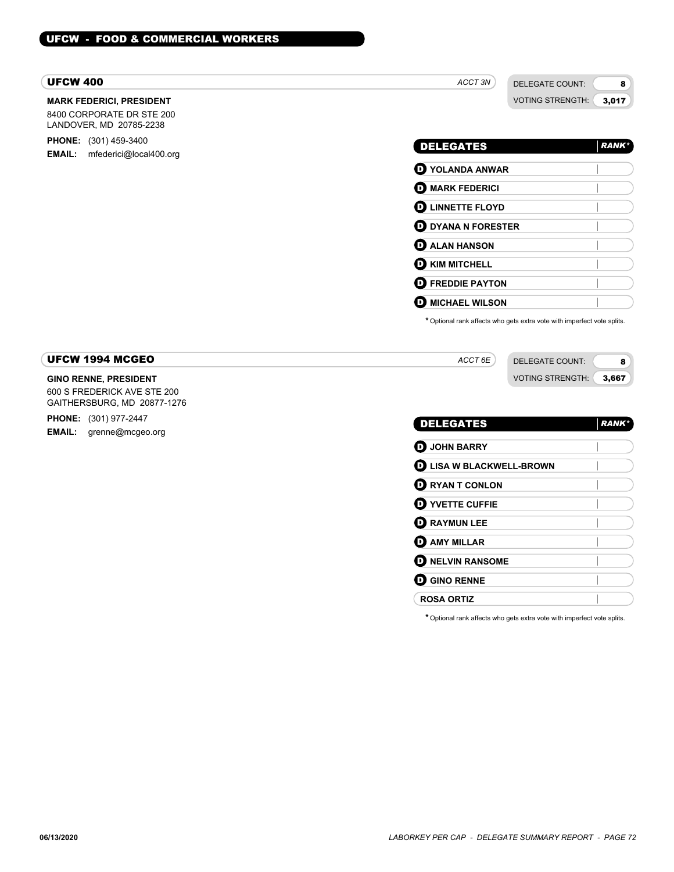## UFCW 400

## **MARK FEDERICI, PRESIDENT**

8400 CORPORATE DR STE 200 LANDOVER, MD 20785-2238

**PHONE:** (301) 459-3400 **EMAIL:** mfederici@local400.org

(  $\overline{\mathbf{r}}$ 

 $\overline{\phantom{a}}$  $\overline{\phantom{a}}$  $\overline{1}$  DELEGATE COUNT: VOTING STRENGTH: 3,017

8

| <b>DELEGATES</b>             | <b>RANK*</b> |
|------------------------------|--------------|
| $\mathbf D$ YOLANDA ANWAR    |              |
| $\mathbf D$ mark federici    |              |
| <b>D</b> LINNETTE FLOYD      |              |
| $\mathbf D$ DYANA N FORESTER |              |
| $\mathbf D$ ALAN HANSON      |              |
| $\mathbf D$ kim mitchell     |              |
| D<br><b>FREDDIE PAYTON</b>   |              |
| D<br><b>MICHAEL WILSON</b>   |              |

\*Optional rank affects who gets extra vote with imperfect vote splits.

| UFCW 1994 MCGEO                    | ACCT 6E | DELEGATE COUNT:                  |
|------------------------------------|---------|----------------------------------|
| <b>GINO RENNE, PRESIDENT</b>       |         | <b>VOTING STRENGTH:</b><br>3.667 |
| <b>COO C EDENEDICK AVE CTE 200</b> |         |                                  |

600 S FREDERICK AVE STE 200 GAITHERSBURG, MD 20877-1276 **PHONE:** (301) 977-2447 **EMAIL:** grenne@mcgeo.org

| <b>DELEGATES</b>                | <b>RANK</b> * |
|---------------------------------|---------------|
| <b>O</b> JOHN BARRY             |               |
| <b>D</b> LISA W BLACKWELL-BROWN |               |
| <b>O</b> RYAN T CONLON          |               |
| <b>O</b> YVETTE CUFFIE          |               |
| <b>D</b> RAYMUN LEE             |               |
| <b>O AMY MILLAR</b>             |               |
| <b>O NELVIN RANSOME</b>         |               |
| <b>O GINO RENNE</b>             |               |
| <b>ROSA ORTIZ</b>               |               |